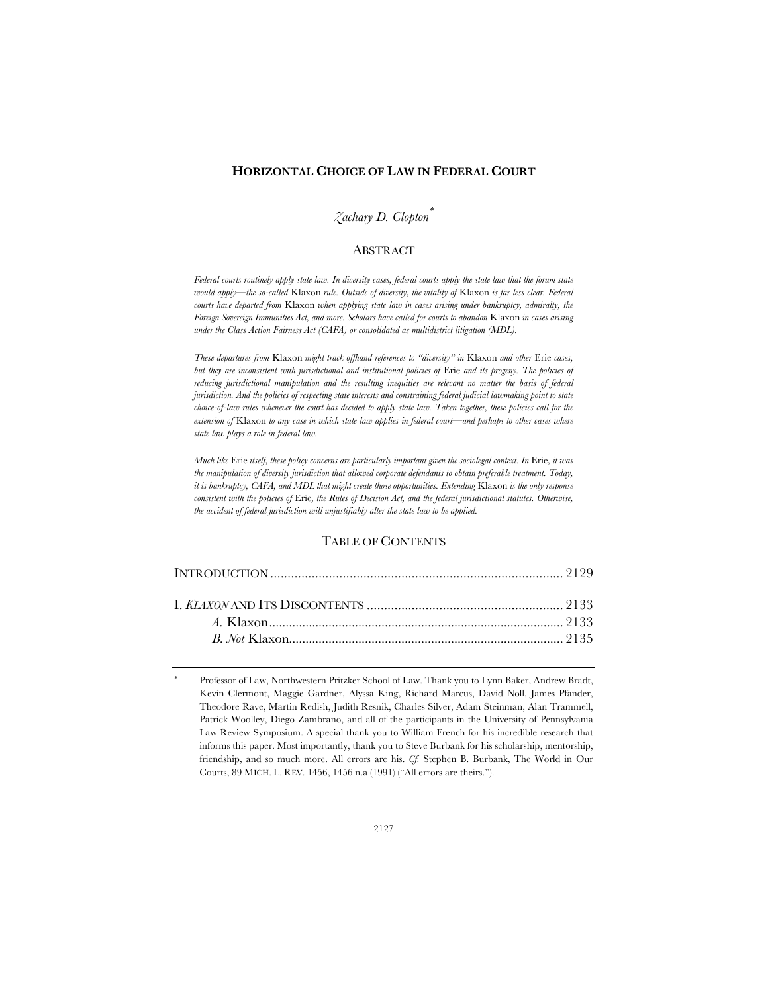### **HORIZONTAL CHOICE OF LAW IN FEDERAL COURT**

# *Zachary D. Clopton*\*

### ABSTRACT

*Federal courts routinely apply state law. In diversity cases, federal courts apply the state law that the forum state would apply—the so-called* Klaxon *rule. Outside of diversity, the vitality of* Klaxon *is far less clear. Federal courts have departed from* Klaxon *when applying state law in cases arising under bankruptcy, admiralty, the Foreign Sovereign Immunities Act, and more. Scholars have called for courts to abandon* Klaxon *in cases arising under the Class Action Fairness Act (CAFA) or consolidated as multidistrict litigation (MDL).*

*These departures from* Klaxon *might track offhand references to "diversity" in* Klaxon *and other* Erie *cases, but they are inconsistent with jurisdictional and institutional policies of* Erie *and its progeny. The policies of reducing jurisdictional manipulation and the resulting inequities are relevant no matter the basis of federal jurisdiction. And the policies of respecting state interests and constraining federal judicial lawmaking point to state choice-of-law rules whenever the court has decided to apply state law. Taken together, these policies call for the extension of* Klaxon *to any case in which state law applies in federal court—and perhaps to other cases where state law plays a role in federal law.*

*Much like* Erie *itself, these policy concerns are particularly important given the sociolegal context. In* Erie*, it was the manipulation of diversity jurisdiction that allowed corporate defendants to obtain preferable treatment. Today, it is bankruptcy, CAFA, and MDL that might create those opportunities. Extending* Klaxon *is the only response consistent with the policies of* Erie*, the Rules of Decision Act, and the federal jurisdictional statutes. Otherwise, the accident of federal jurisdiction will unjustifiably alter the state law to be applied.*

## TABLE OF CONTENTS

<sup>\*</sup> Professor of Law, Northwestern Pritzker School of Law. Thank you to Lynn Baker, Andrew Bradt, Kevin Clermont, Maggie Gardner, Alyssa King, Richard Marcus, David Noll, James Pfander, Theodore Rave, Martin Redish, Judith Resnik, Charles Silver, Adam Steinman, Alan Trammell, Patrick Woolley, Diego Zambrano, and all of the participants in the University of Pennsylvania Law Review Symposium. A special thank you to William French for his incredible research that informs this paper. Most importantly, thank you to Steve Burbank for his scholarship, mentorship, friendship, and so much more. All errors are his. *Cf.* Stephen B. Burbank, The World in Our Courts, 89 MICH. L. REV. 1456, 1456 n.a (1991) ("All errors are theirs.").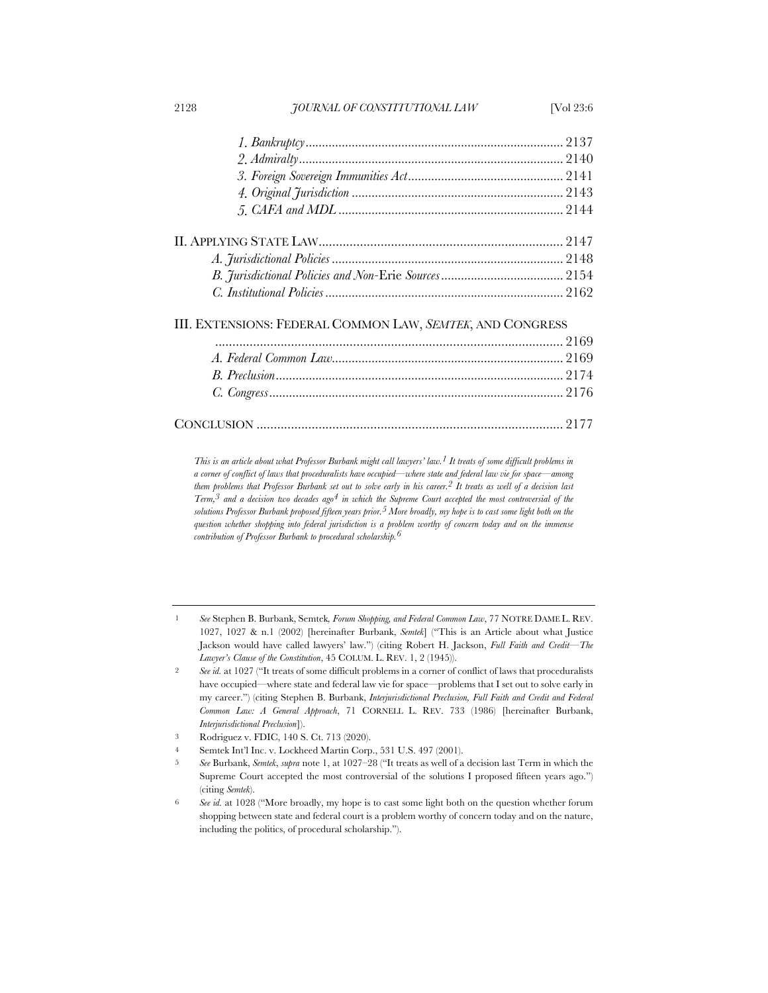III. EXTENSIONS: FEDERAL COMMON LAW, *SEMTEK*, AND CONGRESS

*This is an article about what Professor Burbank might call lawyers' law.1 It treats of some difficult problems in a corner of conflict of laws that proceduralists have occupied—where state and federal law vie for space—among them problems that Professor Burbank set out to solve early in his career.2 It treats as well of a decision last Term,3 and a decision two decades ago4 in which the Supreme Court accepted the most controversial of the solutions Professor Burbank proposed fifteen years prior.5 More broadly, my hope is to cast some light both on the question whether shopping into federal jurisdiction is a problem worthy of concern today and on the immense contribution of Professor Burbank to procedural scholarship.6*

1 *See* Stephen B. Burbank, Semtek*, Forum Shopping, and Federal Common Law*, 77 NOTRE DAME L. REV. 1027, 1027 & n.1 (2002) [hereinafter Burbank, *Semtek*] ("This is an Article about what Justice Jackson would have called lawyers' law.") (citing Robert H. Jackson, *Full Faith and Credit—The Lawyer's Clause of the Constitution*, 45 COLUM. L. REV. 1, 2 (1945)).

- 3 Rodriguez v. FDIC, 140 S. Ct. 713 (2020).
- 4 Semtek Int'l Inc. v. Lockheed Martin Corp., 531 U.S. 497 (2001).
- 5 *See* Burbank, *Semtek*, *supra* note 1, at 1027–28 ("It treats as well of a decision last Term in which the Supreme Court accepted the most controversial of the solutions I proposed fifteen years ago.") (citing *Semtek*).
- 6 *See id.* at 1028 ("More broadly, my hope is to cast some light both on the question whether forum shopping between state and federal court is a problem worthy of concern today and on the nature, including the politics, of procedural scholarship.").

<sup>2</sup> *See id.* at 1027 ("It treats of some difficult problems in a corner of conflict of laws that proceduralists have occupied—where state and federal law vie for space—problems that I set out to solve early in my career.") (citing Stephen B. Burbank, *Interjurisdictional Preclusion, Full Faith and Credit and Federal Common Law: A General Approach*, 71 CORNELL L. REV. 733 (1986) [hereinafter Burbank, *Interjurisdictional Preclusion*]).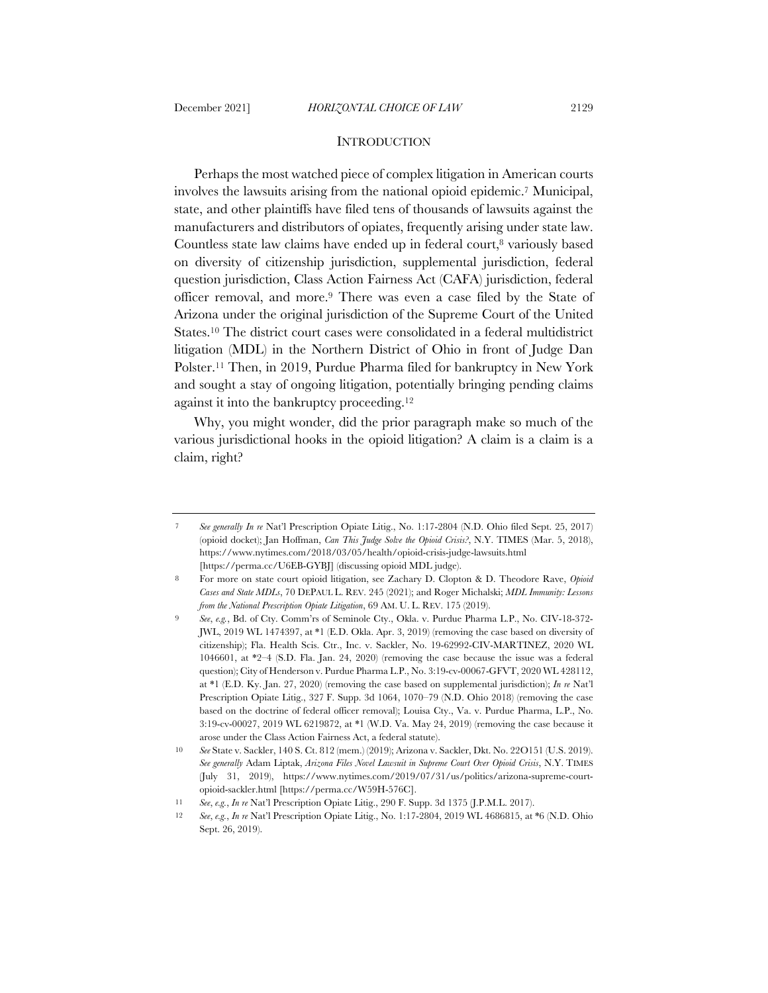### **INTRODUCTION**

Perhaps the most watched piece of complex litigation in American courts involves the lawsuits arising from the national opioid epidemic.7 Municipal, state, and other plaintiffs have filed tens of thousands of lawsuits against the manufacturers and distributors of opiates, frequently arising under state law. Countless state law claims have ended up in federal court,<sup>8</sup> variously based on diversity of citizenship jurisdiction, supplemental jurisdiction, federal question jurisdiction, Class Action Fairness Act (CAFA) jurisdiction, federal officer removal, and more.9 There was even a case filed by the State of Arizona under the original jurisdiction of the Supreme Court of the United States.10 The district court cases were consolidated in a federal multidistrict litigation (MDL) in the Northern District of Ohio in front of Judge Dan Polster.11 Then, in 2019, Purdue Pharma filed for bankruptcy in New York and sought a stay of ongoing litigation, potentially bringing pending claims against it into the bankruptcy proceeding.12

Why, you might wonder, did the prior paragraph make so much of the various jurisdictional hooks in the opioid litigation? A claim is a claim is a claim, right?

<sup>7</sup> *See generally In re* Nat'l Prescription Opiate Litig., No. 1:17-2804 (N.D. Ohio filed Sept. 25, 2017) (opioid docket); Jan Hoffman, *Can This Judge Solve the Opioid Crisis?*, N.Y. TIMES (Mar. 5, 2018), https://www.nytimes.com/2018/03/05/health/opioid-crisis-judge-lawsuits.html [https://perma.cc/U6EB-GYBJ] (discussing opioid MDL judge).

<sup>8</sup> For more on state court opioid litigation, see Zachary D. Clopton & D. Theodore Rave, *Opioid Cases and State MDLs*, 70 DEPAUL L. REV. 245 (2021); and Roger Michalski; *MDL Immunity: Lessons from the National Prescription Opiate Litigation*, 69 AM. U. L. REV. 175 (2019).

<sup>9</sup> *See*, *e.g.*, Bd. of Cty. Comm'rs of Seminole Cty., Okla. v. Purdue Pharma L.P., No. CIV-18-372- JWL, 2019 WL 1474397, at \*1 (E.D. Okla. Apr. 3, 2019) (removing the case based on diversity of citizenship); Fla. Health Scis. Ctr., Inc. v. Sackler, No. 19-62992-CIV-MARTINEZ, 2020 WL 1046601, at \*2–4 (S.D. Fla. Jan. 24, 2020) (removing the case because the issue was a federal question); City of Henderson v. Purdue Pharma L.P., No. 3:19-cv-00067-GFVT, 2020 WL 428112, at \*1 (E.D. Ky. Jan. 27, 2020) (removing the case based on supplemental jurisdiction); *In re* Nat'l Prescription Opiate Litig., 327 F. Supp. 3d 1064, 1070-79 (N.D. Ohio 2018) (removing the case based on the doctrine of federal officer removal); Louisa Cty., Va. v. Purdue Pharma, L.P., No. 3:19-cv-00027, 2019 WL 6219872, at \*1 (W.D. Va. May 24, 2019) (removing the case because it arose under the Class Action Fairness Act, a federal statute).

<sup>10</sup> *See* State v. Sackler, 140 S. Ct. 812 (mem.) (2019); Arizona v. Sackler, Dkt. No. 22O151 (U.S. 2019). *See generally* Adam Liptak, *Arizona Files Novel Lawsuit in Supreme Court Over Opioid Crisis*, N.Y. TIMES (July 31, 2019), https://www.nytimes.com/2019/07/31/us/politics/arizona-supreme-courtopioid-sackler.html [https://perma.cc/W59H-576C].

<sup>11</sup> *See*, *e.g.*, *In re* Nat'l Prescription Opiate Litig., 290 F. Supp. 3d 1375 (J.P.M.L. 2017).

<sup>12</sup> *See*, *e.g.*, *In re* Nat'l Prescription Opiate Litig., No. 1:17-2804, 2019 WL 4686815, at \*6 (N.D. Ohio Sept. 26, 2019).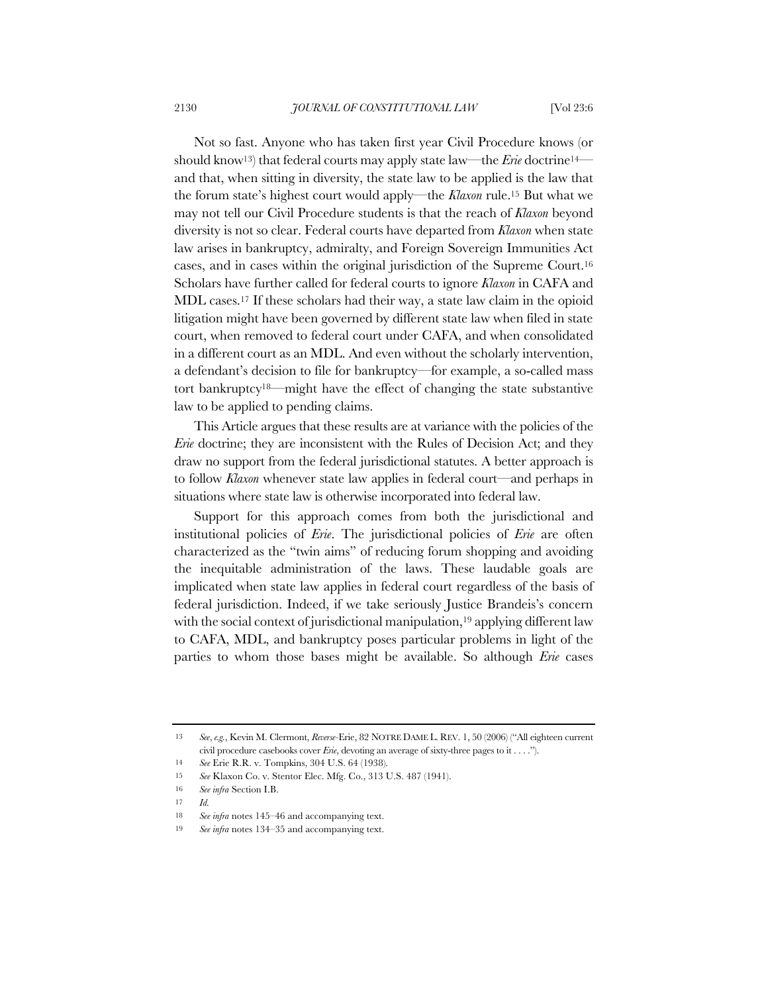Not so fast. Anyone who has taken first year Civil Procedure knows (or should know13) that federal courts may apply state law—the *Erie* doctrine14 and that, when sitting in diversity, the state law to be applied is the law that the forum state's highest court would apply—the *Klaxon* rule.15 But what we may not tell our Civil Procedure students is that the reach of *Klaxon* beyond diversity is not so clear. Federal courts have departed from *Klaxon* when state law arises in bankruptcy, admiralty, and Foreign Sovereign Immunities Act cases, and in cases within the original jurisdiction of the Supreme Court.16 Scholars have further called for federal courts to ignore *Klaxon* in CAFA and MDL cases.17 If these scholars had their way, a state law claim in the opioid litigation might have been governed by different state law when filed in state court, when removed to federal court under CAFA, and when consolidated in a different court as an MDL. And even without the scholarly intervention, a defendant's decision to file for bankruptcy—for example, a so-called mass tort bankruptcy18—might have the effect of changing the state substantive law to be applied to pending claims.

This Article argues that these results are at variance with the policies of the *Erie* doctrine; they are inconsistent with the Rules of Decision Act; and they draw no support from the federal jurisdictional statutes. A better approach is to follow *Klaxon* whenever state law applies in federal court—and perhaps in situations where state law is otherwise incorporated into federal law.

Support for this approach comes from both the jurisdictional and institutional policies of *Erie*. The jurisdictional policies of *Erie* are often characterized as the "twin aims" of reducing forum shopping and avoiding the inequitable administration of the laws. These laudable goals are implicated when state law applies in federal court regardless of the basis of federal jurisdiction. Indeed, if we take seriously Justice Brandeis's concern with the social context of jurisdictional manipulation,<sup>19</sup> applying different law to CAFA, MDL, and bankruptcy poses particular problems in light of the parties to whom those bases might be available. So although *Erie* cases

<sup>13</sup> *See*, *e.g.*, Kevin M. Clermont, *Reverse-*Erie, 82 NOTRE DAME L. REV. 1, 50 (2006) ("All eighteen current civil procedure casebooks cover *Erie*, devoting an average of sixty-three pages to it . . . .").

<sup>14</sup> *See* Erie R.R. v. Tompkins, 304 U.S. 64 (1938).

<sup>15</sup> *See* Klaxon Co. v. Stentor Elec. Mfg. Co., 313 U.S. 487 (1941).

<sup>16</sup> *See infra* Section I.B.

<sup>17</sup> *Id.*

<sup>18</sup> *See infra* notes 145–46 and accompanying text.

<sup>19</sup> *See infra* notes 134–35 and accompanying text.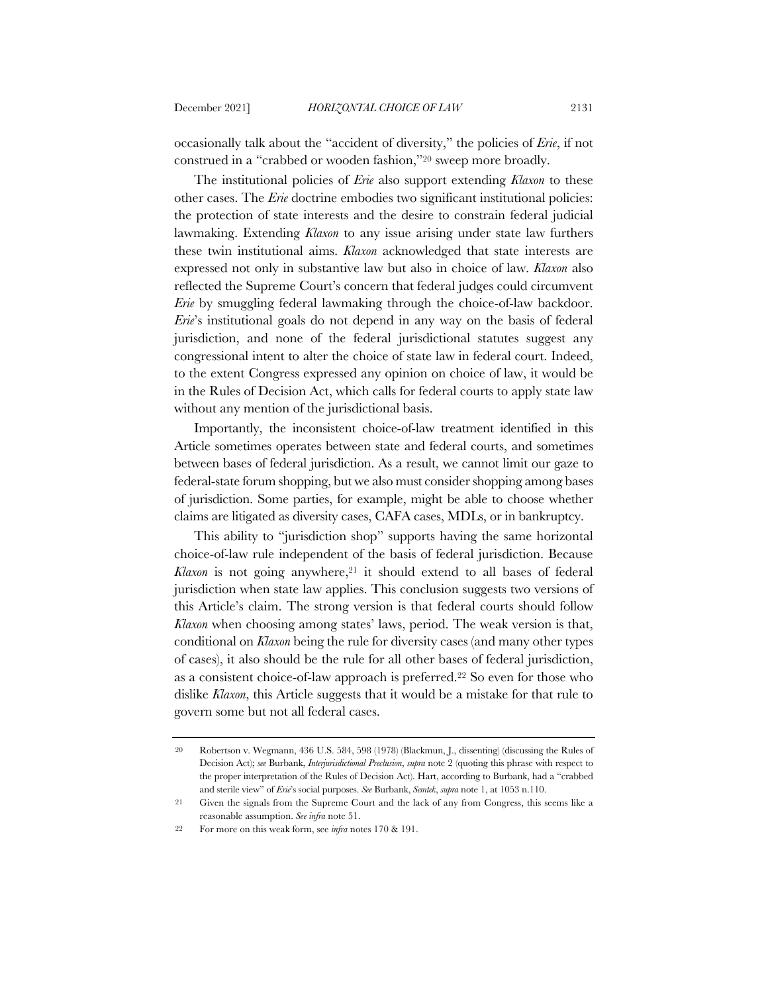occasionally talk about the "accident of diversity," the policies of *Erie*, if not construed in a "crabbed or wooden fashion,"20 sweep more broadly.

The institutional policies of *Erie* also support extending *Klaxon* to these other cases. The *Erie* doctrine embodies two significant institutional policies: the protection of state interests and the desire to constrain federal judicial lawmaking. Extending *Klaxon* to any issue arising under state law furthers these twin institutional aims. *Klaxon* acknowledged that state interests are expressed not only in substantive law but also in choice of law. *Klaxon* also reflected the Supreme Court's concern that federal judges could circumvent *Erie* by smuggling federal lawmaking through the choice-of-law backdoor. *Erie*'s institutional goals do not depend in any way on the basis of federal jurisdiction, and none of the federal jurisdictional statutes suggest any congressional intent to alter the choice of state law in federal court. Indeed, to the extent Congress expressed any opinion on choice of law, it would be in the Rules of Decision Act, which calls for federal courts to apply state law without any mention of the jurisdictional basis.

Importantly, the inconsistent choice-of-law treatment identified in this Article sometimes operates between state and federal courts, and sometimes between bases of federal jurisdiction. As a result, we cannot limit our gaze to federal-state forum shopping, but we also must consider shopping among bases of jurisdiction. Some parties, for example, might be able to choose whether claims are litigated as diversity cases, CAFA cases, MDLs, or in bankruptcy.

This ability to "jurisdiction shop" supports having the same horizontal choice-of-law rule independent of the basis of federal jurisdiction. Because Klaxon is not going anywhere,<sup>21</sup> it should extend to all bases of federal jurisdiction when state law applies. This conclusion suggests two versions of this Article's claim. The strong version is that federal courts should follow *Klaxon* when choosing among states' laws, period. The weak version is that, conditional on *Klaxon* being the rule for diversity cases (and many other types of cases), it also should be the rule for all other bases of federal jurisdiction, as a consistent choice-of-law approach is preferred.22 So even for those who dislike *Klaxon*, this Article suggests that it would be a mistake for that rule to govern some but not all federal cases.

<sup>20</sup> Robertson v. Wegmann, 436 U.S. 584, 598 (1978) (Blackmun, J., dissenting) (discussing the Rules of Decision Act); *see* Burbank, *Interjurisdictional Preclusion*, *supra* note 2 (quoting this phrase with respect to the proper interpretation of the Rules of Decision Act). Hart, according to Burbank, had a "crabbed and sterile view" of *Erie*'s social purposes. *See* Burbank, *Semtek*, *supra* note 1, at 1053 n.110.

<sup>21</sup> Given the signals from the Supreme Court and the lack of any from Congress, this seems like a reasonable assumption. *See infra* note 51.

<sup>22</sup> For more on this weak form, see *infra* notes 170 & 191.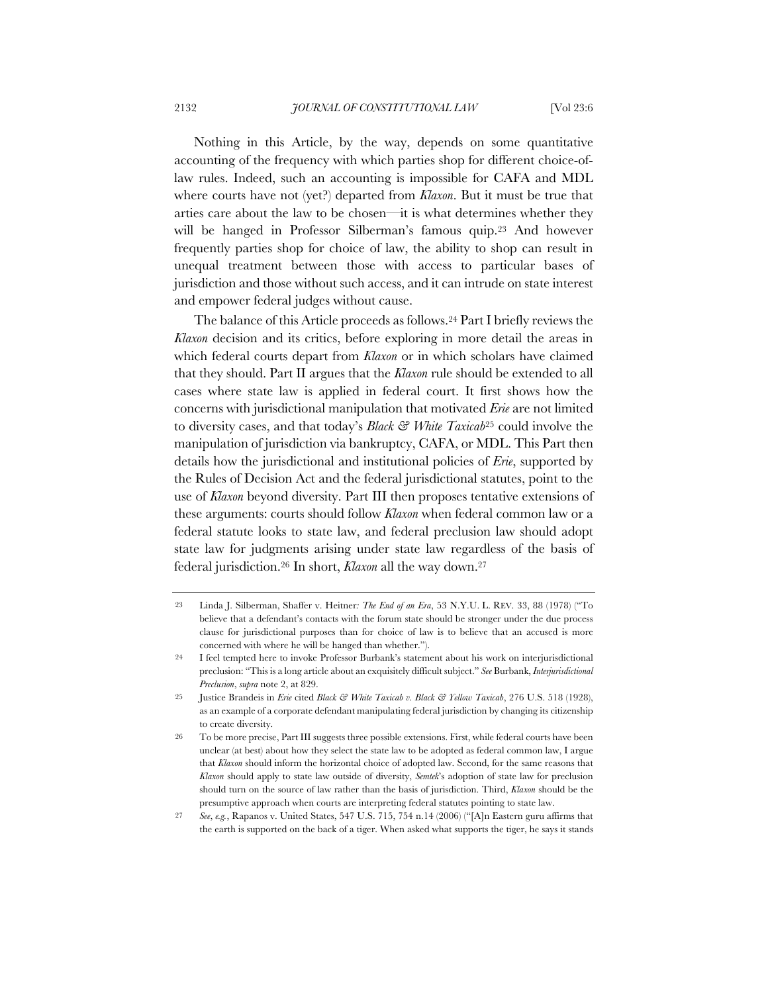Nothing in this Article, by the way, depends on some quantitative accounting of the frequency with which parties shop for different choice-oflaw rules. Indeed, such an accounting is impossible for CAFA and MDL where courts have not (yet?) departed from *Klaxon*. But it must be true that arties care about the law to be chosen—it is what determines whether they will be hanged in Professor Silberman's famous quip.<sup>23</sup> And however frequently parties shop for choice of law, the ability to shop can result in unequal treatment between those with access to particular bases of jurisdiction and those without such access, and it can intrude on state interest and empower federal judges without cause.

The balance of this Article proceeds as follows.24 Part I briefly reviews the *Klaxon* decision and its critics, before exploring in more detail the areas in which federal courts depart from *Klaxon* or in which scholars have claimed that they should. Part II argues that the *Klaxon* rule should be extended to all cases where state law is applied in federal court. It first shows how the concerns with jurisdictional manipulation that motivated *Erie* are not limited to diversity cases, and that today's *Black & White Taxicab*<sup>25</sup> could involve the manipulation of jurisdiction via bankruptcy, CAFA, or MDL. This Part then details how the jurisdictional and institutional policies of *Erie*, supported by the Rules of Decision Act and the federal jurisdictional statutes, point to the use of *Klaxon* beyond diversity. Part III then proposes tentative extensions of these arguments: courts should follow *Klaxon* when federal common law or a federal statute looks to state law, and federal preclusion law should adopt state law for judgments arising under state law regardless of the basis of federal jurisdiction.26 In short, *Klaxon* all the way down.27

<sup>23</sup> Linda J. Silberman, Shaffer v. Heitner*: The End of an Era*, 53 N.Y.U. L. REV. 33, 88 (1978) ("To believe that a defendant's contacts with the forum state should be stronger under the due process clause for jurisdictional purposes than for choice of law is to believe that an accused is more concerned with where he will be hanged than whether.").

<sup>24</sup> I feel tempted here to invoke Professor Burbank's statement about his work on interjurisdictional preclusion: "This is a long article about an exquisitely difficult subject." *See* Burbank, *Interjurisdictional Preclusion*, *supra* note 2, at 829.

<sup>25</sup> Justice Brandeis in *Erie* cited *Black & White Taxicab v. Black & Yellow Taxicab*, 276 U.S. 518 (1928), as an example of a corporate defendant manipulating federal jurisdiction by changing its citizenship to create diversity.

<sup>26</sup> To be more precise, Part III suggests three possible extensions. First, while federal courts have been unclear (at best) about how they select the state law to be adopted as federal common law, I argue that *Klaxon* should inform the horizontal choice of adopted law. Second, for the same reasons that *Klaxon* should apply to state law outside of diversity, *Semtek*'s adoption of state law for preclusion should turn on the source of law rather than the basis of jurisdiction. Third, *Klaxon* should be the presumptive approach when courts are interpreting federal statutes pointing to state law.

<sup>27</sup> *See*, *e.g.*, Rapanos v. United States, 547 U.S. 715, 754 n.14 (2006) ("[A]n Eastern guru affirms that the earth is supported on the back of a tiger. When asked what supports the tiger, he says it stands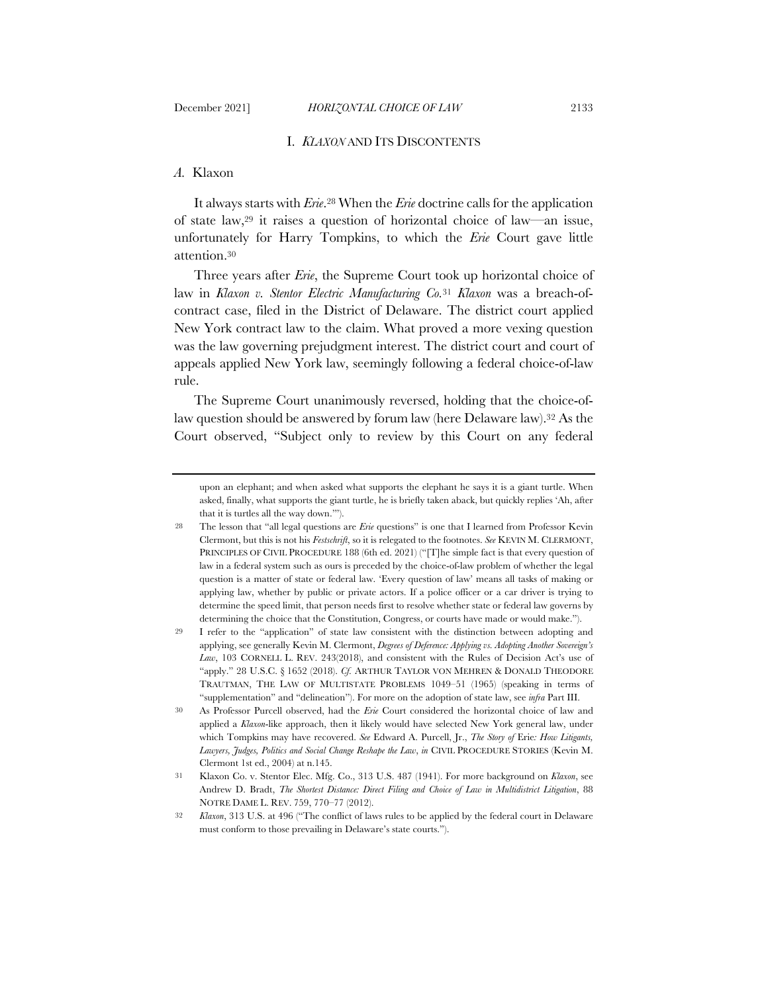# *A.* Klaxon

It always starts with *Erie*.28 When the *Erie* doctrine calls for the application of state law,29 it raises a question of horizontal choice of law—an issue, unfortunately for Harry Tompkins, to which the *Erie* Court gave little attention.30

Three years after *Erie*, the Supreme Court took up horizontal choice of law in *Klaxon v. Stentor Electric Manufacturing Co.*<sup>31</sup> *Klaxon* was a breach-ofcontract case, filed in the District of Delaware. The district court applied New York contract law to the claim. What proved a more vexing question was the law governing prejudgment interest. The district court and court of appeals applied New York law, seemingly following a federal choice-of-law rule.

The Supreme Court unanimously reversed, holding that the choice-oflaw question should be answered by forum law (here Delaware law).32 As the Court observed, "Subject only to review by this Court on any federal

upon an elephant; and when asked what supports the elephant he says it is a giant turtle. When asked, finally, what supports the giant turtle, he is briefly taken aback, but quickly replies 'Ah, after that it is turtles all the way down.'").

<sup>28</sup> The lesson that "all legal questions are *Erie* questions" is one that I learned from Professor Kevin Clermont, but this is not his *Festschrift*, so it is relegated to the footnotes. *See* KEVIN M. CLERMONT, PRINCIPLES OF CIVIL PROCEDURE 188 (6th ed. 2021) ("The simple fact is that every question of law in a federal system such as ours is preceded by the choice-of-law problem of whether the legal question is a matter of state or federal law. 'Every question of law' means all tasks of making or applying law, whether by public or private actors. If a police officer or a car driver is trying to determine the speed limit, that person needs first to resolve whether state or federal law governs by determining the choice that the Constitution, Congress, or courts have made or would make.").

<sup>29</sup> I refer to the "application" of state law consistent with the distinction between adopting and applying, see generally Kevin M. Clermont, *Degrees of Deference: Applying vs. Adopting Another Sovereign's*  Law, 103 CORNELL L. REV. 243(2018), and consistent with the Rules of Decision Act's use of "apply." 28 U.S.C. § 1652 (2018). *Cf.* ARTHUR TAYLOR VON MEHREN & DONALD THEODORE TRAUTMAN, THE LAW OF MULTISTATE PROBLEMS 1049–51 (1965) (speaking in terms of "supplementation" and "delineation"). For more on the adoption of state law, see *infra* Part III.

<sup>30</sup> As Professor Purcell observed, had the *Erie* Court considered the horizontal choice of law and applied a *Klaxon*-like approach, then it likely would have selected New York general law, under which Tompkins may have recovered. *See* Edward A. Purcell, Jr., *The Story of* Erie*: How Litigants, Lawyers, Judges, Politics and Social Change Reshape the Law*, *in* CIVIL PROCEDURE STORIES (Kevin M. Clermont 1st ed., 2004) at n.145.

<sup>31</sup> Klaxon Co. v. Stentor Elec. Mfg. Co., 313 U.S. 487 (1941). For more background on *Klaxon*, see Andrew D. Bradt, *The Shortest Distance: Direct Filing and Choice of Law in Multidistrict Litigation*, 88 NOTRE DAME L. REV. 759, 770–77 (2012).

<sup>32</sup> *Klaxon*, 313 U.S. at 496 ("The conflict of laws rules to be applied by the federal court in Delaware must conform to those prevailing in Delaware's state courts.").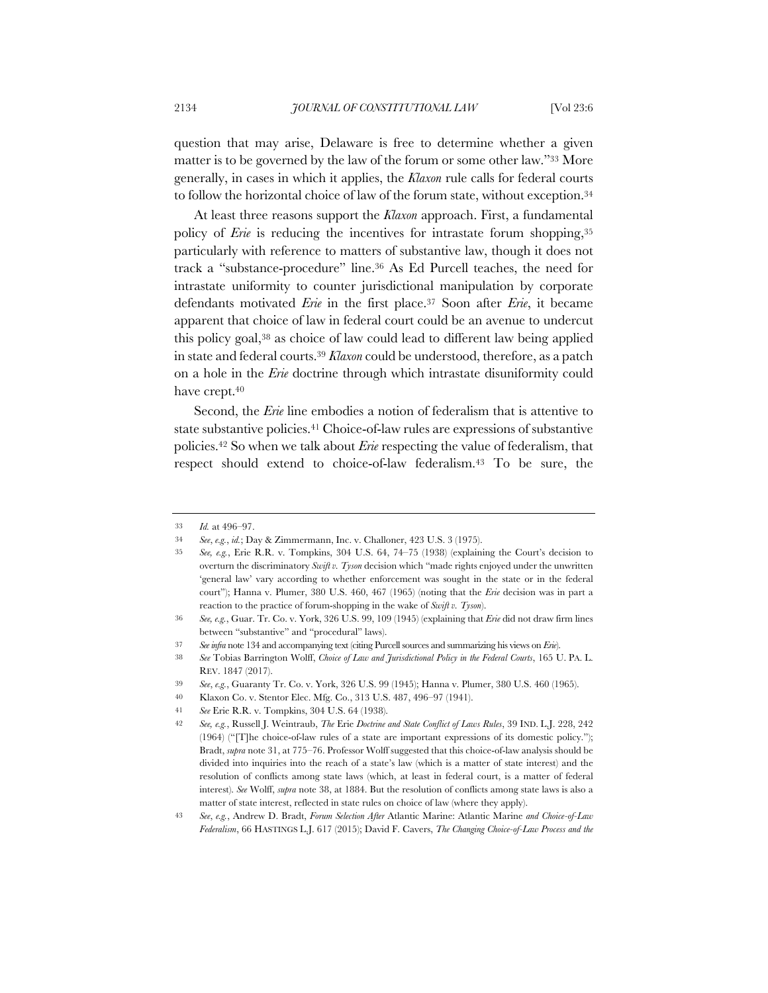question that may arise, Delaware is free to determine whether a given matter is to be governed by the law of the forum or some other law."33 More generally, in cases in which it applies, the *Klaxon* rule calls for federal courts to follow the horizontal choice of law of the forum state, without exception.34

At least three reasons support the *Klaxon* approach. First, a fundamental policy of *Erie* is reducing the incentives for intrastate forum shopping,<sup>35</sup> particularly with reference to matters of substantive law, though it does not track a "substance-procedure" line.36 As Ed Purcell teaches, the need for intrastate uniformity to counter jurisdictional manipulation by corporate defendants motivated *Erie* in the first place.37 Soon after *Erie*, it became apparent that choice of law in federal court could be an avenue to undercut this policy goal,38 as choice of law could lead to different law being applied in state and federal courts.39 *Klaxon* could be understood, therefore, as a patch on a hole in the *Erie* doctrine through which intrastate disuniformity could have crept.40

Second, the *Erie* line embodies a notion of federalism that is attentive to state substantive policies.41 Choice-of-law rules are expressions of substantive policies.42 So when we talk about *Erie* respecting the value of federalism, that respect should extend to choice-of-law federalism.43 To be sure, the

<sup>33</sup> *Id.* at 496–97.

<sup>34</sup> *See*, *e.g.*, *id.*; Day & Zimmermann, Inc. v. Challoner, 423 U.S. 3 (1975).

<sup>35</sup> *See, e.g.*, Erie R.R. v. Tompkins, 304 U.S. 64, 74–75 (1938) (explaining the Court's decision to overturn the discriminatory *Swift v. Tyson* decision which "made rights enjoyed under the unwritten 'general law' vary according to whether enforcement was sought in the state or in the federal court"); Hanna v. Plumer, 380 U.S. 460, 467 (1965) (noting that the *Erie* decision was in part a reaction to the practice of forum-shopping in the wake of *Swift v. Tyson*).

<sup>36</sup> *See, e.g.*, Guar. Tr. Co. v. York, 326 U.S. 99, 109 (1945) (explaining that *Erie* did not draw firm lines between "substantive" and "procedural" laws).

<sup>37</sup> *See infra* note 134 and accompanying text (citing Purcell sources and summarizing his views on *Erie*).

<sup>38</sup> *See* Tobias Barrington Wolff, *Choice of Law and Jurisdictional Policy in the Federal Courts*, 165 U. PA. L. REV. 1847 (2017).

<sup>39</sup> *See*, *e.g.*, Guaranty Tr. Co. v. York, 326 U.S. 99 (1945); Hanna v. Plumer, 380 U.S. 460 (1965).

<sup>40</sup> Klaxon Co. v. Stentor Elec. Mfg. Co., 313 U.S. 487, 496–97 (1941).

<sup>41</sup> *See* Erie R.R. v. Tompkins, 304 U.S. 64 (1938).

<sup>42</sup> *See, e.g.*, Russell J. Weintraub, *The* Erie *Doctrine and State Conflict of Laws Rules*, 39 IND. L.J. 228, 242 (1964) ("[T]he choice-of-law rules of a state are important expressions of its domestic policy."); Bradt, *supra* note 31, at 775–76. Professor Wolff suggested that this choice-of-law analysis should be divided into inquiries into the reach of a state's law (which is a matter of state interest) and the resolution of conflicts among state laws (which, at least in federal court, is a matter of federal interest). *See* Wolff, *supra* note 38, at 1884. But the resolution of conflicts among state laws is also a matter of state interest, reflected in state rules on choice of law (where they apply).

<sup>43</sup> *See*, *e.g.*, Andrew D. Bradt, *Forum Selection After* Atlantic Marine: Atlantic Marine *and Choice-of-Law Federalism*, 66 HASTINGS L.J. 617 (2015); David F. Cavers, *The Changing Choice-of-Law Process and the*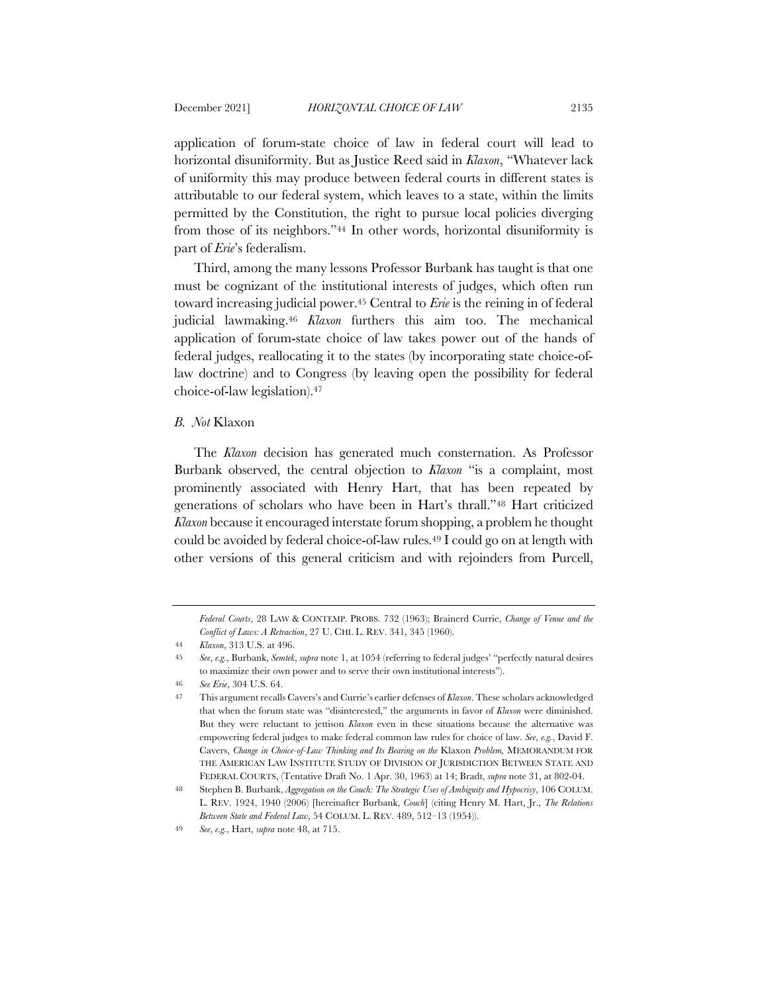application of forum-state choice of law in federal court will lead to horizontal disuniformity. But as Justice Reed said in *Klaxon*, "Whatever lack of uniformity this may produce between federal courts in different states is attributable to our federal system, which leaves to a state, within the limits permitted by the Constitution, the right to pursue local policies diverging from those of its neighbors."44 In other words, horizontal disuniformity is part of *Erie*'s federalism.

Third, among the many lessons Professor Burbank has taught is that one must be cognizant of the institutional interests of judges, which often run toward increasing judicial power.45 Central to *Erie* is the reining in of federal judicial lawmaking.46 *Klaxon* furthers this aim too. The mechanical application of forum-state choice of law takes power out of the hands of federal judges, reallocating it to the states (by incorporating state choice-oflaw doctrine) and to Congress (by leaving open the possibility for federal choice-of-law legislation).47

### *B. Not* Klaxon

The *Klaxon* decision has generated much consternation. As Professor Burbank observed, the central objection to *Klaxon* "is a complaint, most prominently associated with Henry Hart, that has been repeated by generations of scholars who have been in Hart's thrall."48 Hart criticized *Klaxon* because it encouraged interstate forum shopping, a problem he thought could be avoided by federal choice-of-law rules.49 I could go on at length with other versions of this general criticism and with rejoinders from Purcell,

*Federal Courts*, 28 LAW & CONTEMP. PROBS. 732 (1963); Brainerd Currie, *Change of Venue and the Conflict of Laws: A Retraction*, 27 U. CHI. L. REV. 341, 345 (1960).

<sup>44</sup> *Klaxon*, 313 U.S. at 496.

<sup>45</sup> *See*, *e.g.*, Burbank, *Semtek*, *supra* note 1, at 1054 (referring to federal judges' "perfectly natural desires to maximize their own power and to serve their own institutional interests").

<sup>46</sup> *See Erie*, 304 U.S. 64.

<sup>47</sup> This argument recalls Cavers's and Currie's earlier defenses of *Klaxon*. These scholars acknowledged that when the forum state was "disinterested," the arguments in favor of *Klaxon* were diminished. But they were reluctant to jettison *Klaxon* even in these situations because the alternative was empowering federal judges to make federal common law rules for choice of law. *See*, *e.g.*, David F. Cavers, *Change in Choice-of-Law Thinking and Its Bearing on the* Klaxon *Problem,* MEMORANDUM FOR THE AMERICAN LAW INSTITUTE STUDY OF DIVISION OF JURISDICTION BETWEEN STATE AND FEDERAL COURTS, (Tentative Draft No. 1 Apr. 30, 1963) at 14; Bradt, *supra* note 31, at 802-04.

<sup>48</sup> Stephen B. Burbank, *Aggregation on the Couch: The Strategic Uses of Ambiguity and Hypocrisy*, 106 COLUM. L. REV. 1924, 1940 (2006) [hereinafter Burbank, *Couch*] (citing Henry M. Hart, Jr., *The Relations Between State and Federal Law*, 54 COLUM. L. REV. 489, 512–13 (1954)).

<sup>49</sup> *See*, *e.g.*, Hart, *supra* note 48, at 715.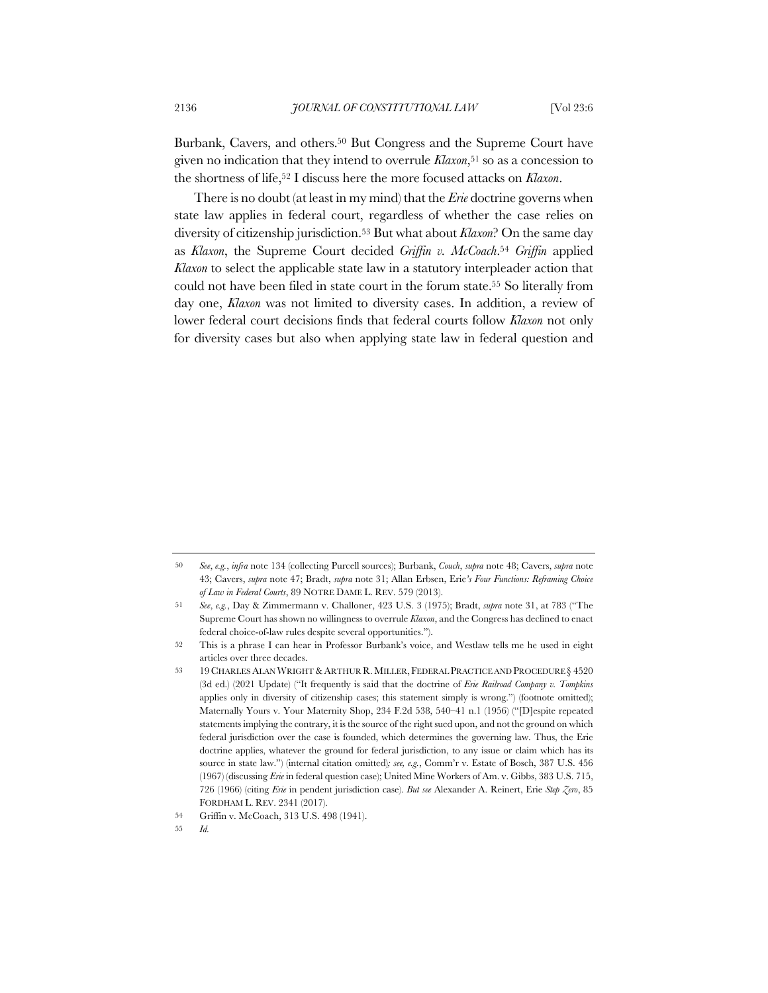Burbank, Cavers, and others.50 But Congress and the Supreme Court have given no indication that they intend to overrule *Klaxon*,51 so as a concession to the shortness of life,52 I discuss here the more focused attacks on *Klaxon*.

There is no doubt (at least in my mind) that the *Erie* doctrine governs when state law applies in federal court, regardless of whether the case relies on diversity of citizenship jurisdiction.53 But what about *Klaxon*? On the same day as *Klaxon*, the Supreme Court decided *Griffin v. McCoach*.54 *Griffin* applied *Klaxon* to select the applicable state law in a statutory interpleader action that could not have been filed in state court in the forum state.55 So literally from day one, *Klaxon* was not limited to diversity cases. In addition, a review of lower federal court decisions finds that federal courts follow *Klaxon* not only for diversity cases but also when applying state law in federal question and

<sup>50</sup> *See*, *e.g.*, *infra* note 134 (collecting Purcell sources); Burbank, *Couch*, *supra* note 48; Cavers, *supra* note 43; Cavers, *supra* note 47; Bradt, *supra* note 31; Allan Erbsen, Erie*'s Four Functions: Reframing Choice of Law in Federal Courts*, 89 NOTRE DAME L. REV. 579 (2013).

<sup>51</sup> *See*, *e.g.*, Day & Zimmermann v. Challoner, 423 U.S. 3 (1975); Bradt, *supra* note 31, at 783 ("The Supreme Court has shown no willingness to overrule *Klaxon*, and the Congress has declined to enact federal choice-of-law rules despite several opportunities.").

<sup>52</sup> This is a phrase I can hear in Professor Burbank's voice, and Westlaw tells me he used in eight articles over three decades.

<sup>53 19</sup> CHARLES ALAN WRIGHT & ARTHUR R. MILLER, FEDERAL PRACTICE AND PROCEDURE § 4520 (3d ed.) (2021 Update) ("It frequently is said that the doctrine of *Erie Railroad Company v. Tompkins* applies only in diversity of citizenship cases; this statement simply is wrong.") (footnote omitted); Maternally Yours v. Your Maternity Shop, 234 F.2d 538, 540–41 n.1 (1956) ("[D]espite repeated statements implying the contrary, it is the source of the right sued upon, and not the ground on which federal jurisdiction over the case is founded, which determines the governing law. Thus, the Erie doctrine applies, whatever the ground for federal jurisdiction, to any issue or claim which has its source in state law.") (internal citation omitted)*; see, e.g.*, Comm'r v. Estate of Bosch, 387 U.S. 456 (1967) (discussing *Erie* in federal question case); United Mine Workers of Am. v. Gibbs, 383 U.S. 715, 726 (1966) (citing *Erie* in pendent jurisdiction case). *But see* Alexander A. Reinert, Erie *Step Zero*, 85 FORDHAM L. REV. 2341 (2017).

<sup>54</sup> Griffin v. McCoach, 313 U.S. 498 (1941).

<sup>55</sup> *Id.*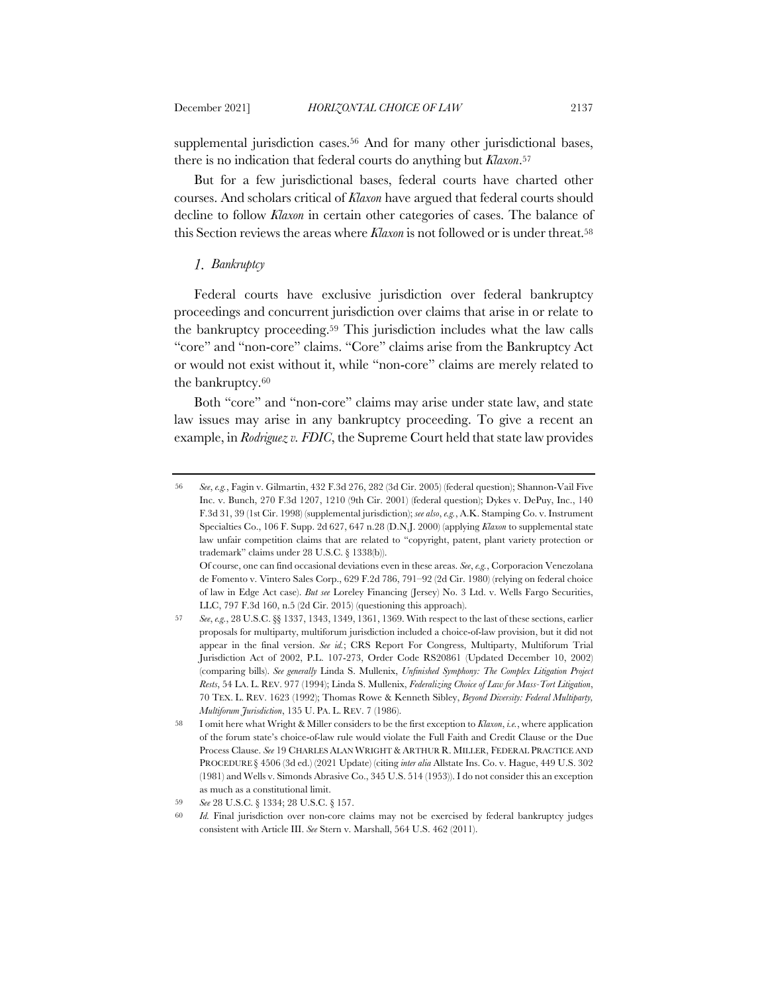supplemental jurisdiction cases.<sup>56</sup> And for many other jurisdictional bases, there is no indication that federal courts do anything but *Klaxon*.57

But for a few jurisdictional bases, federal courts have charted other courses. And scholars critical of *Klaxon* have argued that federal courts should decline to follow *Klaxon* in certain other categories of cases. The balance of this Section reviews the areas where *Klaxon* is not followed or is under threat.58

### *Bankruptcy*

Federal courts have exclusive jurisdiction over federal bankruptcy proceedings and concurrent jurisdiction over claims that arise in or relate to the bankruptcy proceeding.59 This jurisdiction includes what the law calls "core" and "non-core" claims. "Core" claims arise from the Bankruptcy Act or would not exist without it, while "non-core" claims are merely related to the bankruptcy.60

Both "core" and "non-core" claims may arise under state law, and state law issues may arise in any bankruptcy proceeding. To give a recent an example, in *Rodriguez v. FDIC*, the Supreme Court held that state law provides

<sup>56</sup> *See*, *e.g.*, Fagin v. Gilmartin, 432 F.3d 276, 282 (3d Cir. 2005) (federal question); Shannon-Vail Five Inc. v. Bunch, 270 F.3d 1207, 1210 (9th Cir. 2001) (federal question); Dykes v. DePuy, Inc., 140 F.3d 31, 39 (1st Cir. 1998) (supplemental jurisdiction); *see also*, *e.g.*, A.K. Stamping Co. v. Instrument Specialties Co., 106 F. Supp. 2d 627, 647 n.28 (D.N.J. 2000) (applying *Klaxon* to supplemental state law unfair competition claims that are related to "copyright, patent, plant variety protection or trademark" claims under 28 U.S.C. § 1338(b)).

Of course, one can find occasional deviations even in these areas. *See*, *e.g.*, Corporacion Venezolana de Fomento v. Vintero Sales Corp., 629 F.2d 786, 791–92 (2d Cir. 1980) (relying on federal choice of law in Edge Act case). *But see* Loreley Financing (Jersey) No. 3 Ltd. v. Wells Fargo Securities, LLC, 797 F.3d 160, n.5 (2d Cir. 2015) (questioning this approach).

<sup>57</sup> *See*, *e.g.*, 28 U.S.C. §§ 1337, 1343, 1349, 1361, 1369. With respect to the last of these sections, earlier proposals for multiparty, multiforum jurisdiction included a choice-of-law provision, but it did not appear in the final version. *See id.*; CRS Report For Congress, Multiparty, Multiforum Trial Jurisdiction Act of 2002, P.L. 107-273, Order Code RS20861 (Updated December 10, 2002) (comparing bills). *See generally* Linda S. Mullenix, *Unfinished Symphony: The Complex Litigation Project Rests*, 54 LA. L. REV. 977 (1994); Linda S. Mullenix, *Federalizing Choice of Law for Mass-Tort Litigation*, 70 TEX. L. REV. 1623 (1992); Thomas Rowe & Kenneth Sibley, *Beyond Diversity: Federal Multiparty, Multiforum Jurisdiction*, 135 U. PA. L. REV. 7 (1986).

<sup>58</sup> I omit here what Wright & Miller considers to be the first exception to *Klaxon*, *i.e.*, where application of the forum state's choice-of-law rule would violate the Full Faith and Credit Clause or the Due Process Clause. *See* 19 CHARLES ALAN WRIGHT & ARTHUR R. MILLER, FEDERAL PRACTICE AND PROCEDURE § 4506 (3d ed.) (2021 Update) (citing *inter alia* Allstate Ins. Co. v. Hague, 449 U.S. 302 (1981) and Wells v. Simonds Abrasive Co., 345 U.S. 514 (1953)). I do not consider this an exception as much as a constitutional limit.

<sup>59</sup> *See* 28 U.S.C. § 1334; 28 U.S.C. § 157.

<sup>60</sup> *Id.* Final jurisdiction over non-core claims may not be exercised by federal bankruptcy judges consistent with Article III. *See* Stern v. Marshall, 564 U.S. 462 (2011).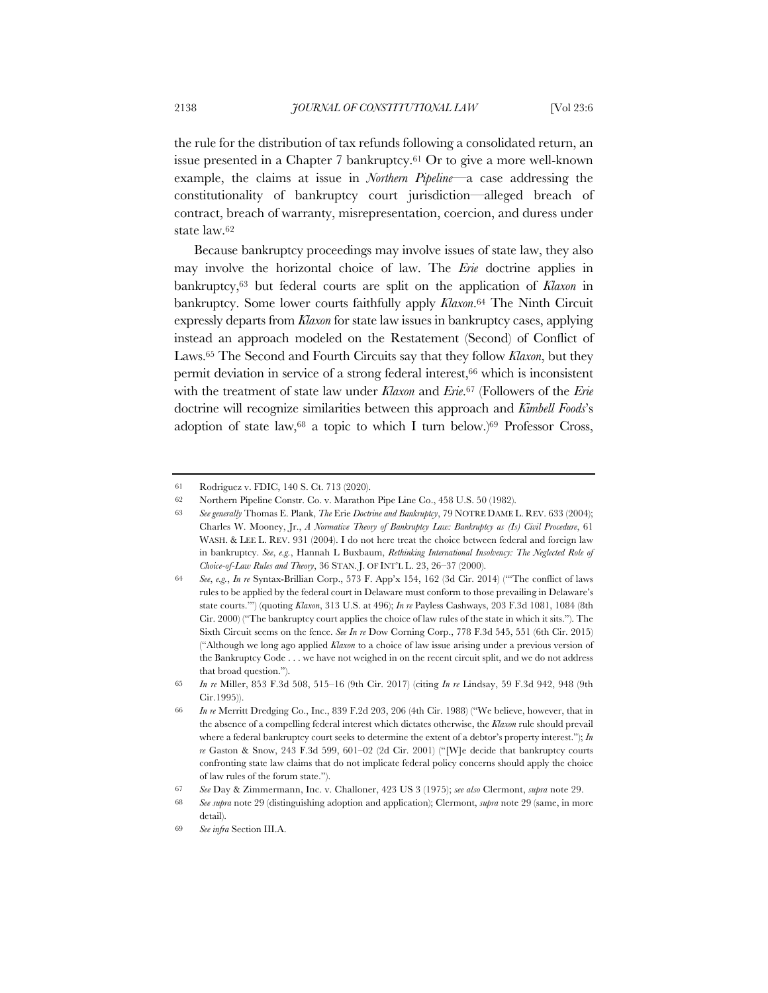the rule for the distribution of tax refunds following a consolidated return, an issue presented in a Chapter 7 bankruptcy.61 Or to give a more well-known example, the claims at issue in *Northern Pipeline*—a case addressing the constitutionality of bankruptcy court jurisdiction—alleged breach of contract, breach of warranty, misrepresentation, coercion, and duress under state law.62

Because bankruptcy proceedings may involve issues of state law, they also may involve the horizontal choice of law. The *Erie* doctrine applies in bankruptcy,63 but federal courts are split on the application of *Klaxon* in bankruptcy. Some lower courts faithfully apply *Klaxon*.64 The Ninth Circuit expressly departs from *Klaxon* for state law issues in bankruptcy cases, applying instead an approach modeled on the Restatement (Second) of Conflict of Laws.65 The Second and Fourth Circuits say that they follow *Klaxon*, but they permit deviation in service of a strong federal interest,66 which is inconsistent with the treatment of state law under *Klaxon* and *Erie*.67 (Followers of the *Erie* doctrine will recognize similarities between this approach and *Kimbell Foods*'s adoption of state law,<sup>68</sup> a topic to which I turn below.)<sup>69</sup> Professor Cross,

<sup>61</sup> Rodriguez v. FDIC, 140 S. Ct. 713 (2020).

<sup>62</sup> Northern Pipeline Constr. Co. v. Marathon Pipe Line Co., 458 U.S. 50 (1982).

<sup>63</sup> *See generally* Thomas E. Plank, *The* Erie *Doctrine and Bankruptcy*, 79 NOTRE DAME L. REV. 633 (2004); Charles W. Mooney, Jr., *A Normative Theory of Bankruptcy Law: Bankruptcy as (Is) Civil Procedure*, 61 WASH. & LEE L. REV. 931 (2004). I do not here treat the choice between federal and foreign law in bankruptcy. *See*, *e.g.*, Hannah L Buxbaum, *Rethinking International Insolvency: The Neglected Role of Choice-of-Law Rules and Theory*, 36 STAN. J. OF INT'L L. 23, 26–37 (2000).

<sup>64</sup> *See*, *e.g.*, *In re* Syntax-Brillian Corp., 573 F. App'x 154, 162 (3d Cir. 2014) ("'The conflict of laws rules to be applied by the federal court in Delaware must conform to those prevailing in Delaware's state courts.'") (quoting *Klaxon*, 313 U.S. at 496); *In re* Payless Cashways, 203 F.3d 1081, 1084 (8th Cir. 2000) ("The bankruptcy court applies the choice of law rules of the state in which it sits."). The Sixth Circuit seems on the fence. *See In re* Dow Corning Corp., 778 F.3d 545, 551 (6th Cir. 2015) ("Although we long ago applied *Klaxon* to a choice of law issue arising under a previous version of the Bankruptcy Code . . . we have not weighed in on the recent circuit split, and we do not address that broad question.").

<sup>65</sup> *In re* Miller, 853 F.3d 508, 515–16 (9th Cir. 2017) (citing *In re* Lindsay, 59 F.3d 942, 948 (9th Cir.1995)).

<sup>66</sup> *In re* Merritt Dredging Co., Inc., 839 F.2d 203, 206 (4th Cir. 1988) ("We believe, however, that in the absence of a compelling federal interest which dictates otherwise, the *Klaxon* rule should prevail where a federal bankruptcy court seeks to determine the extent of a debtor's property interest."); *In re* Gaston & Snow, 243 F.3d 599, 601–02 (2d Cir. 2001) ("[W]e decide that bankruptcy courts confronting state law claims that do not implicate federal policy concerns should apply the choice of law rules of the forum state.").

<sup>67</sup> *See* Day & Zimmermann, Inc. v. Challoner, 423 US 3 (1975); *see also* Clermont, *supra* note 29.

<sup>68</sup> *See supra* note 29 (distinguishing adoption and application); Clermont, *supra* note 29 (same, in more detail).

<sup>69</sup> *See infra* Section III.A.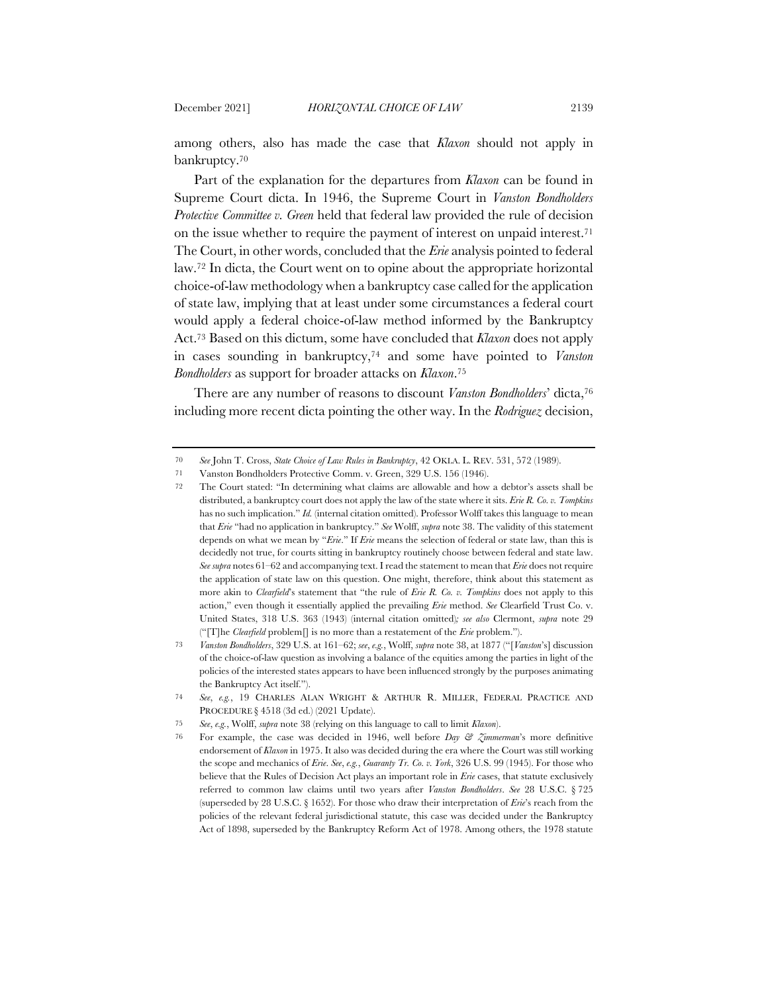among others, also has made the case that *Klaxon* should not apply in bankruptcy.70

Part of the explanation for the departures from *Klaxon* can be found in Supreme Court dicta. In 1946, the Supreme Court in *Vanston Bondholders Protective Committee v. Green* held that federal law provided the rule of decision on the issue whether to require the payment of interest on unpaid interest.71 The Court, in other words, concluded that the *Erie* analysis pointed to federal law.72 In dicta, the Court went on to opine about the appropriate horizontal choice-of-law methodology when a bankruptcy case called for the application of state law, implying that at least under some circumstances a federal court would apply a federal choice-of-law method informed by the Bankruptcy Act.73 Based on this dictum, some have concluded that *Klaxon* does not apply in cases sounding in bankruptcy,74 and some have pointed to *Vanston Bondholders* as support for broader attacks on *Klaxon*.75

There are any number of reasons to discount *Vanston Bondholders*' dicta,76 including more recent dicta pointing the other way. In the *Rodriguez* decision,

<sup>70</sup> *See* John T. Cross, *State Choice of Law Rules in Bankruptcy*, 42 OKLA. L. REV. 531, 572 (1989).

<sup>71</sup> Vanston Bondholders Protective Comm. v. Green, 329 U.S. 156 (1946).

<sup>72</sup> The Court stated: "In determining what claims are allowable and how a debtor's assets shall be distributed, a bankruptcy court does not apply the law of the state where it sits. *Erie R. Co. v. Tompkins* has no such implication." *Id.* (internal citation omitted). Professor Wolff takes this language to mean that *Erie* "had no application in bankruptcy." *See* Wolff, *supra* note 38. The validity of this statement depends on what we mean by "*Erie*." If *Erie* means the selection of federal or state law, than this is decidedly not true, for courts sitting in bankruptcy routinely choose between federal and state law. *See supra* notes 61–62 and accompanying text. I read the statement to mean that *Erie* does not require the application of state law on this question. One might, therefore, think about this statement as more akin to *Clearfield*'s statement that "the rule of *Erie R. Co. v. Tompkins* does not apply to this action," even though it essentially applied the prevailing *Erie* method. *See* Clearfield Trust Co. v. United States, 318 U.S. 363 (1943) (internal citation omitted)*; see also* Clermont, *supra* note 29 ("[T]he *Clearfield* problem[] is no more than a restatement of the *Erie* problem.").

<sup>73</sup> *Vanston Bondholders*, 329 U.S. at 161–62; *see*, *e.g.*, Wolff, *supra* note 38, at 1877 ("[*Vanston*'s] discussion of the choice-of-law question as involving a balance of the equities among the parties in light of the policies of the interested states appears to have been influenced strongly by the purposes animating the Bankruptcy Act itself.").

<sup>74</sup> *See*, *e.g.*, 19 CHARLES ALAN WRIGHT & ARTHUR R. MILLER, FEDERAL PRACTICE AND PROCEDURE § 4518 (3d ed.) (2021 Update).

<sup>75</sup> *See*, *e.g.*, Wolff, *supra* note 38 (relying on this language to call to limit *Klaxon*).

<sup>76</sup> For example, the case was decided in 1946, well before *Day & Zimmerman*'s more definitive endorsement of *Klaxon* in 1975. It also was decided during the era where the Court was still working the scope and mechanics of *Erie*. *See*, *e.g.*, *Guaranty Tr. Co. v. York*, 326 U.S. 99 (1945). For those who believe that the Rules of Decision Act plays an important role in *Erie* cases, that statute exclusively referred to common law claims until two years after *Vanston Bondholders*. *See* 28 U.S.C. § 725 (superseded by 28 U.S.C. § 1652). For those who draw their interpretation of *Erie*'s reach from the policies of the relevant federal jurisdictional statute, this case was decided under the Bankruptcy Act of 1898, superseded by the Bankruptcy Reform Act of 1978. Among others, the 1978 statute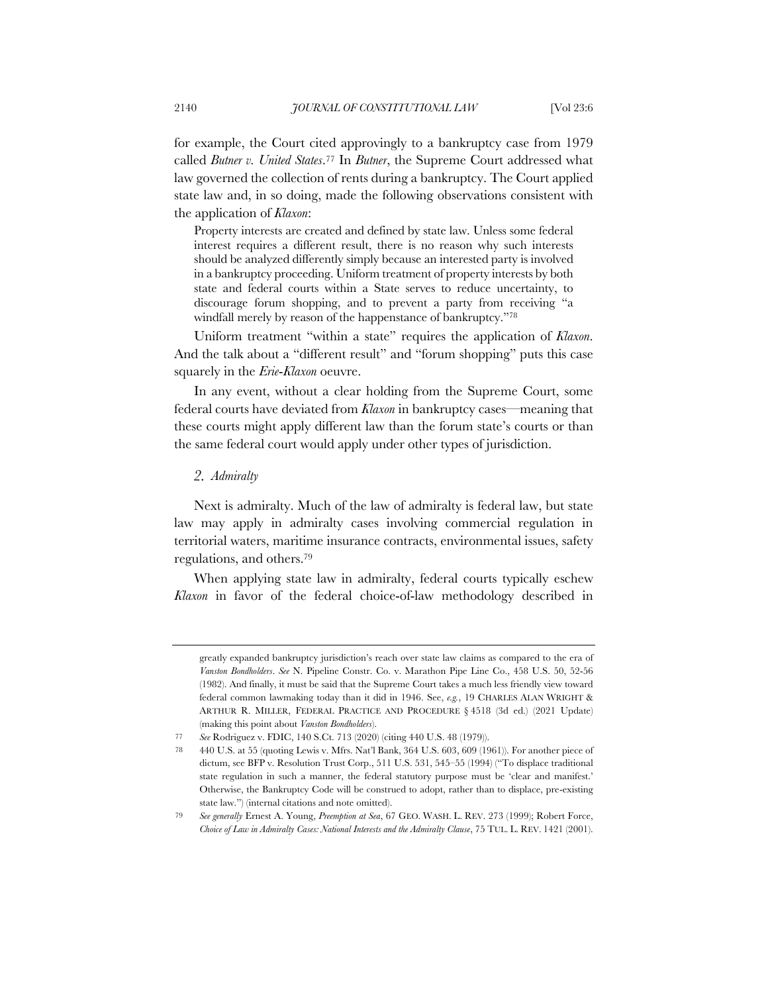for example, the Court cited approvingly to a bankruptcy case from 1979 called *Butner v. United States*.77 In *Butner*, the Supreme Court addressed what law governed the collection of rents during a bankruptcy. The Court applied state law and, in so doing, made the following observations consistent with the application of *Klaxon*:

Property interests are created and defined by state law. Unless some federal interest requires a different result, there is no reason why such interests should be analyzed differently simply because an interested party is involved in a bankruptcy proceeding. Uniform treatment of property interests by both state and federal courts within a State serves to reduce uncertainty, to discourage forum shopping, and to prevent a party from receiving "a windfall merely by reason of the happenstance of bankruptcy."78

Uniform treatment "within a state" requires the application of *Klaxon*. And the talk about a "different result" and "forum shopping" puts this case squarely in the *Erie*-*Klaxon* oeuvre.

In any event, without a clear holding from the Supreme Court, some federal courts have deviated from *Klaxon* in bankruptcy cases—meaning that these courts might apply different law than the forum state's courts or than the same federal court would apply under other types of jurisdiction.

### *Admiralty*

Next is admiralty. Much of the law of admiralty is federal law, but state law may apply in admiralty cases involving commercial regulation in territorial waters, maritime insurance contracts, environmental issues, safety regulations, and others.79

When applying state law in admiralty, federal courts typically eschew *Klaxon* in favor of the federal choice-of-law methodology described in

greatly expanded bankruptcy jurisdiction's reach over state law claims as compared to the era of *Vanston Bondholders*. *See* N. Pipeline Constr. Co. v. Marathon Pipe Line Co., 458 U.S. 50, 52-56 (1982). And finally, it must be said that the Supreme Court takes a much less friendly view toward federal common lawmaking today than it did in 1946. See, *e.g.*, 19 CHARLES ALAN WRIGHT & ARTHUR R. MILLER, FEDERAL PRACTICE AND PROCEDURE § 4518 (3d ed.) (2021 Update) (making this point about *Vanston Bondholders*).

<sup>77</sup> *See* Rodriguez v. FDIC, 140 S.Ct. 713 (2020) (citing 440 U.S. 48 (1979)).

<sup>78</sup> 440 U.S. at 55 (quoting Lewis v. Mfrs. Nat'l Bank, 364 U.S. 603, 609 (1961)). For another piece of dictum, see BFP v. Resolution Trust Corp., 511 U.S. 531, 545–55 (1994) ("To displace traditional state regulation in such a manner, the federal statutory purpose must be 'clear and manifest.' Otherwise, the Bankruptcy Code will be construed to adopt, rather than to displace, pre-existing state law.") (internal citations and note omitted).

<sup>79</sup> *See generally* Ernest A. Young, *Preemption at Sea*, 67 GEO. WASH. L. REV. 273 (1999); Robert Force, *Choice of Law in Admiralty Cases: National Interests and the Admiralty Clause*, 75 TUL. L. REV. 1421 (2001).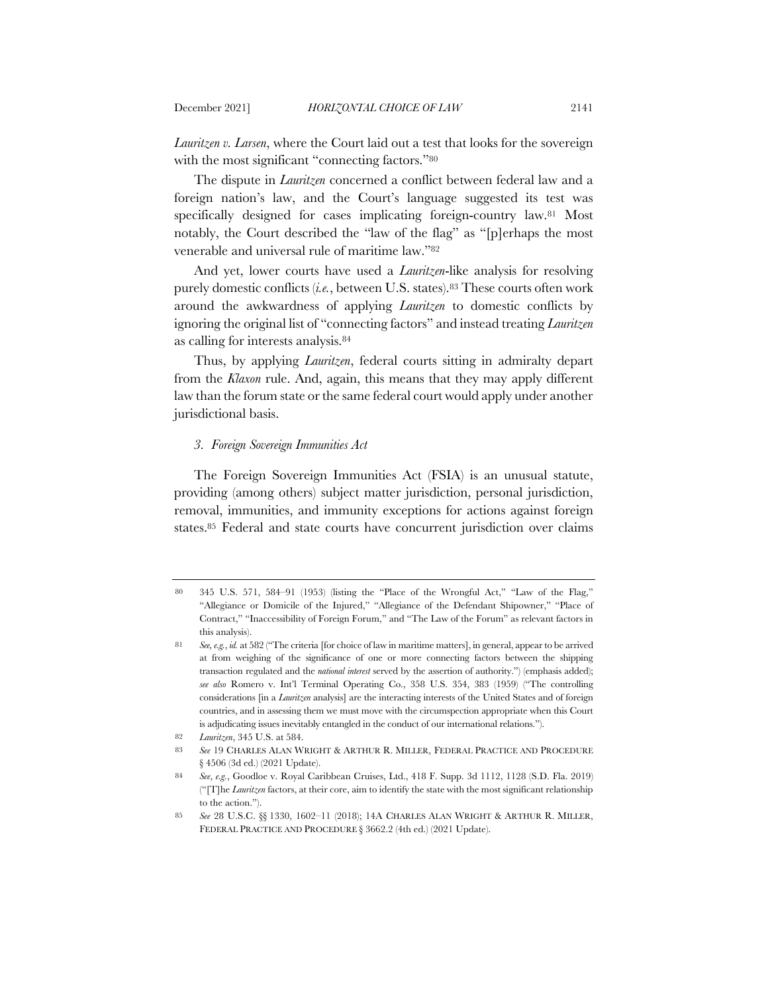*Lauritzen v. Larsen*, where the Court laid out a test that looks for the sovereign with the most significant "connecting factors."<sup>80</sup>

The dispute in *Lauritzen* concerned a conflict between federal law and a foreign nation's law, and the Court's language suggested its test was specifically designed for cases implicating foreign-country law.<sup>81</sup> Most notably, the Court described the "law of the flag" as "[p]erhaps the most venerable and universal rule of maritime law."82

And yet, lower courts have used a *Lauritzen*-like analysis for resolving purely domestic conflicts (*i.e.*, between U.S. states).<sup>83</sup> These courts often work around the awkwardness of applying *Lauritzen* to domestic conflicts by ignoring the original list of "connecting factors" and instead treating *Lauritzen* as calling for interests analysis.84

Thus, by applying *Lauritzen*, federal courts sitting in admiralty depart from the *Klaxon* rule. And, again, this means that they may apply different law than the forum state or the same federal court would apply under another jurisdictional basis.

### *3. Foreign Sovereign Immunities Act*

The Foreign Sovereign Immunities Act (FSIA) is an unusual statute, providing (among others) subject matter jurisdiction, personal jurisdiction, removal, immunities, and immunity exceptions for actions against foreign states.85 Federal and state courts have concurrent jurisdiction over claims

<sup>80</sup> 345 U.S. 571, 584–91 (1953) (listing the "Place of the Wrongful Act," "Law of the Flag," "Allegiance or Domicile of the Injured," "Allegiance of the Defendant Shipowner," "Place of Contract," "Inaccessibility of Foreign Forum," and "The Law of the Forum" as relevant factors in this analysis).

<sup>81</sup> *See, e.g.*, *id.* at 582 ("The criteria [for choice of law in maritime matters], in general, appear to be arrived at from weighing of the significance of one or more connecting factors between the shipping transaction regulated and the *national interest* served by the assertion of authority.") (emphasis added); *see also* Romero v. Int'l Terminal Operating Co., 358 U.S. 354, 383 (1959) ("The controlling considerations [in a *Lauritzen* analysis] are the interacting interests of the United States and of foreign countries, and in assessing them we must move with the circumspection appropriate when this Court is adjudicating issues inevitably entangled in the conduct of our international relations.").

<sup>82</sup> *Lauritzen*, 345 U.S. at 584.

<sup>83</sup> *See* 19 CHARLES ALAN WRIGHT & ARTHUR R. MILLER, FEDERAL PRACTICE AND PROCEDURE § 4506 (3d ed.) (2021 Update).

<sup>84</sup> *See*, *e.g.*, Goodloe v. Royal Caribbean Cruises, Ltd., 418 F. Supp. 3d 1112, 1128 (S.D. Fla. 2019) ("[T]he *Lauritzen* factors, at their core, aim to identify the state with the most significant relationship to the action.").

<sup>85</sup> *See* 28 U.S.C. §§ 1330, 1602–11 (2018); 14A CHARLES ALAN WRIGHT & ARTHUR R. MILLER, FEDERAL PRACTICE AND PROCEDURE § 3662.2 (4th ed.) (2021 Update).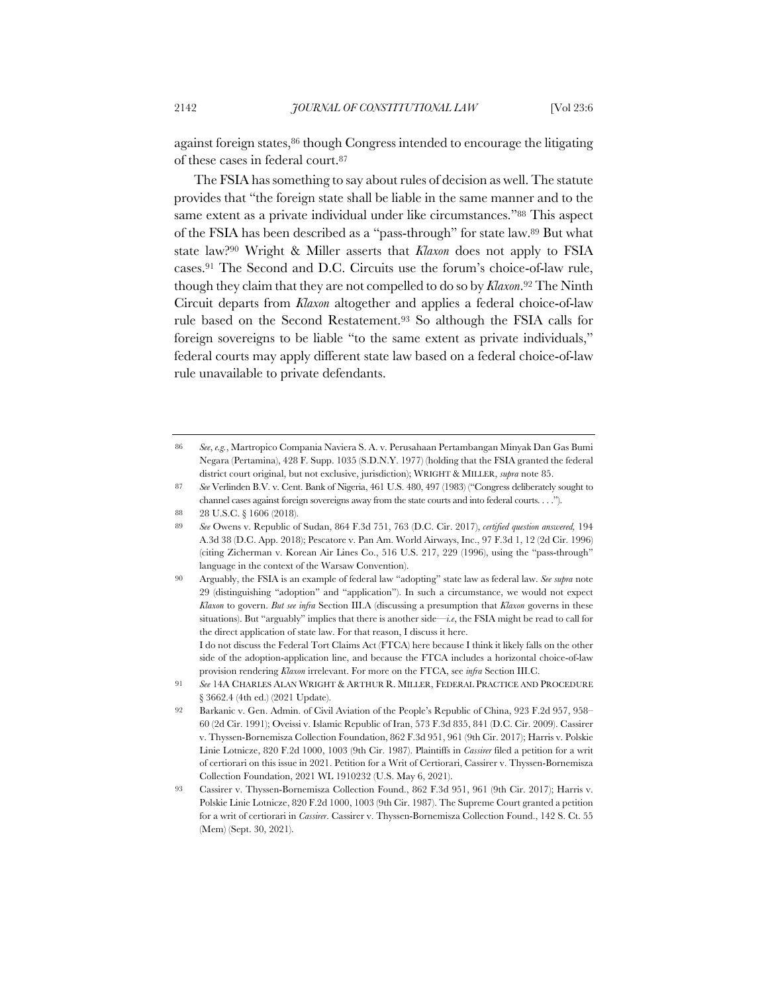against foreign states,86 though Congress intended to encourage the litigating of these cases in federal court.87

The FSIA has something to say about rules of decision as well. The statute provides that "the foreign state shall be liable in the same manner and to the same extent as a private individual under like circumstances."88 This aspect of the FSIA has been described as a "pass-through" for state law.89 But what state law?90 Wright & Miller asserts that *Klaxon* does not apply to FSIA cases.91 The Second and D.C. Circuits use the forum's choice-of-law rule, though they claim that they are not compelled to do so by *Klaxon*.92 The Ninth Circuit departs from *Klaxon* altogether and applies a federal choice-of-law rule based on the Second Restatement.93 So although the FSIA calls for foreign sovereigns to be liable "to the same extent as private individuals," federal courts may apply different state law based on a federal choice-of-law rule unavailable to private defendants.

I do not discuss the Federal Tort Claims Act (FTCA) here because I think it likely falls on the other side of the adoption-application line, and because the FTCA includes a horizontal choice-of-law provision rendering *Klaxon* irrelevant. For more on the FTCA, see *infra* Section III.C.

<sup>86</sup> *See*, *e.g.*, Martropico Compania Naviera S. A. v. Perusahaan Pertambangan Minyak Dan Gas Bumi Negara (Pertamina), 428 F. Supp. 1035 (S.D.N.Y. 1977) (holding that the FSIA granted the federal district court original, but not exclusive, jurisdiction); WRIGHT & MILLER, *supra* note 85.

<sup>87</sup> *See* Verlinden B.V. v. Cent. Bank of Nigeria, 461 U.S. 480, 497 (1983) ("Congress deliberately sought to channel cases against foreign sovereigns away from the state courts and into federal courts. . . .").

<sup>88 28</sup> U.S.C. § 1606 (2018).

<sup>89</sup> *See* Owens v. Republic of Sudan, 864 F.3d 751, 763 (D.C. Cir. 2017), *certified question answered,* 194 A.3d 38 (D.C. App. 2018); Pescatore v. Pan Am. World Airways, Inc., 97 F.3d 1, 12 (2d Cir. 1996) (citing Zicherman v. Korean Air Lines Co., 516 U.S. 217, 229 (1996), using the "pass-through" language in the context of the Warsaw Convention).

<sup>90</sup> Arguably, the FSIA is an example of federal law "adopting" state law as federal law. *See supra* note 29 (distinguishing "adoption" and "application"). In such a circumstance, we would not expect *Klaxon* to govern. *But see infra* Section III.A (discussing a presumption that *Klaxon* governs in these situations). But "arguably" implies that there is another side—*i.e*, the FSIA might be read to call for the direct application of state law. For that reason, I discuss it here.

<sup>91</sup> *See* 14A CHARLES ALAN WRIGHT & ARTHUR R. MILLER, FEDERAL PRACTICE AND PROCEDURE § 3662.4 (4th ed.) (2021 Update).

<sup>92</sup> Barkanic v. Gen. Admin. of Civil Aviation of the People's Republic of China, 923 F.2d 957, 958– 60 (2d Cir. 1991); Oveissi v. Islamic Republic of Iran, 573 F.3d 835, 841 (D.C. Cir. 2009). Cassirer v. Thyssen-Bornemisza Collection Foundation, 862 F.3d 951, 961 (9th Cir. 2017); Harris v. Polskie Linie Lotnicze, 820 F.2d 1000, 1003 (9th Cir. 1987). Plaintiffs in *Cassirer* filed a petition for a writ of certiorari on this issue in 2021. Petition for a Writ of Certiorari, Cassirer v. Thyssen-Bornemisza Collection Foundation, 2021 WL 1910232 (U.S. May 6, 2021).

<sup>93</sup> Cassirer v. Thyssen-Bornemisza Collection Found., 862 F.3d 951, 961 (9th Cir. 2017); Harris v. Polskie Linie Lotnicze, 820 F.2d 1000, 1003 (9th Cir. 1987). The Supreme Court granted a petition for a writ of certiorari in *Cassirer*. Cassirer v. Thyssen-Bornemisza Collection Found., 142 S. Ct. 55 (Mem) (Sept. 30, 2021).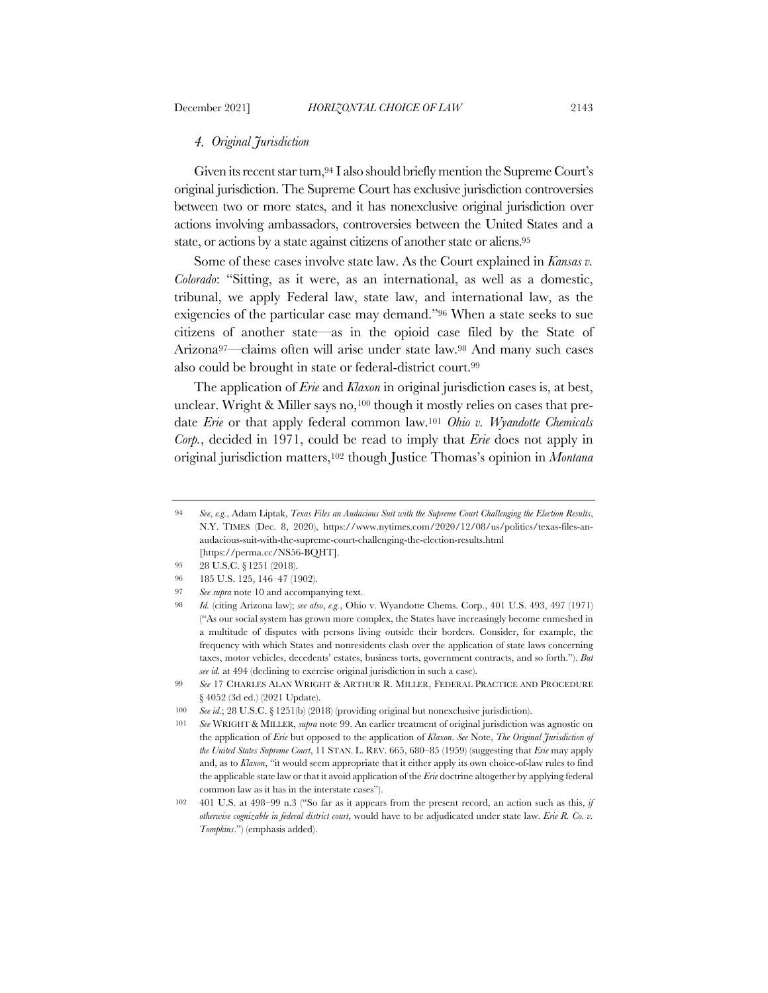## *Original Jurisdiction*

Given its recent star turn, 94 I also should briefly mention the Supreme Court's original jurisdiction. The Supreme Court has exclusive jurisdiction controversies between two or more states, and it has nonexclusive original jurisdiction over actions involving ambassadors, controversies between the United States and a state, or actions by a state against citizens of another state or aliens.95

Some of these cases involve state law. As the Court explained in *Kansas v. Colorado*: "Sitting, as it were, as an international, as well as a domestic, tribunal, we apply Federal law, state law, and international law, as the exigencies of the particular case may demand."96 When a state seeks to sue citizens of another state—as in the opioid case filed by the State of Arizona97—claims often will arise under state law.98 And many such cases also could be brought in state or federal-district court.99

The application of *Erie* and *Klaxon* in original jurisdiction cases is, at best, unclear. Wright & Miller says no,<sup>100</sup> though it mostly relies on cases that predate *Erie* or that apply federal common law.101 *Ohio v. Wyandotte Chemicals Corp.*, decided in 1971, could be read to imply that *Erie* does not apply in original jurisdiction matters,102 though Justice Thomas's opinion in *Montana* 

<sup>94</sup> *See*, *e.g.*, Adam Liptak, *Texas Files an Audacious Suit with the Supreme Court Challenging the Election Results*, N.Y. TIMES (Dec. 8, 2020), https://www.nytimes.com/2020/12/08/us/politics/texas-files-anaudacious-suit-with-the-supreme-court-challenging-the-election-results.html [https://perma.cc/NS56-BQHT].

<sup>95</sup> 28 U.S.C. § 1251 (2018).

<sup>96</sup> 185 U.S. 125, 146–47 (1902).

<sup>97</sup> *See supra* note 10 and accompanying text.

<sup>98</sup> *Id.* (citing Arizona law); *see also*, *e.g.*, Ohio v. Wyandotte Chems. Corp., 401 U.S. 493, 497 (1971) ("As our social system has grown more complex, the States have increasingly become enmeshed in a multitude of disputes with persons living outside their borders. Consider, for example, the frequency with which States and nonresidents clash over the application of state laws concerning taxes, motor vehicles, decedents' estates, business torts, government contracts, and so forth."). *But see id.* at 494 (declining to exercise original jurisdiction in such a case).

<sup>99</sup> *See* 17 CHARLES ALAN WRIGHT & ARTHUR R. MILLER, FEDERAL PRACTICE AND PROCEDURE § 4052 (3d ed.) (2021 Update).

<sup>100</sup> *See id.*; 28 U.S.C. § 1251(b) (2018) (providing original but nonexclusive jurisdiction).

<sup>101</sup> *See* WRIGHT & MILLER, *supra* note 99. An earlier treatment of original jurisdiction was agnostic on the application of *Erie* but opposed to the application of *Klaxon*. *See* Note, *The Original Jurisdiction of the United States Supreme Court*, 11 STAN. L. REV. 665, 680–85 (1959) (suggesting that *Erie* may apply and, as to *Klaxon*, "it would seem appropriate that it either apply its own choice-of-law rules to find the applicable state law or that it avoid application of the *Erie* doctrine altogether by applying federal common law as it has in the interstate cases").

<sup>102</sup> 401 U.S. at 498–99 n.3 ("So far as it appears from the present record, an action such as this, *if otherwise cognizable in federal district court*, would have to be adjudicated under state law. *Erie R. Co. v. Tompkins*.") (emphasis added).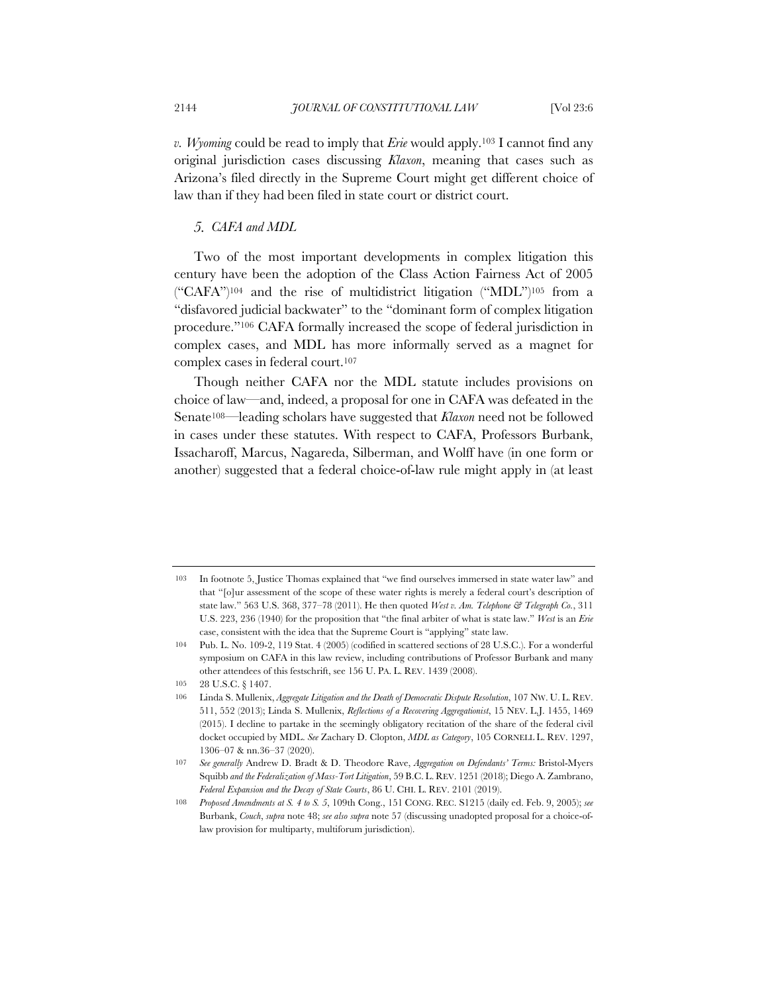*v. Wyoming* could be read to imply that *Erie* would apply.103 I cannot find any original jurisdiction cases discussing *Klaxon*, meaning that cases such as Arizona's filed directly in the Supreme Court might get different choice of law than if they had been filed in state court or district court.

# *CAFA and MDL*

Two of the most important developments in complex litigation this century have been the adoption of the Class Action Fairness Act of 2005  $("CAFA")^{104}$  and the rise of multidistrict litigation  $("MDL")^{105}$  from a "disfavored judicial backwater" to the "dominant form of complex litigation procedure."106 CAFA formally increased the scope of federal jurisdiction in complex cases, and MDL has more informally served as a magnet for complex cases in federal court.107

Though neither CAFA nor the MDL statute includes provisions on choice of law—and, indeed, a proposal for one in CAFA was defeated in the Senate108—leading scholars have suggested that *Klaxon* need not be followed in cases under these statutes. With respect to CAFA, Professors Burbank, Issacharoff, Marcus, Nagareda, Silberman, and Wolff have (in one form or another) suggested that a federal choice-of-law rule might apply in (at least

<sup>103</sup> In footnote 5, Justice Thomas explained that "we find ourselves immersed in state water law" and that "[o]ur assessment of the scope of these water rights is merely a federal court's description of state law." 563 U.S. 368, 377–78 (2011). He then quoted *West v. Am. Telephone & Telegraph Co.*, 311 U.S. 223, 236 (1940) for the proposition that "the final arbiter of what is state law." *West* is an *Erie* case, consistent with the idea that the Supreme Court is "applying" state law.

<sup>104</sup> Pub. L. No. 109-2, 119 Stat. 4 (2005) (codified in scattered sections of 28 U.S.C.). For a wonderful symposium on CAFA in this law review, including contributions of Professor Burbank and many other attendees of this festschrift, see 156 U. PA. L. REV. 1439 (2008).

<sup>105</sup> 28 U.S.C. § 1407.

<sup>106</sup> Linda S. Mullenix, *Aggregate Litigation and the Death of Democratic Dispute Resolution*, 107 NW. U. L. REV. 511, 552 (2013); Linda S. Mullenix, *Reflections of a Recovering Aggregationist*, 15 NEV. L.J. 1455, 1469 (2015). I decline to partake in the seemingly obligatory recitation of the share of the federal civil docket occupied by MDL. *See* Zachary D. Clopton, *MDL as Category*, 105 CORNELL L. REV. 1297, 1306–07 & nn.36–37 (2020).

<sup>107</sup> *See generally* Andrew D. Bradt & D. Theodore Rave, *Aggregation on Defendants' Terms:* Bristol-Myers Squibb *and the Federalization of Mass-Tort Litigation*, 59 B.C. L. REV. 1251 (2018); Diego A. Zambrano, *Federal Expansion and the Decay of State Courts*, 86 U. CHI. L. REV. 2101 (2019).

<sup>108</sup> *Proposed Amendments at S. 4 to S. 5*, 109th Cong., 151 CONG. REC. S1215 (daily ed. Feb. 9, 2005); *see* Burbank, *Couch*, *supra* note 48; *see also supra* note 57 (discussing unadopted proposal for a choice-oflaw provision for multiparty, multiforum jurisdiction).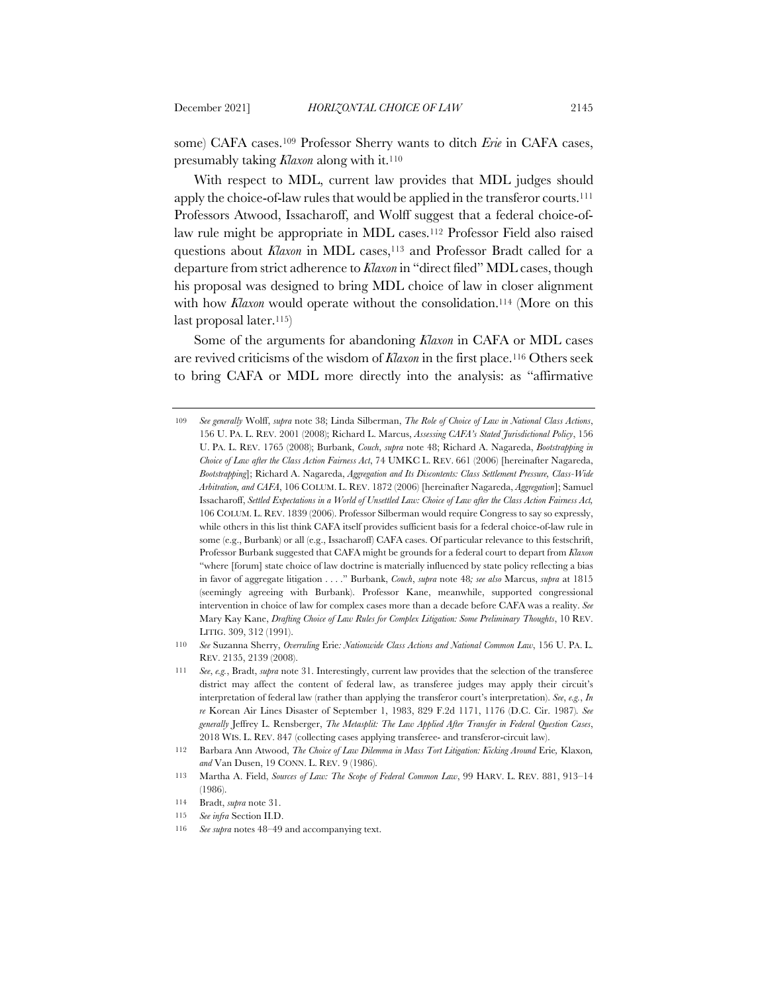some) CAFA cases.109 Professor Sherry wants to ditch *Erie* in CAFA cases, presumably taking *Klaxon* along with it.110

With respect to MDL, current law provides that MDL judges should apply the choice-of-law rules that would be applied in the transferor courts.111 Professors Atwood, Issacharoff, and Wolff suggest that a federal choice-oflaw rule might be appropriate in MDL cases.112 Professor Field also raised questions about *Klaxon* in MDL cases,<sup>113</sup> and Professor Bradt called for a departure from strict adherence to *Klaxon* in "direct filed" MDL cases, though his proposal was designed to bring MDL choice of law in closer alignment with how *Klaxon* would operate without the consolidation.<sup>114</sup> (More on this last proposal later.115)

Some of the arguments for abandoning *Klaxon* in CAFA or MDL cases are revived criticisms of the wisdom of *Klaxon* in the first place.116 Others seek to bring CAFA or MDL more directly into the analysis: as "affirmative

<sup>109</sup> *See generally* Wolff, *supra* note 38; Linda Silberman, *The Role of Choice of Law in National Class Actions*, 156 U. PA. L. REV. 2001 (2008); Richard L. Marcus, *Assessing CAFA's Stated Jurisdictional Policy*, 156 U. PA. L. REV. 1765 (2008); Burbank, *Couch*, *supra* note 48; Richard A. Nagareda, *Bootstrapping in Choice of Law after the Class Action Fairness Act*, 74 UMKC L. REV. 661 (2006) [hereinafter Nagareda, *Bootstrapping*]; Richard A. Nagareda, *Aggregation and Its Discontents: Class Settlement Pressure, Class-Wide Arbitration, and CAFA*, 106 COLUM. L. REV. 1872 (2006) [hereinafter Nagareda, *Aggregation*]; Samuel Issacharoff, *Settled Expectations in a World of Unsettled Law: Choice of Law after the Class Action Fairness Act,* 106 COLUM. L. REV. 1839 (2006). Professor Silberman would require Congress to say so expressly, while others in this list think CAFA itself provides sufficient basis for a federal choice-of-law rule in some (e.g., Burbank) or all (e.g., Issacharoff) CAFA cases. Of particular relevance to this festschrift, Professor Burbank suggested that CAFA might be grounds for a federal court to depart from *Klaxon* "where [forum] state choice of law doctrine is materially influenced by state policy reflecting a bias in favor of aggregate litigation . . . ." Burbank, *Couch*, *supra* note 48*; see also* Marcus, *supra* at 1815 (seemingly agreeing with Burbank). Professor Kane, meanwhile, supported congressional intervention in choice of law for complex cases more than a decade before CAFA was a reality. *See*  Mary Kay Kane, *Drafting Choice of Law Rules for Complex Litigation: Some Preliminary Thoughts*, 10 REV. LITIG. 309, 312 (1991).

<sup>110</sup> *See* Suzanna Sherry, *Overruling* Erie*: Nationwide Class Actions and National Common Law*, 156 U. PA. L. REV. 2135, 2139 (2008).

<sup>111</sup> *See*, *e.g.*, Bradt, *supra* note 31. Interestingly, current law provides that the selection of the transferee district may affect the content of federal law, as transferee judges may apply their circuit's interpretation of federal law (rather than applying the transferor court's interpretation). *See*, *e.g.*, *In re* Korean Air Lines Disaster of September 1, 1983, 829 F.2d 1171, 1176 (D.C. Cir. 1987)*. See generally* Jeffrey L. Rensberger, *The Metasplit: The Law Applied After Transfer in Federal Question Cases*, 2018 WIS. L. REV. 847 (collecting cases applying transferee- and transferor-circuit law).

<sup>112</sup> Barbara Ann Atwood, *The Choice of Law Dilemma in Mass Tort Litigation: Kicking Around* Erie*,* Klaxon*, and* Van Dusen, 19 CONN. L. REV. 9 (1986).

<sup>113</sup> Martha A. Field, *Sources of Law: The Scope of Federal Common Law*, 99 HARV. L. REV. 881, 913–14 (1986).

<sup>114</sup> Bradt, *supra* note 31.

<sup>115</sup> *See infra* Section II.D.

<sup>116</sup> *See supra* notes 48–49 and accompanying text.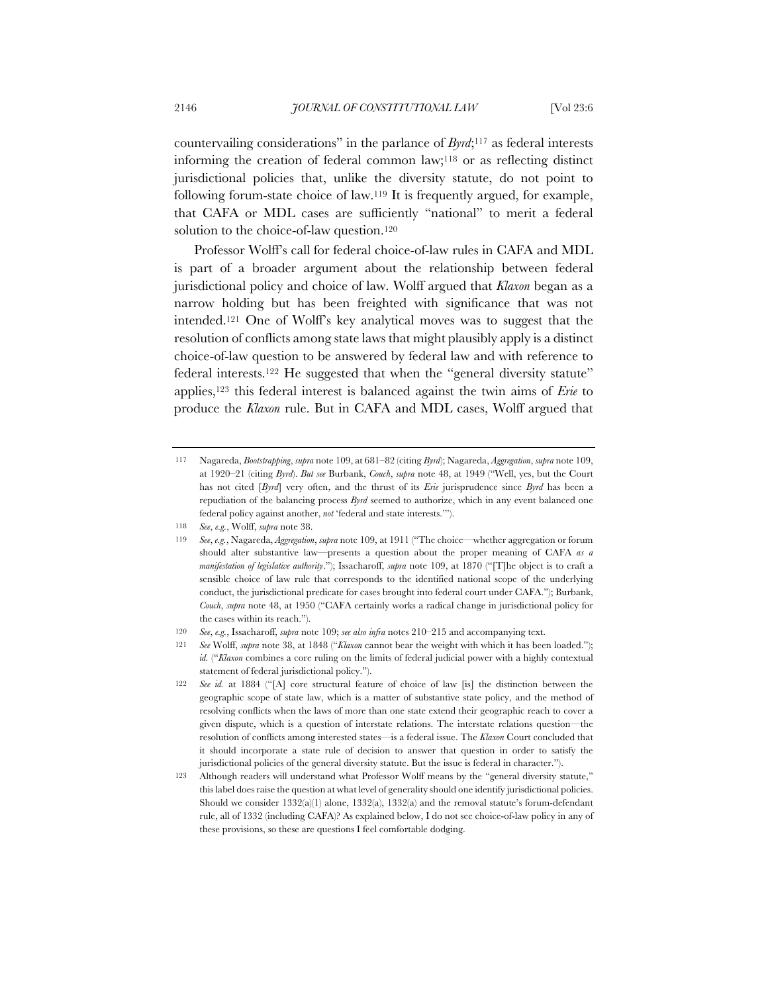countervailing considerations" in the parlance of *Byrd*;117 as federal interests informing the creation of federal common law;118 or as reflecting distinct jurisdictional policies that, unlike the diversity statute, do not point to following forum-state choice of law.119 It is frequently argued, for example, that CAFA or MDL cases are sufficiently "national" to merit a federal solution to the choice-of-law question.<sup>120</sup>

Professor Wolff's call for federal choice-of-law rules in CAFA and MDL is part of a broader argument about the relationship between federal jurisdictional policy and choice of law. Wolff argued that *Klaxon* began as a narrow holding but has been freighted with significance that was not intended.121 One of Wolff's key analytical moves was to suggest that the resolution of conflicts among state laws that might plausibly apply is a distinct choice-of-law question to be answered by federal law and with reference to federal interests.122 He suggested that when the "general diversity statute" applies,123 this federal interest is balanced against the twin aims of *Erie* to produce the *Klaxon* rule. But in CAFA and MDL cases, Wolff argued that

<sup>117</sup> Nagareda, *Bootstrapping*, *supra* note 109, at 681–82 (citing *Byrd*); Nagareda, *Aggregation*, *supra* note 109, at 1920–21 (citing *Byrd*). *But see* Burbank, *Couch*, *supra* note 48, at 1949 ("Well, yes, but the Court has not cited [*Byrd*] very often, and the thrust of its *Erie* jurisprudence since *Byrd* has been a repudiation of the balancing process *Byrd* seemed to authorize, which in any event balanced one federal policy against another, *not* 'federal and state interests.'").

<sup>118</sup> *See*, *e.g.*, Wolff, *supra* note 38.

<sup>119</sup> *See*, *e.g.*, Nagareda, *Aggregation*, *supra* note 109, at 1911 ("The choice—whether aggregation or forum should alter substantive law—presents a question about the proper meaning of CAFA *as a manifestation of legislative authority*."); Issacharoff, *supra* note 109, at 1870 ("[T]he object is to craft a sensible choice of law rule that corresponds to the identified national scope of the underlying conduct, the jurisdictional predicate for cases brought into federal court under CAFA."); Burbank, *Couch*, *supra* note 48, at 1950 ("CAFA certainly works a radical change in jurisdictional policy for the cases within its reach.").

<sup>120</sup> *See*, *e.g.*, Issacharoff, *supra* note 109; *see also infra* notes 210–215 and accompanying text.

<sup>121</sup> *See* Wolff, *supra* note 38, at 1848 ("*Klaxon* cannot bear the weight with which it has been loaded."); *id.* ("*Klaxon* combines a core ruling on the limits of federal judicial power with a highly contextual statement of federal jurisdictional policy.").

<sup>122</sup> *See id.* at 1884 ("[A] core structural feature of choice of law [is] the distinction between the geographic scope of state law, which is a matter of substantive state policy, and the method of resolving conflicts when the laws of more than one state extend their geographic reach to cover a given dispute, which is a question of interstate relations. The interstate relations question—the resolution of conflicts among interested states—is a federal issue. The *Klaxon* Court concluded that it should incorporate a state rule of decision to answer that question in order to satisfy the jurisdictional policies of the general diversity statute. But the issue is federal in character.").

<sup>123</sup> Although readers will understand what Professor Wolff means by the "general diversity statute," this label does raise the question at what level of generality should one identify jurisdictional policies. Should we consider  $1332(a)(1)$  alone,  $1332(a)$ ,  $1332(a)$  and the removal statute's forum-defendant rule, all of 1332 (including CAFA)? As explained below, I do not see choice-of-law policy in any of these provisions, so these are questions I feel comfortable dodging.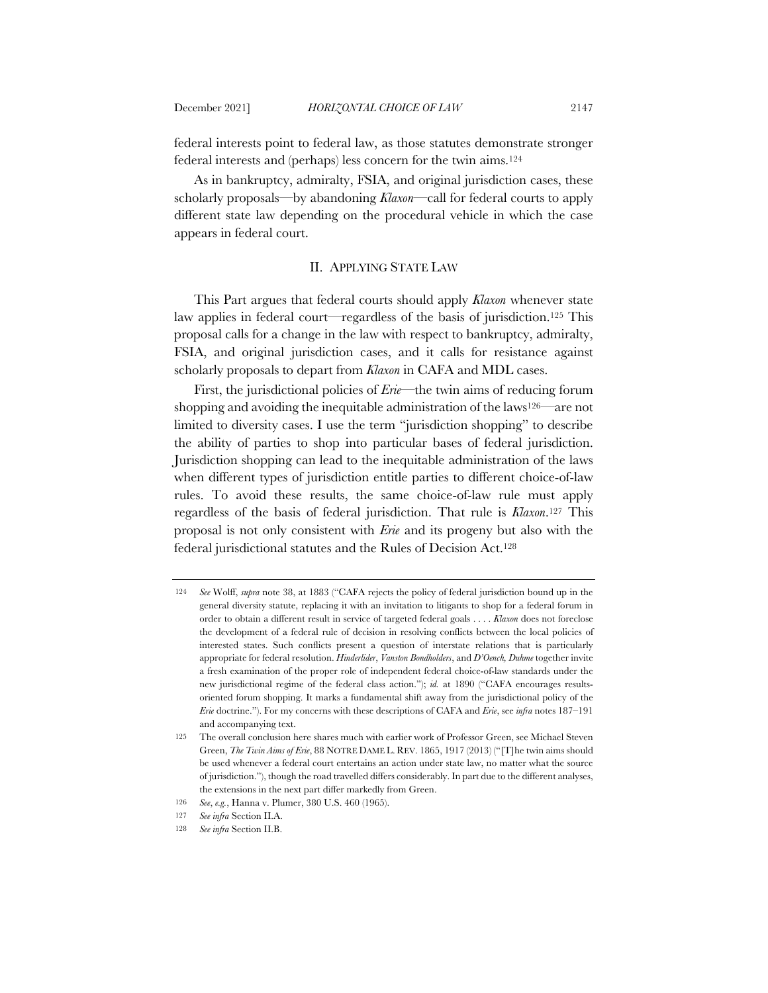federal interests point to federal law, as those statutes demonstrate stronger federal interests and (perhaps) less concern for the twin aims.124

As in bankruptcy, admiralty, FSIA, and original jurisdiction cases, these scholarly proposals—by abandoning *Klaxon*—call for federal courts to apply different state law depending on the procedural vehicle in which the case appears in federal court.

# II. APPLYING STATE LAW

This Part argues that federal courts should apply *Klaxon* whenever state law applies in federal court—regardless of the basis of jurisdiction.125 This proposal calls for a change in the law with respect to bankruptcy, admiralty, FSIA, and original jurisdiction cases, and it calls for resistance against scholarly proposals to depart from *Klaxon* in CAFA and MDL cases.

First, the jurisdictional policies of *Erie*—the twin aims of reducing forum shopping and avoiding the inequitable administration of the laws<sup>126—</sup>are not limited to diversity cases. I use the term "jurisdiction shopping" to describe the ability of parties to shop into particular bases of federal jurisdiction. Jurisdiction shopping can lead to the inequitable administration of the laws when different types of jurisdiction entitle parties to different choice-of-law rules. To avoid these results, the same choice-of-law rule must apply regardless of the basis of federal jurisdiction. That rule is *Klaxon*.127 This proposal is not only consistent with *Erie* and its progeny but also with the federal jurisdictional statutes and the Rules of Decision Act.128

<sup>124</sup> *See* Wolff, *supra* note 38, at 1883 ("CAFA rejects the policy of federal jurisdiction bound up in the general diversity statute, replacing it with an invitation to litigants to shop for a federal forum in order to obtain a different result in service of targeted federal goals . . . . *Klaxon* does not foreclose the development of a federal rule of decision in resolving conflicts between the local policies of interested states. Such conflicts present a question of interstate relations that is particularly appropriate for federal resolution. *Hinderlider*, *Vanston Bondholders*, and *D'Oench, Duhme* together invite a fresh examination of the proper role of independent federal choice-of-law standards under the new jurisdictional regime of the federal class action."); *id.* at 1890 ("CAFA encourages resultsoriented forum shopping. It marks a fundamental shift away from the jurisdictional policy of the *Erie* doctrine."). For my concerns with these descriptions of CAFA and *Erie*, see *infra* notes 187–191 and accompanying text.

<sup>125</sup> The overall conclusion here shares much with earlier work of Professor Green, see Michael Steven Green, *The Twin Aims of Erie*, 88 NOTRE DAME L. REV. 1865, 1917 (2013) ("[T]he twin aims should be used whenever a federal court entertains an action under state law, no matter what the source of jurisdiction."), though the road travelled differs considerably. In part due to the different analyses, the extensions in the next part differ markedly from Green.

<sup>126</sup> *See*, *e.g.*, Hanna v. Plumer, 380 U.S. 460 (1965).

<sup>127</sup> *See infra* Section II.A.

<sup>128</sup> *See infra* Section II.B.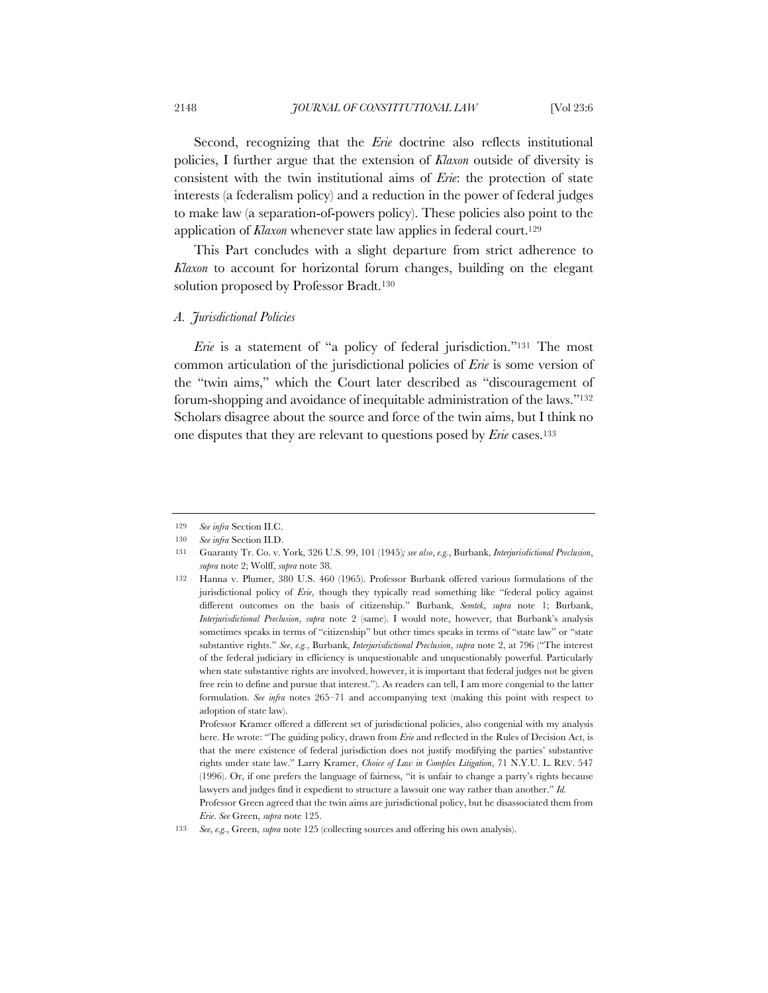Second, recognizing that the *Erie* doctrine also reflects institutional policies, I further argue that the extension of *Klaxon* outside of diversity is consistent with the twin institutional aims of *Erie*: the protection of state interests (a federalism policy) and a reduction in the power of federal judges to make law (a separation-of-powers policy). These policies also point to the application of *Klaxon* whenever state law applies in federal court.<sup>129</sup>

This Part concludes with a slight departure from strict adherence to *Klaxon* to account for horizontal forum changes, building on the elegant solution proposed by Professor Bradt.130

## *A. Jurisdictional Policies*

*Erie* is a statement of "a policy of federal jurisdiction."<sup>131</sup> The most common articulation of the jurisdictional policies of *Erie* is some version of the "twin aims," which the Court later described as "discouragement of forum-shopping and avoidance of inequitable administration of the laws."132 Scholars disagree about the source and force of the twin aims, but I think no one disputes that they are relevant to questions posed by *Erie* cases.133

Professor Kramer offered a different set of jurisdictional policies, also congenial with my analysis here. He wrote: "The guiding policy, drawn from *Erie* and reflected in the Rules of Decision Act, is that the mere existence of federal jurisdiction does not justify modifying the parties' substantive rights under state law." Larry Kramer, *Choice of Law in Complex Litigation*, 71 N.Y.U. L. REV. 547 (1996). Or, if one prefers the language of fairness, "it is unfair to change a party's rights because lawyers and judges find it expedient to structure a lawsuit one way rather than another." *Id.*

Professor Green agreed that the twin aims are jurisdictional policy, but he disassociated them from *Erie*. *See* Green, *supra* note 125.

<sup>129</sup> *See infra* Section II.C.

<sup>130</sup> *See infra* Section II.D.

<sup>131</sup> Guaranty Tr. Co. v. York, 326 U.S. 99, 101 (1945)*; see also*, *e.g.*, Burbank, *Interjurisdictional Preclusion*, *supra* note 2; Wolff, *supra* note 38.

<sup>132</sup> Hanna v. Plumer, 380 U.S. 460 (1965). Professor Burbank offered various formulations of the jurisdictional policy of *Erie*, though they typically read something like "federal policy against different outcomes on the basis of citizenship." Burbank, *Semtek*, *supra* note 1; Burbank, *Interjurisdictional Preclusion*, *supra* note 2 (same). I would note, however, that Burbank's analysis sometimes speaks in terms of "citizenship" but other times speaks in terms of "state law" or "state substantive rights." *See*, *e.g.*, Burbank, *Interjurisdictional Preclusion*, *supra* note 2, at 796 ("The interest of the federal judiciary in efficiency is unquestionable and unquestionably powerful. Particularly when state substantive rights are involved, however, it is important that federal judges not be given free rein to define and pursue that interest."). As readers can tell, I am more congenial to the latter formulation. *See infra* notes 265–71 and accompanying text (making this point with respect to adoption of state law).

<sup>133</sup> *See*, *e.g.*, Green, *supra* note 125 (collecting sources and offering his own analysis).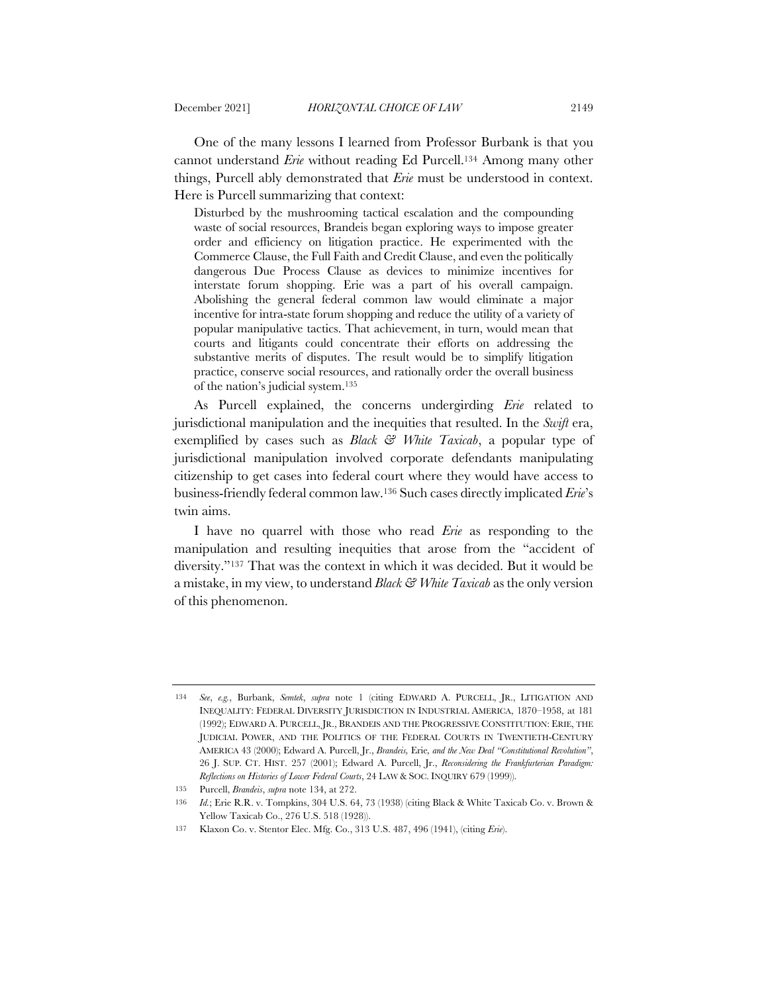One of the many lessons I learned from Professor Burbank is that you cannot understand *Erie* without reading Ed Purcell.134 Among many other things, Purcell ably demonstrated that *Erie* must be understood in context. Here is Purcell summarizing that context:

Disturbed by the mushrooming tactical escalation and the compounding waste of social resources, Brandeis began exploring ways to impose greater order and efficiency on litigation practice. He experimented with the Commerce Clause, the Full Faith and Credit Clause, and even the politically dangerous Due Process Clause as devices to minimize incentives for interstate forum shopping. Erie was a part of his overall campaign. Abolishing the general federal common law would eliminate a major incentive for intra-state forum shopping and reduce the utility of a variety of popular manipulative tactics. That achievement, in turn, would mean that courts and litigants could concentrate their efforts on addressing the substantive merits of disputes. The result would be to simplify litigation practice, conserve social resources, and rationally order the overall business of the nation's judicial system.135

As Purcell explained, the concerns undergirding *Erie* related to jurisdictional manipulation and the inequities that resulted. In the *Swift* era, exemplified by cases such as *Black & White Taxicab*, a popular type of jurisdictional manipulation involved corporate defendants manipulating citizenship to get cases into federal court where they would have access to business-friendly federal common law.136 Such cases directly implicated *Erie*'s twin aims.

I have no quarrel with those who read *Erie* as responding to the manipulation and resulting inequities that arose from the "accident of diversity."137 That was the context in which it was decided. But it would be a mistake, in my view, to understand *Black & White Taxicab* as the only version of this phenomenon.

<sup>134</sup> *See*, *e.g.*, Burbank, *Semtek*, *supra* note 1 (citing EDWARD A. PURCELL, JR., LITIGATION AND INEQUALITY: FEDERAL DIVERSITY JURISDICTION IN INDUSTRIAL AMERICA, 1870–1958, at 181 (1992); EDWARD A. PURCELL, JR., BRANDEIS AND THE PROGRESSIVE CONSTITUTION: ERIE, THE JUDICIAL POWER, AND THE POLITICS OF THE FEDERAL COURTS IN TWENTIETH-CENTURY AMERICA 43 (2000); Edward A. Purcell, Jr., *Brandeis,* Erie*, and the New Deal "Constitutional Revolution"*, 26 J. SUP. CT. HIST. 257 (2001); Edward A. Purcell, Jr., *Reconsidering the Frankfurterian Paradigm: Reflections on Histories of Lower Federal Courts*, 24 LAW & SOC. INQUIRY 679 (1999)).

<sup>135</sup> Purcell, *Brandeis*, *supra* note 134, at 272.

<sup>136</sup> *Id.*; Erie R.R. v. Tompkins, 304 U.S. 64, 73 (1938) (citing Black & White Taxicab Co. v. Brown & Yellow Taxicab Co., 276 U.S. 518 (1928)).

<sup>137</sup> Klaxon Co. v. Stentor Elec. Mfg. Co., 313 U.S. 487, 496 (1941), (citing *Erie*).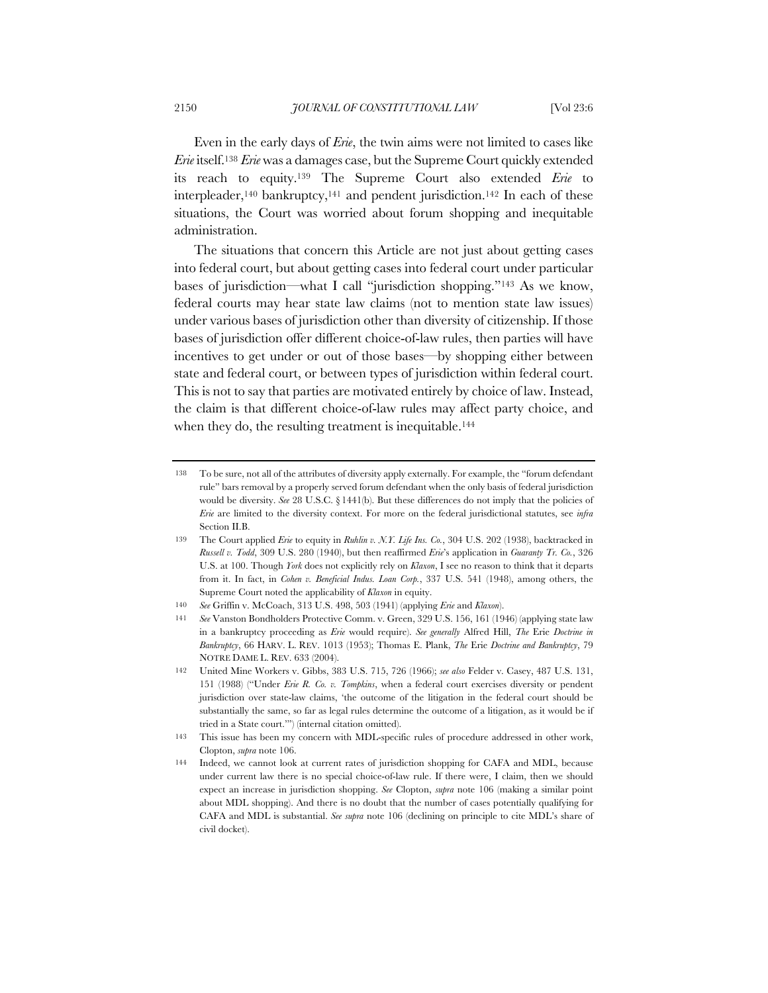Even in the early days of *Erie*, the twin aims were not limited to cases like *Erie* itself.138 *Erie* was a damages case, but the Supreme Court quickly extended its reach to equity.139 The Supreme Court also extended *Erie* to interpleader,<sup>140</sup> bankruptcy,<sup>141</sup> and pendent jurisdiction.<sup>142</sup> In each of these situations, the Court was worried about forum shopping and inequitable administration.

The situations that concern this Article are not just about getting cases into federal court, but about getting cases into federal court under particular bases of jurisdiction—what I call "jurisdiction shopping."143 As we know, federal courts may hear state law claims (not to mention state law issues) under various bases of jurisdiction other than diversity of citizenship. If those bases of jurisdiction offer different choice-of-law rules, then parties will have incentives to get under or out of those bases—by shopping either between state and federal court, or between types of jurisdiction within federal court. This is not to say that parties are motivated entirely by choice of law. Instead, the claim is that different choice-of-law rules may affect party choice, and when they do, the resulting treatment is inequitable.<sup>144</sup>

<sup>138</sup> To be sure, not all of the attributes of diversity apply externally. For example, the "forum defendant rule" bars removal by a properly served forum defendant when the only basis of federal jurisdiction would be diversity. *See* 28 U.S.C. § 1441(b). But these differences do not imply that the policies of *Erie* are limited to the diversity context. For more on the federal jurisdictional statutes, see *infra*  Section II.B.

<sup>139</sup> The Court applied *Erie* to equity in *Ruhlin v. N.Y. Life Ins. Co.*, 304 U.S. 202 (1938), backtracked in *Russell v. Todd*, 309 U.S. 280 (1940), but then reaffirmed *Erie*'s application in *Guaranty Tr. Co.*, 326 U.S. at 100. Though *York* does not explicitly rely on *Klaxon*, I see no reason to think that it departs from it. In fact, in *Cohen v. Beneficial Indus. Loan Corp.*, 337 U.S. 541 (1948), among others, the Supreme Court noted the applicability of *Klaxon* in equity.

<sup>140</sup> *See* Griffin v. McCoach, 313 U.S. 498, 503 (1941) (applying *Erie* and *Klaxon*).

<sup>141</sup> *See* Vanston Bondholders Protective Comm. v. Green, 329 U.S. 156, 161 (1946) (applying state law in a bankruptcy proceeding as *Erie* would require). *See generally* Alfred Hill, *The* Erie *Doctrine in Bankruptcy*, 66 HARV. L. REV. 1013 (1953); Thomas E. Plank, *The* Erie *Doctrine and Bankruptcy*, 79 NOTRE DAME L. REV. 633 (2004).

<sup>142</sup> United Mine Workers v. Gibbs, 383 U.S. 715, 726 (1966); *see also* Felder v. Casey, 487 U.S. 131, 151 (1988) ("Under *Erie R. Co. v. Tompkins*, when a federal court exercises diversity or pendent jurisdiction over state-law claims, 'the outcome of the litigation in the federal court should be substantially the same, so far as legal rules determine the outcome of a litigation, as it would be if tried in a State court.'") (internal citation omitted).

<sup>143</sup> This issue has been my concern with MDL-specific rules of procedure addressed in other work, Clopton, *supra* note 106.

<sup>144</sup> Indeed, we cannot look at current rates of jurisdiction shopping for CAFA and MDL, because under current law there is no special choice-of-law rule. If there were, I claim, then we should expect an increase in jurisdiction shopping. *See* Clopton, *supra* note 106 (making a similar point about MDL shopping). And there is no doubt that the number of cases potentially qualifying for CAFA and MDL is substantial. *See supra* note 106 (declining on principle to cite MDL's share of civil docket).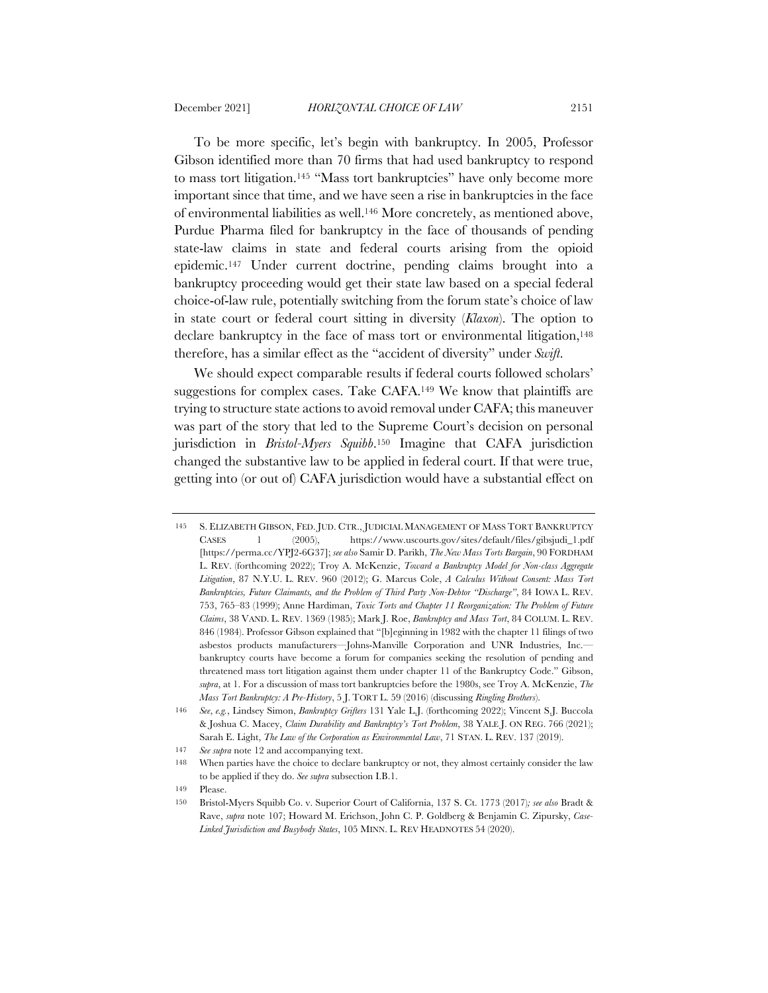To be more specific, let's begin with bankruptcy. In 2005, Professor Gibson identified more than 70 firms that had used bankruptcy to respond to mass tort litigation.<sup>145</sup> "Mass tort bankruptcies" have only become more important since that time, and we have seen a rise in bankruptcies in the face of environmental liabilities as well.146 More concretely, as mentioned above, Purdue Pharma filed for bankruptcy in the face of thousands of pending state-law claims in state and federal courts arising from the opioid epidemic.147 Under current doctrine, pending claims brought into a bankruptcy proceeding would get their state law based on a special federal choice-of-law rule, potentially switching from the forum state's choice of law in state court or federal court sitting in diversity (*Klaxon*). The option to declare bankruptcy in the face of mass tort or environmental litigation,<sup>148</sup> therefore, has a similar effect as the "accident of diversity" under *Swift*.

We should expect comparable results if federal courts followed scholars' suggestions for complex cases. Take CAFA.149 We know that plaintiffs are trying to structure state actions to avoid removal under CAFA; this maneuver was part of the story that led to the Supreme Court's decision on personal jurisdiction in *Bristol-Myers Squibb*.150 Imagine that CAFA jurisdiction changed the substantive law to be applied in federal court. If that were true, getting into (or out of) CAFA jurisdiction would have a substantial effect on

149 Please.

<sup>145</sup> S. ELIZABETH GIBSON, FED. JUD. CTR., JUDICIAL MANAGEMENT OF MASS TORT BANKRUPTCY CASES 1 (2005), https://www.uscourts.gov/sites/default/files/gibsjudi\_1.pdf [https://perma.cc/YPJ2-6G37]; *see also* Samir D. Parikh, *The New Mass Torts Bargain*, 90 FORDHAM L. REV. (forthcoming 2022); Troy A. McKenzie, *Toward a Bankruptcy Model for Non-class Aggregate Litigation*, 87 N.Y.U. L. REV. 960 (2012); G. Marcus Cole, *A Calculus Without Consent: Mass Tort Bankruptcies, Future Claimants, and the Problem of Third Party Non-Debtor "Discharge"*, 84 IOWA L. REV. 753, 765–83 (1999); Anne Hardiman, *Toxic Torts and Chapter 11 Reorganization: The Problem of Future Claims*, 38 VAND. L. REV. 1369 (1985); Mark J. Roe, *Bankruptcy and Mass Tort*, 84 COLUM. L. REV. 846 (1984). Professor Gibson explained that "[b]eginning in 1982 with the chapter 11 filings of two asbestos products manufacturers—Johns-Manville Corporation and UNR Industries, Inc. bankruptcy courts have become a forum for companies seeking the resolution of pending and threatened mass tort litigation against them under chapter 11 of the Bankruptcy Code." Gibson, *supra*, at 1. For a discussion of mass tort bankruptcies before the 1980s, see Troy A. McKenzie, *The Mass Tort Bankruptcy: A Pre-History*, 5 J. TORT L. 59 (2016) (discussing *Ringling Brothers*).

<sup>146</sup> *See*, *e.g.*, Lindsey Simon, *Bankruptcy Grifters* 131 Yale L.J. (forthcoming 2022); Vincent S.J. Buccola & Joshua C. Macey, *Claim Durability and Bankruptcy's Tort Problem*, 38 YALE J. ON REG. 766 (2021); Sarah E. Light, *The Law of the Corporation as Environmental Law*, 71 STAN. L. REV. 137 (2019).

<sup>147</sup> *See supra* note 12 and accompanying text.

<sup>148</sup> When parties have the choice to declare bankruptcy or not, they almost certainly consider the law to be applied if they do. *See supra* subsection I.B.1.

<sup>150</sup> Bristol-Myers Squibb Co. v. Superior Court of California, 137 S. Ct. 1773 (2017)*; see also* Bradt & Rave, *supra* note 107; Howard M. Erichson, John C. P. Goldberg & Benjamin C. Zipursky, *Case-Linked Jurisdiction and Busybody States*, 105 MINN. L. REV HEADNOTES 54 (2020).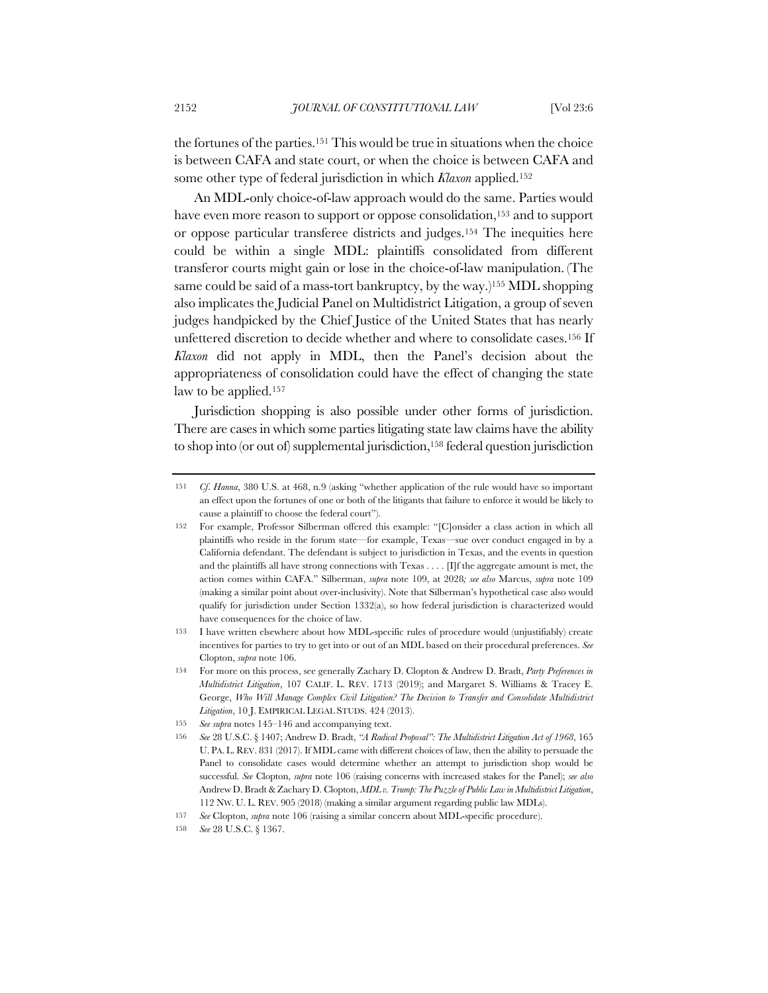the fortunes of the parties.151 This would be true in situations when the choice is between CAFA and state court, or when the choice is between CAFA and some other type of federal jurisdiction in which *Klaxon* applied.152

An MDL-only choice-of-law approach would do the same. Parties would have even more reason to support or oppose consolidation,<sup>153</sup> and to support or oppose particular transferee districts and judges.154 The inequities here could be within a single MDL: plaintiffs consolidated from different transferor courts might gain or lose in the choice-of-law manipulation. (The same could be said of a mass-tort bankruptcy, by the way.)<sup>155</sup> MDL shopping also implicates the Judicial Panel on Multidistrict Litigation, a group of seven judges handpicked by the Chief Justice of the United States that has nearly unfettered discretion to decide whether and where to consolidate cases.156 If *Klaxon* did not apply in MDL, then the Panel's decision about the appropriateness of consolidation could have the effect of changing the state law to be applied.157

Jurisdiction shopping is also possible under other forms of jurisdiction. There are cases in which some parties litigating state law claims have the ability to shop into (or out of) supplemental jurisdiction,<sup>158</sup> federal question jurisdiction

<sup>151</sup> *Cf*. *Hanna*, 380 U.S. at 468, n.9 (asking "whether application of the rule would have so important an effect upon the fortunes of one or both of the litigants that failure to enforce it would be likely to cause a plaintiff to choose the federal court").

<sup>152</sup> For example, Professor Silberman offered this example: "[C]onsider a class action in which all plaintiffs who reside in the forum state—for example, Texas—sue over conduct engaged in by a California defendant. The defendant is subject to jurisdiction in Texas, and the events in question and the plaintiffs all have strong connections with Texas . . . . [I]f the aggregate amount is met, the action comes within CAFA." Silberman, *supra* note 109, at 2028*; see also* Marcus, *supra* note 109 (making a similar point about over-inclusivity). Note that Silberman's hypothetical case also would qualify for jurisdiction under Section 1332(a), so how federal jurisdiction is characterized would have consequences for the choice of law.

<sup>153</sup> I have written elsewhere about how MDL-specific rules of procedure would (unjustifiably) create incentives for parties to try to get into or out of an MDL based on their procedural preferences. *See* Clopton, *supra* note 106.

<sup>154</sup> For more on this process, see generally Zachary D. Clopton & Andrew D. Bradt, *Party Preferences in Multidistrict Litigation*, 107 CALIF. L. REV. 1713 (2019); and Margaret S. Williams & Tracey E. George, *Who Will Manage Complex Civil Litigation? The Decision to Transfer and Consolidate Multidistrict Litigation*, 10 J. EMPIRICAL LEGAL STUDS. 424 (2013).

<sup>155</sup> *See supra* notes 145–146 and accompanying text.

<sup>156</sup> *See* 28 U.S.C. § 1407; Andrew D. Bradt, *"A Radical Proposal": The Multidistrict Litigation Act of 1968*, 165 U. PA. L. REV. 831 (2017). If MDL came with different choices of law, then the ability to persuade the Panel to consolidate cases would determine whether an attempt to jurisdiction shop would be successful. *See* Clopton, *supra* note 106 (raising concerns with increased stakes for the Panel); *see also*  Andrew D. Bradt & Zachary D. Clopton, *MDL v. Trump: The Puzzle of Public Law in Multidistrict Litigation*, 112 NW. U. L. REV. 905 (2018) (making a similar argument regarding public law MDLs).

<sup>157</sup> *See* Clopton, *supra* note 106 (raising a similar concern about MDL-specific procedure).

<sup>158</sup> *See* 28 U.S.C. § 1367.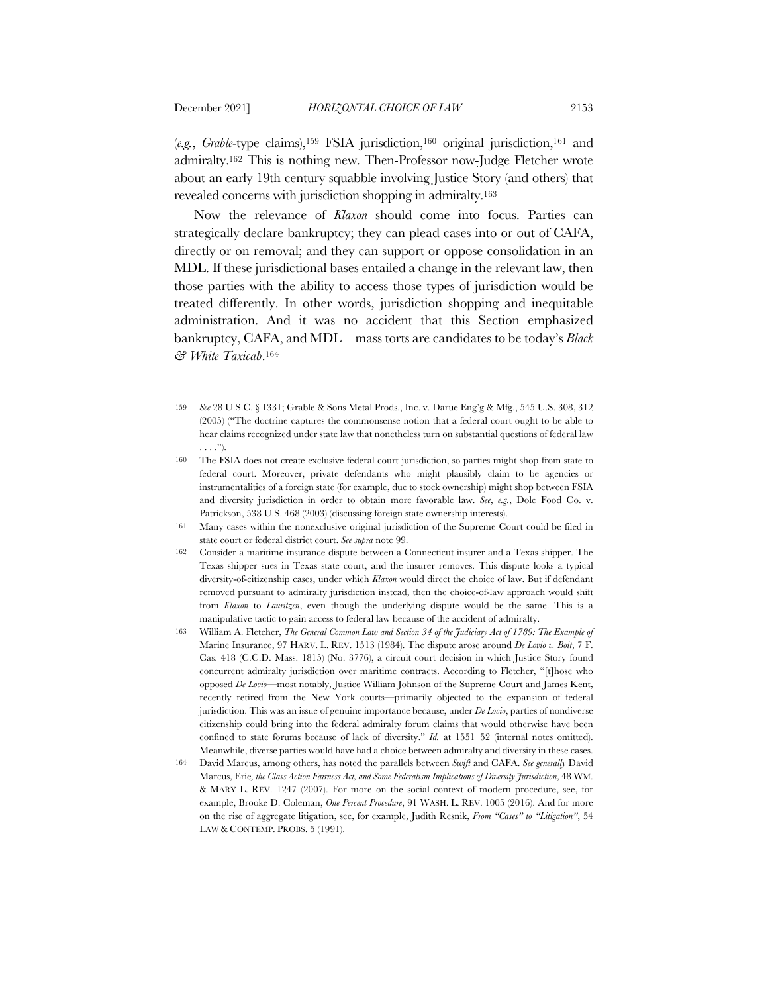(*e.g.*, *Grable*-type claims),159 FSIA jurisdiction,160 original jurisdiction,161 and admiralty.162 This is nothing new. Then-Professor now-Judge Fletcher wrote about an early 19th century squabble involving Justice Story (and others) that revealed concerns with jurisdiction shopping in admiralty.163

Now the relevance of *Klaxon* should come into focus. Parties can strategically declare bankruptcy; they can plead cases into or out of CAFA, directly or on removal; and they can support or oppose consolidation in an MDL. If these jurisdictional bases entailed a change in the relevant law, then those parties with the ability to access those types of jurisdiction would be treated differently. In other words, jurisdiction shopping and inequitable administration. And it was no accident that this Section emphasized bankruptcy, CAFA, and MDL—mass torts are candidates to be today's *Black & White Taxicab*.164

<sup>159</sup> *See* 28 U.S.C. § 1331; Grable & Sons Metal Prods., Inc. v. Darue Eng'g & Mfg., 545 U.S. 308, 312 (2005) ("The doctrine captures the commonsense notion that a federal court ought to be able to hear claims recognized under state law that nonetheless turn on substantial questions of federal law . . . .").

<sup>160</sup> The FSIA does not create exclusive federal court jurisdiction, so parties might shop from state to federal court. Moreover, private defendants who might plausibly claim to be agencies or instrumentalities of a foreign state (for example, due to stock ownership) might shop between FSIA and diversity jurisdiction in order to obtain more favorable law. *See*, *e.g.*, Dole Food Co. v. Patrickson, 538 U.S. 468 (2003) (discussing foreign state ownership interests).

<sup>161</sup> Many cases within the nonexclusive original jurisdiction of the Supreme Court could be filed in state court or federal district court. *See supra* note 99.

<sup>162</sup> Consider a maritime insurance dispute between a Connecticut insurer and a Texas shipper. The Texas shipper sues in Texas state court, and the insurer removes. This dispute looks a typical diversity-of-citizenship cases, under which *Klaxon* would direct the choice of law. But if defendant removed pursuant to admiralty jurisdiction instead, then the choice-of-law approach would shift from *Klaxon* to *Lauritzen*, even though the underlying dispute would be the same. This is a manipulative tactic to gain access to federal law because of the accident of admiralty.

<sup>163</sup> William A. Fletcher, *The General Common Law and Section 34 of the Judiciary Act of 1789: The Example of*  Marine Insurance, 97 HARV. L. REV. 1513 (1984). The dispute arose around *De Lovio v. Boit*, 7 F. Cas. 418 (C.C.D. Mass. 1815) (No. 3776), a circuit court decision in which Justice Story found concurrent admiralty jurisdiction over maritime contracts. According to Fletcher, "[t]hose who opposed *De Lovio*—most notably, Justice William Johnson of the Supreme Court and James Kent, recently retired from the New York courts—primarily objected to the expansion of federal jurisdiction. This was an issue of genuine importance because, under *De Lovio*, parties of nondiverse citizenship could bring into the federal admiralty forum claims that would otherwise have been confined to state forums because of lack of diversity." *Id.* at 1551–52 (internal notes omitted). Meanwhile, diverse parties would have had a choice between admiralty and diversity in these cases.

<sup>164</sup> David Marcus, among others, has noted the parallels between *Swift* and CAFA. *See generally* David Marcus, Erie*, the Class Action Fairness Act, and Some Federalism Implications of Diversity Jurisdiction*, 48 WM. & MARY L. REV. 1247 (2007). For more on the social context of modern procedure, see, for example, Brooke D. Coleman, *One Percent Procedure*, 91 WASH. L. REV. 1005 (2016). And for more on the rise of aggregate litigation, see, for example, Judith Resnik, *From "Cases" to "Litigation"*, 54 LAW & CONTEMP. PROBS. 5 (1991).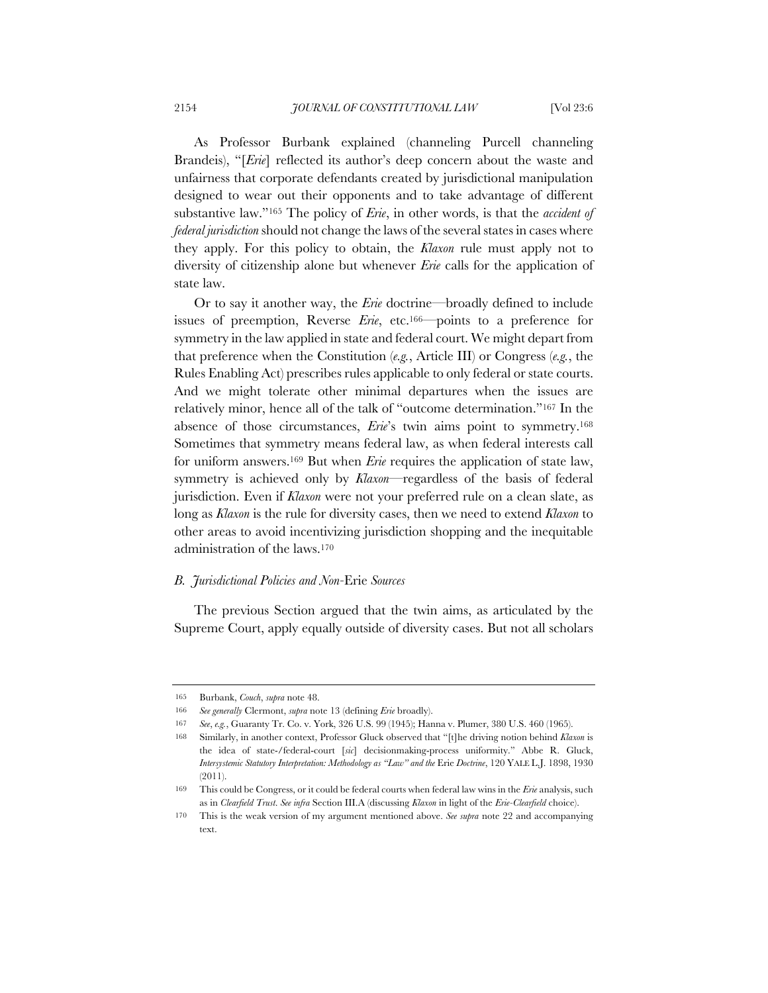As Professor Burbank explained (channeling Purcell channeling Brandeis), "[*Erie*] reflected its author's deep concern about the waste and unfairness that corporate defendants created by jurisdictional manipulation designed to wear out their opponents and to take advantage of different substantive law."165 The policy of *Erie*, in other words, is that the *accident of federal jurisdiction* should not change the laws of the several states in cases where they apply. For this policy to obtain, the *Klaxon* rule must apply not to diversity of citizenship alone but whenever *Erie* calls for the application of state law.

Or to say it another way, the *Erie* doctrine—broadly defined to include issues of preemption, Reverse *Erie*, etc.166—points to a preference for symmetry in the law applied in state and federal court. We might depart from that preference when the Constitution (*e.g.*, Article III) or Congress (*e.g.*, the Rules Enabling Act) prescribes rules applicable to only federal or state courts. And we might tolerate other minimal departures when the issues are relatively minor, hence all of the talk of "outcome determination."167 In the absence of those circumstances, *Erie*'s twin aims point to symmetry.168 Sometimes that symmetry means federal law, as when federal interests call for uniform answers.169 But when *Erie* requires the application of state law, symmetry is achieved only by *Klaxon*—regardless of the basis of federal jurisdiction. Even if *Klaxon* were not your preferred rule on a clean slate, as long as *Klaxon* is the rule for diversity cases, then we need to extend *Klaxon* to other areas to avoid incentivizing jurisdiction shopping and the inequitable administration of the laws.170

### *B. Jurisdictional Policies and Non-*Erie *Sources*

The previous Section argued that the twin aims, as articulated by the Supreme Court, apply equally outside of diversity cases. But not all scholars

<sup>165</sup> Burbank, *Couch*, *supra* note 48.

<sup>166</sup> *See generally* Clermont, *supra* note 13 (defining *Erie* broadly).

<sup>167</sup> *See*, *e.g.*, Guaranty Tr. Co. v. York, 326 U.S. 99 (1945); Hanna v. Plumer, 380 U.S. 460 (1965).

<sup>168</sup> Similarly, in another context, Professor Gluck observed that "[t]he driving notion behind *Klaxon* is the idea of state-/federal-court [*sic*] decisionmaking-process uniformity." Abbe R. Gluck, *Intersystemic Statutory Interpretation: Methodology as "Law" and the* Erie *Doctrine*, 120 YALE L.J. 1898, 1930 (2011).

<sup>169</sup> This could be Congress, or it could be federal courts when federal law wins in the *Erie* analysis, such as in *Clearfield Trust*. *See infra* Section III.A (discussing *Klaxon* in light of the *Erie-Clearfield* choice).

<sup>170</sup> This is the weak version of my argument mentioned above. *See supra* note 22 and accompanying text.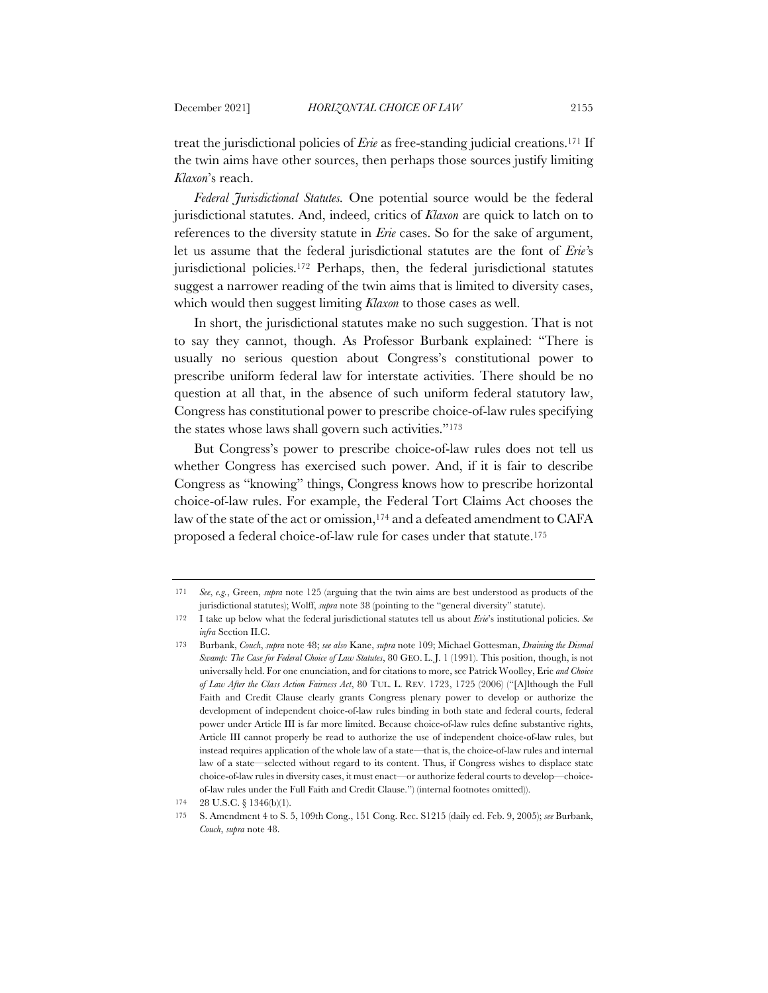treat the jurisdictional policies of *Erie* as free-standing judicial creations.171 If the twin aims have other sources, then perhaps those sources justify limiting *Klaxon*'s reach.

*Federal Jurisdictional Statutes.* One potential source would be the federal jurisdictional statutes. And, indeed, critics of *Klaxon* are quick to latch on to references to the diversity statute in *Erie* cases. So for the sake of argument, let us assume that the federal jurisdictional statutes are the font of *Erie'*s jurisdictional policies.172 Perhaps, then, the federal jurisdictional statutes suggest a narrower reading of the twin aims that is limited to diversity cases, which would then suggest limiting *Klaxon* to those cases as well.

In short, the jurisdictional statutes make no such suggestion. That is not to say they cannot, though. As Professor Burbank explained: "There is usually no serious question about Congress's constitutional power to prescribe uniform federal law for interstate activities. There should be no question at all that, in the absence of such uniform federal statutory law, Congress has constitutional power to prescribe choice-of-law rules specifying the states whose laws shall govern such activities."173

But Congress's power to prescribe choice-of-law rules does not tell us whether Congress has exercised such power. And, if it is fair to describe Congress as "knowing" things, Congress knows how to prescribe horizontal choice-of-law rules. For example, the Federal Tort Claims Act chooses the law of the state of the act or omission,<sup>174</sup> and a defeated amendment to CAFA proposed a federal choice-of-law rule for cases under that statute.175

<sup>171</sup> *See*, *e.g.*, Green, *supra* note 125 (arguing that the twin aims are best understood as products of the jurisdictional statutes); Wolff, *supra* note 38 (pointing to the "general diversity" statute).

<sup>172</sup> I take up below what the federal jurisdictional statutes tell us about *Erie*'s institutional policies. *See infra* Section II.C.

<sup>173</sup> Burbank, *Couch*, *supra* note 48; *see also* Kane, *supra* note 109; Michael Gottesman, *Draining the Dismal Swamp: The Case for Federal Choice of Law Statutes*, 80 GEO. L. J. 1 (1991). This position, though, is not universally held. For one enunciation, and for citations to more, see Patrick Woolley, Erie *and Choice of Law After the Class Action Fairness Act*, 80 TUL. L. REV. 1723, 1725 (2006) ("[A]lthough the Full Faith and Credit Clause clearly grants Congress plenary power to develop or authorize the development of independent choice-of-law rules binding in both state and federal courts, federal power under Article III is far more limited. Because choice-of-law rules define substantive rights, Article III cannot properly be read to authorize the use of independent choice-of-law rules, but instead requires application of the whole law of a state—that is, the choice-of-law rules and internal law of a state—selected without regard to its content. Thus, if Congress wishes to displace state choice-of-law rules in diversity cases, it must enact—or authorize federal courts to develop—choiceof-law rules under the Full Faith and Credit Clause.") (internal footnotes omitted)).

<sup>174</sup> 28 U.S.C. § 1346(b)(1).

<sup>175</sup> S. Amendment 4 to S. 5, 109th Cong., 151 Cong. Rec. S1215 (daily ed. Feb. 9, 2005); *see* Burbank, *Couch*, *supra* note 48.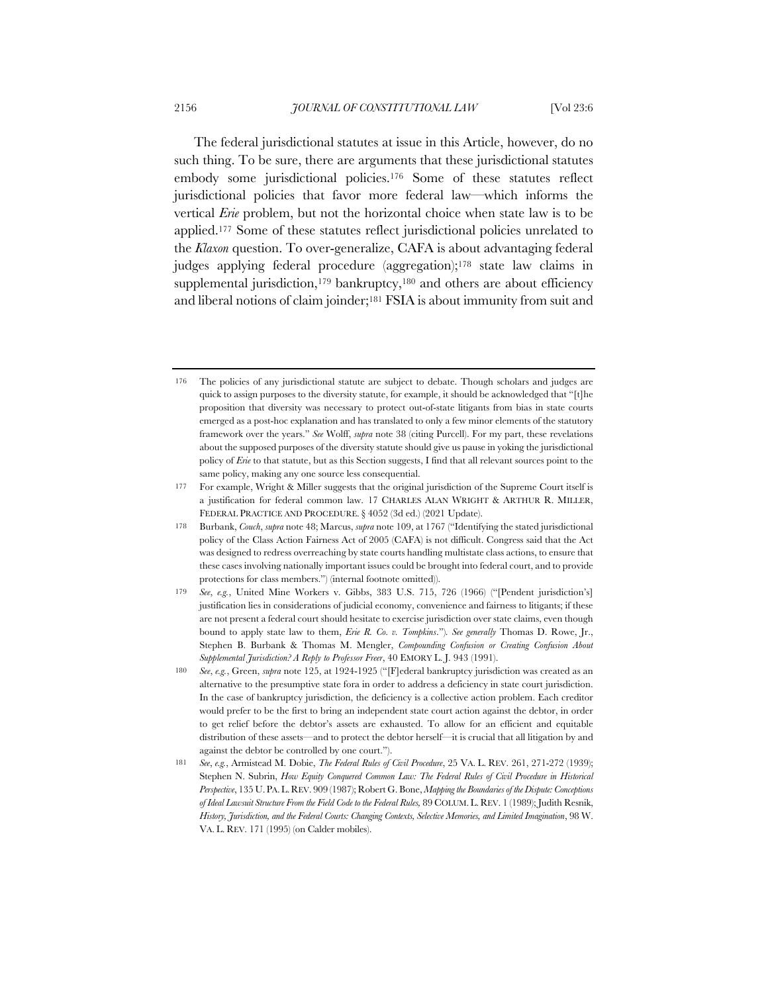The federal jurisdictional statutes at issue in this Article, however, do no such thing. To be sure, there are arguments that these jurisdictional statutes embody some jurisdictional policies.176 Some of these statutes reflect jurisdictional policies that favor more federal law—which informs the vertical *Erie* problem, but not the horizontal choice when state law is to be applied.177 Some of these statutes reflect jurisdictional policies unrelated to the *Klaxon* question. To over-generalize, CAFA is about advantaging federal judges applying federal procedure (aggregation);178 state law claims in supplemental jurisdiction,<sup>179</sup> bankruptcy,<sup>180</sup> and others are about efficiency and liberal notions of claim joinder;181 FSIA is about immunity from suit and

<sup>176</sup> The policies of any jurisdictional statute are subject to debate. Though scholars and judges are quick to assign purposes to the diversity statute, for example, it should be acknowledged that "[t]he proposition that diversity was necessary to protect out-of-state litigants from bias in state courts emerged as a post-hoc explanation and has translated to only a few minor elements of the statutory framework over the years." *See* Wolff, *supra* note 38 (citing Purcell). For my part, these revelations about the supposed purposes of the diversity statute should give us pause in yoking the jurisdictional policy of *Erie* to that statute, but as this Section suggests, I find that all relevant sources point to the same policy, making any one source less consequential.

<sup>177</sup> For example, Wright & Miller suggests that the original jurisdiction of the Supreme Court itself is a justification for federal common law. 17 CHARLES ALAN WRIGHT & ARTHUR R. MILLER, FEDERAL PRACTICE AND PROCEDURE. § 4052 (3d ed.) (2021 Update).

<sup>178</sup> Burbank, *Couch*, *supra* note 48; Marcus, *supra* note 109, at 1767 ("Identifying the stated jurisdictional policy of the Class Action Fairness Act of 2005 (CAFA) is not difficult. Congress said that the Act was designed to redress overreaching by state courts handling multistate class actions, to ensure that these cases involving nationally important issues could be brought into federal court, and to provide protections for class members.") (internal footnote omitted)).

<sup>179</sup> *See*, *e.g.*, United Mine Workers v. Gibbs, 383 U.S. 715, 726 (1966) ("[Pendent jurisdiction's] justification lies in considerations of judicial economy, convenience and fairness to litigants; if these are not present a federal court should hesitate to exercise jurisdiction over state claims, even though bound to apply state law to them, *Erie R. Co. v. Tompkins*.")*. See generally* Thomas D. Rowe, Jr., Stephen B. Burbank & Thomas M. Mengler, *Compounding Confusion or Creating Confusion About Supplemental Jurisdiction? A Reply to Professor Freer*, 40 EMORY L. J. 943 (1991).

<sup>180</sup> *See*, *e.g.*, Green, *supra* note 125, at 1924-1925 ("[F]ederal bankruptcy jurisdiction was created as an alternative to the presumptive state fora in order to address a deficiency in state court jurisdiction. In the case of bankruptcy jurisdiction, the deficiency is a collective action problem. Each creditor would prefer to be the first to bring an independent state court action against the debtor, in order to get relief before the debtor's assets are exhausted. To allow for an efficient and equitable distribution of these assets—and to protect the debtor herself—it is crucial that all litigation by and against the debtor be controlled by one court.").

<sup>181</sup> *See*, *e.g.*, Armistead M. Dobie, *The Federal Rules of Civil Procedure*, 25 VA. L. REV. 261, 271-272 (1939); Stephen N. Subrin, *How Equity Conquered Common Law: The Federal Rules of Civil Procedure in Historical Perspective*, 135 U.PA.L.REV. 909 (1987); Robert G. Bone, *Mapping the Boundaries of the Dispute: Conceptions of Ideal Lawsuit Structure From the Field Code to the Federal Rules,* 89 COLUM.L. REV. 1 (1989); Judith Resnik, *History, Jurisdiction, and the Federal Courts: Changing Contexts, Selective Memories, and Limited Imagination*, 98 W. VA. L. REV. 171 (1995) (on Calder mobiles).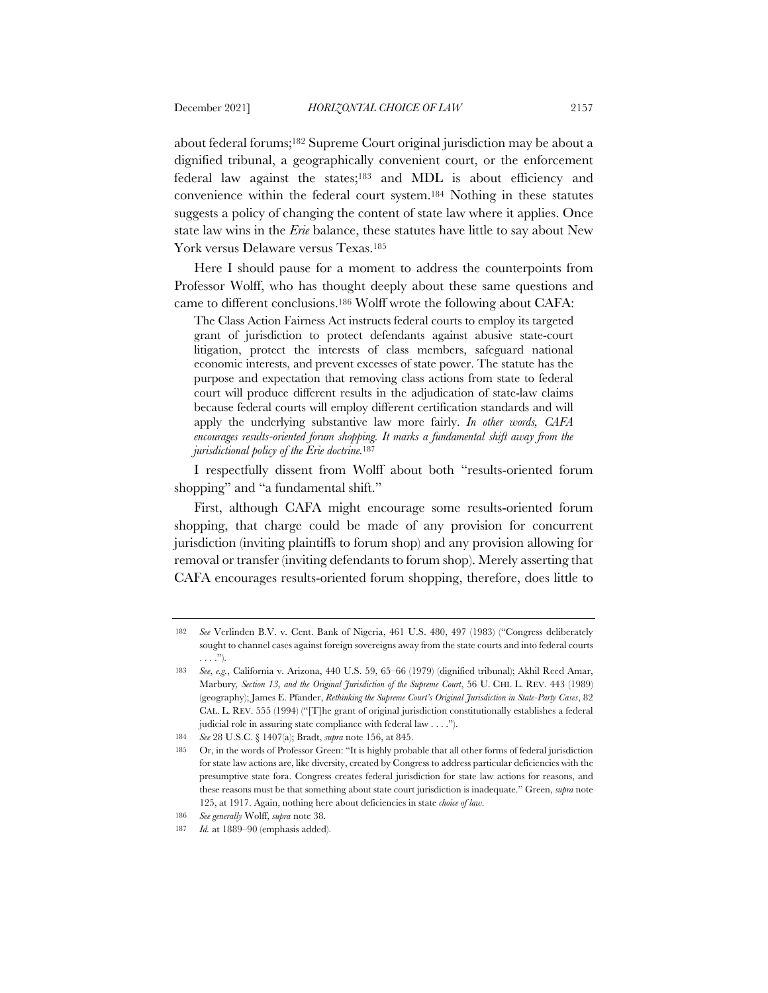about federal forums;182 Supreme Court original jurisdiction may be about a dignified tribunal, a geographically convenient court, or the enforcement federal law against the states;183 and MDL is about efficiency and convenience within the federal court system.184 Nothing in these statutes suggests a policy of changing the content of state law where it applies. Once state law wins in the *Erie* balance, these statutes have little to say about New York versus Delaware versus Texas.185

Here I should pause for a moment to address the counterpoints from Professor Wolff, who has thought deeply about these same questions and came to different conclusions.186 Wolff wrote the following about CAFA:

The Class Action Fairness Act instructs federal courts to employ its targeted grant of jurisdiction to protect defendants against abusive state-court litigation, protect the interests of class members, safeguard national economic interests, and prevent excesses of state power. The statute has the purpose and expectation that removing class actions from state to federal court will produce different results in the adjudication of state-law claims because federal courts will employ different certification standards and will apply the underlying substantive law more fairly. *In other words, CAFA encourages results-oriented forum shopping. It marks a fundamental shift away from the jurisdictional policy of the Erie doctrine.*<sup>187</sup>

I respectfully dissent from Wolff about both "results-oriented forum shopping" and "a fundamental shift."

First, although CAFA might encourage some results-oriented forum shopping, that charge could be made of any provision for concurrent jurisdiction (inviting plaintiffs to forum shop) and any provision allowing for removal or transfer (inviting defendants to forum shop). Merely asserting that CAFA encourages results-oriented forum shopping, therefore, does little to

<sup>182</sup> *See* Verlinden B.V. v. Cent. Bank of Nigeria, 461 U.S. 480, 497 (1983) ("Congress deliberately sought to channel cases against foreign sovereigns away from the state courts and into federal courts . . . .").

<sup>183</sup> *See*, *e.g.*, California v. Arizona, 440 U.S. 59, 65–66 (1979) (dignified tribunal); Akhil Reed Amar, Marbury*, Section 13, and the Original Jurisdiction of the Supreme Court*, 56 U. CHI. L. REV. 443 (1989) (geography); James E. Pfander, *Rethinking the Supreme Court's Original Jurisdiction in State-Party Cases*, 82 CAL. L. REV. 555 (1994) ("[T]he grant of original jurisdiction constitutionally establishes a federal judicial role in assuring state compliance with federal law . . . .").

<sup>184</sup> *See* 28 U.S.C. § 1407(a); Bradt, *supra* note 156, at 845.

<sup>185</sup> Or, in the words of Professor Green: "It is highly probable that all other forms of federal jurisdiction for state law actions are, like diversity, created by Congress to address particular deficiencies with the presumptive state fora. Congress creates federal jurisdiction for state law actions for reasons, and these reasons must be that something about state court jurisdiction is inadequate." Green, *supra* note 125, at 1917. Again, nothing here about deficiencies in state *choice of law*.

<sup>186</sup> *See generally* Wolff, *supra* note 38.

<sup>187</sup> *Id.* at 1889–90 (emphasis added).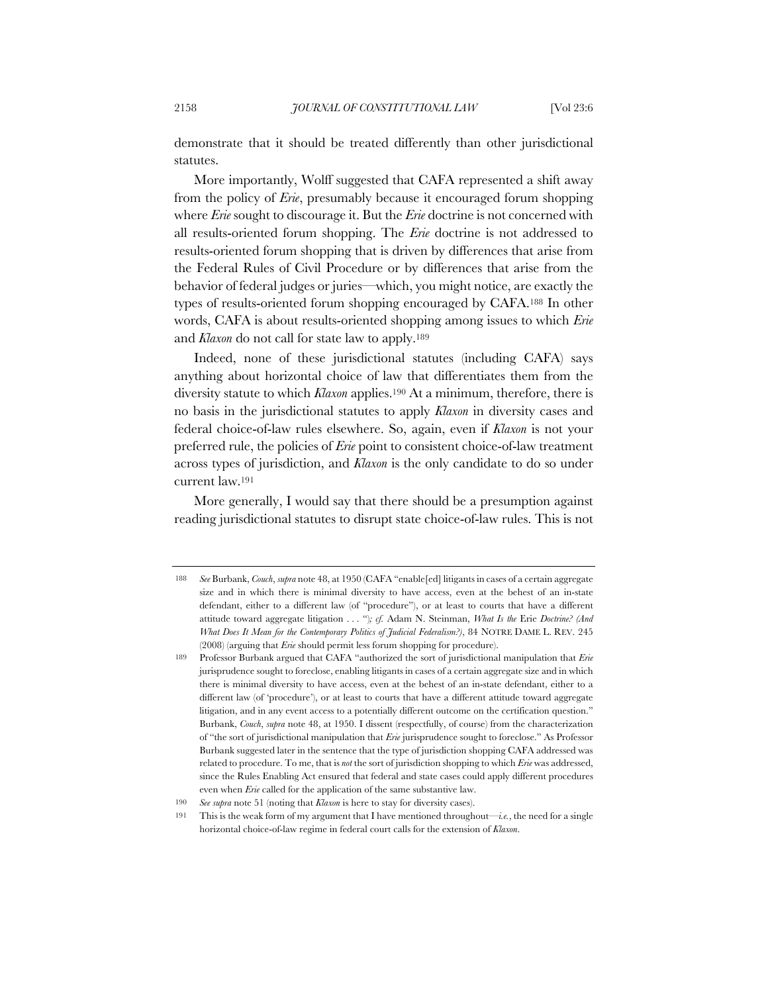demonstrate that it should be treated differently than other jurisdictional statutes.

More importantly, Wolff suggested that CAFA represented a shift away from the policy of *Erie*, presumably because it encouraged forum shopping where *Erie* sought to discourage it. But the *Erie* doctrine is not concerned with all results-oriented forum shopping. The *Erie* doctrine is not addressed to results-oriented forum shopping that is driven by differences that arise from the Federal Rules of Civil Procedure or by differences that arise from the behavior of federal judges or juries—which, you might notice, are exactly the types of results-oriented forum shopping encouraged by CAFA.188 In other words, CAFA is about results-oriented shopping among issues to which *Erie*  and *Klaxon* do not call for state law to apply.189

Indeed, none of these jurisdictional statutes (including CAFA) says anything about horizontal choice of law that differentiates them from the diversity statute to which *Klaxon* applies.190 At a minimum, therefore, there is no basis in the jurisdictional statutes to apply *Klaxon* in diversity cases and federal choice-of-law rules elsewhere. So, again, even if *Klaxon* is not your preferred rule, the policies of *Erie* point to consistent choice-of-law treatment across types of jurisdiction, and *Klaxon* is the only candidate to do so under current law.191

More generally, I would say that there should be a presumption against reading jurisdictional statutes to disrupt state choice-of-law rules. This is not

<sup>188</sup> *See* Burbank, *Couch*, *supra* note 48, at 1950 (CAFA "enable[ed] litigants in cases of a certain aggregate size and in which there is minimal diversity to have access, even at the behest of an in-state defendant, either to a different law (of "procedure"), or at least to courts that have a different attitude toward aggregate litigation . . . ")*; cf.* Adam N. Steinman, *What Is the* Erie *Doctrine? (And What Does It Mean for the Contemporary Politics of Judicial Federalism?)*, 84 NOTRE DAME L. REV. 245 (2008) (arguing that *Erie* should permit less forum shopping for procedure).

<sup>189</sup> Professor Burbank argued that CAFA "authorized the sort of jurisdictional manipulation that *Erie* jurisprudence sought to foreclose, enabling litigants in cases of a certain aggregate size and in which there is minimal diversity to have access, even at the behest of an in-state defendant, either to a different law (of 'procedure'), or at least to courts that have a different attitude toward aggregate litigation, and in any event access to a potentially different outcome on the certification question." Burbank, *Couch*, *supra* note 48, at 1950. I dissent (respectfully, of course) from the characterization of "the sort of jurisdictional manipulation that *Erie* jurisprudence sought to foreclose." As Professor Burbank suggested later in the sentence that the type of jurisdiction shopping CAFA addressed was related to procedure. To me, that is *not* the sort of jurisdiction shopping to which *Erie* was addressed, since the Rules Enabling Act ensured that federal and state cases could apply different procedures even when *Erie* called for the application of the same substantive law.

<sup>190</sup> *See supra* note 51 (noting that *Klaxon* is here to stay for diversity cases).

<sup>191</sup> This is the weak form of my argument that I have mentioned throughout—*i.e.*, the need for a single horizontal choice-of-law regime in federal court calls for the extension of *Klaxon*.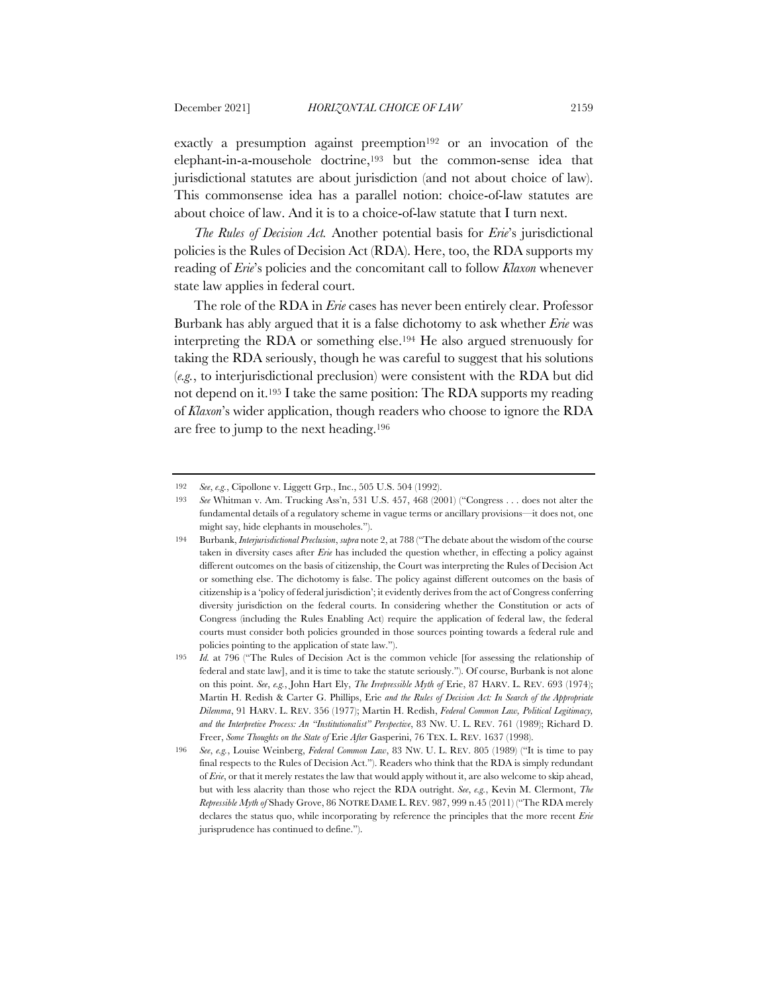exactly a presumption against preemption<sup>192</sup> or an invocation of the elephant-in-a-mousehole doctrine,193 but the common-sense idea that jurisdictional statutes are about jurisdiction (and not about choice of law). This commonsense idea has a parallel notion: choice-of-law statutes are about choice of law. And it is to a choice-of-law statute that I turn next.

*The Rules of Decision Act.* Another potential basis for *Erie*'s jurisdictional policies is the Rules of Decision Act (RDA). Here, too, the RDA supports my reading of *Erie*'s policies and the concomitant call to follow *Klaxon* whenever state law applies in federal court.

The role of the RDA in *Erie* cases has never been entirely clear. Professor Burbank has ably argued that it is a false dichotomy to ask whether *Erie* was interpreting the RDA or something else.194 He also argued strenuously for taking the RDA seriously, though he was careful to suggest that his solutions (*e.g.*, to interjurisdictional preclusion) were consistent with the RDA but did not depend on it.195 I take the same position: The RDA supports my reading of *Klaxon*'s wider application, though readers who choose to ignore the RDA are free to jump to the next heading.196

<sup>192</sup> *See*, *e.g.*, Cipollone v. Liggett Grp., Inc., 505 U.S. 504 (1992).

<sup>193</sup> *See* Whitman v. Am. Trucking Ass'n, 531 U.S. 457, 468 (2001) ("Congress . . . does not alter the fundamental details of a regulatory scheme in vague terms or ancillary provisions—it does not, one might say, hide elephants in mouseholes.").

<sup>194</sup> Burbank, *Interjurisdictional Preclusion*, *supra* note 2, at 788 ("The debate about the wisdom of the course taken in diversity cases after *Erie* has included the question whether, in effecting a policy against different outcomes on the basis of citizenship, the Court was interpreting the Rules of Decision Act or something else. The dichotomy is false. The policy against different outcomes on the basis of citizenship is a 'policy of federal jurisdiction'; it evidently derives from the act of Congress conferring diversity jurisdiction on the federal courts. In considering whether the Constitution or acts of Congress (including the Rules Enabling Act) require the application of federal law, the federal courts must consider both policies grounded in those sources pointing towards a federal rule and policies pointing to the application of state law.").

<sup>195</sup> *Id.* at 796 ("The Rules of Decision Act is the common vehicle [for assessing the relationship of federal and state law], and it is time to take the statute seriously."). Of course, Burbank is not alone on this point. *See*, *e.g.*, John Hart Ely, *The Irrepressible Myth of* Erie, 87 HARV. L. REV. 693 (1974); Martin H. Redish & Carter G. Phillips, Erie *and the Rules of Decision Act: In Search of the Appropriate Dilemma*, 91 HARV. L. REV. 356 (1977); Martin H. Redish, *Federal Common Law, Political Legitimacy, and the Interpretive Process: An "Institutionalist" Perspective*, 83 NW. U. L. REV. 761 (1989); Richard D. Freer, *Some Thoughts on the State of* Erie *After* Gasperini, 76 TEX. L. REV. 1637 (1998).

<sup>196</sup> *See*, *e.g.*, Louise Weinberg, *Federal Common Law*, 83 NW. U. L. REV. 805 (1989) ("It is time to pay final respects to the Rules of Decision Act."). Readers who think that the RDA is simply redundant of *Erie*, or that it merely restates the law that would apply without it, are also welcome to skip ahead, but with less alacrity than those who reject the RDA outright. *See*, *e.g.*, Kevin M. Clermont, *The Repressible Myth of* Shady Grove, 86 NOTRE DAME L. REV. 987, 999 n.45 (2011) ("The RDA merely declares the status quo, while incorporating by reference the principles that the more recent *Erie* jurisprudence has continued to define.").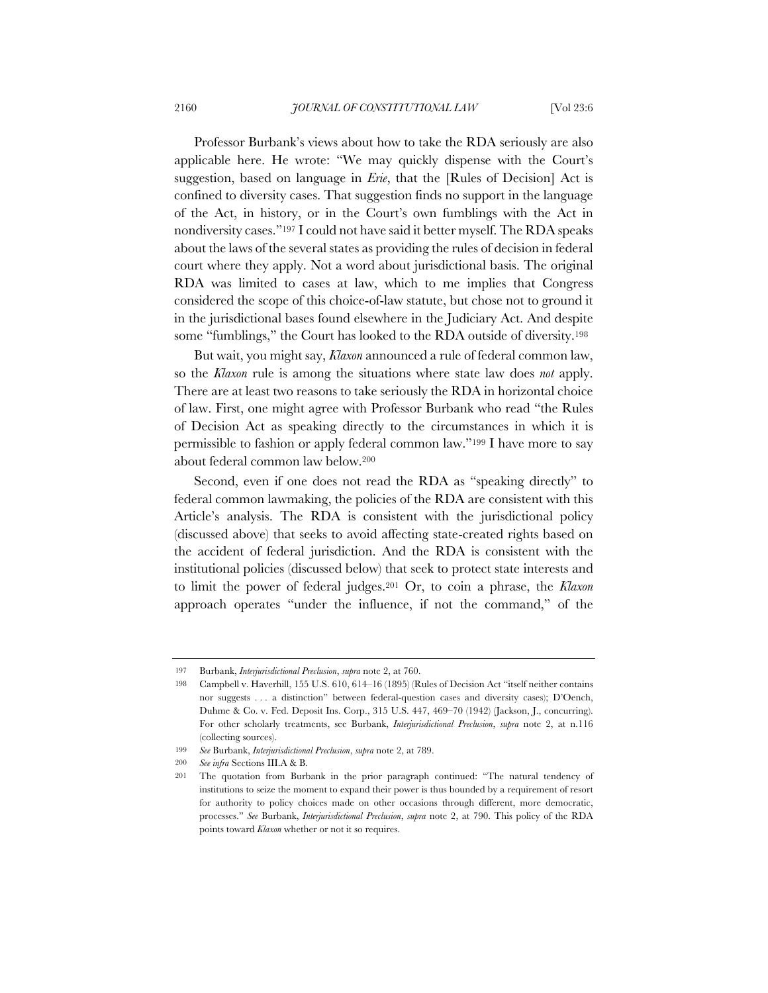Professor Burbank's views about how to take the RDA seriously are also applicable here. He wrote: "We may quickly dispense with the Court's suggestion, based on language in *Erie*, that the [Rules of Decision] Act is confined to diversity cases. That suggestion finds no support in the language of the Act, in history, or in the Court's own fumblings with the Act in nondiversity cases."197 I could not have said it better myself. The RDA speaks about the laws of the several states as providing the rules of decision in federal court where they apply. Not a word about jurisdictional basis. The original RDA was limited to cases at law, which to me implies that Congress considered the scope of this choice-of-law statute, but chose not to ground it in the jurisdictional bases found elsewhere in the Judiciary Act. And despite some "fumblings," the Court has looked to the RDA outside of diversity.<sup>198</sup>

But wait, you might say, *Klaxon* announced a rule of federal common law, so the *Klaxon* rule is among the situations where state law does *not* apply. There are at least two reasons to take seriously the RDA in horizontal choice of law. First, one might agree with Professor Burbank who read "the Rules of Decision Act as speaking directly to the circumstances in which it is permissible to fashion or apply federal common law."199 I have more to say about federal common law below.200

Second, even if one does not read the RDA as "speaking directly" to federal common lawmaking, the policies of the RDA are consistent with this Article's analysis. The RDA is consistent with the jurisdictional policy (discussed above) that seeks to avoid affecting state-created rights based on the accident of federal jurisdiction. And the RDA is consistent with the institutional policies (discussed below) that seek to protect state interests and to limit the power of federal judges.201 Or, to coin a phrase, the *Klaxon*  approach operates "under the influence, if not the command," of the

<sup>197</sup> Burbank, *Interjurisdictional Preclusion*, *supra* note 2, at 760.

<sup>198</sup> Campbell v. Haverhill, 155 U.S. 610, 614–16 (1895) (Rules of Decision Act "itself neither contains nor suggests . . . a distinction" between federal-question cases and diversity cases); D'Oench, Duhme & Co. v. Fed. Deposit Ins. Corp., 315 U.S. 447, 469–70 (1942) (Jackson, J., concurring). For other scholarly treatments, see Burbank, *Interjurisdictional Preclusion*, *supra* note 2, at n.116 (collecting sources).

<sup>199</sup> *See* Burbank, *Interjurisdictional Preclusion*, *supra* note 2, at 789.

<sup>200</sup> *See infra* Sections III.A & B.

<sup>201</sup> The quotation from Burbank in the prior paragraph continued: "The natural tendency of institutions to seize the moment to expand their power is thus bounded by a requirement of resort for authority to policy choices made on other occasions through different, more democratic, processes." *See* Burbank, *Interjurisdictional Preclusion*, *supra* note 2, at 790. This policy of the RDA points toward *Klaxon* whether or not it so requires.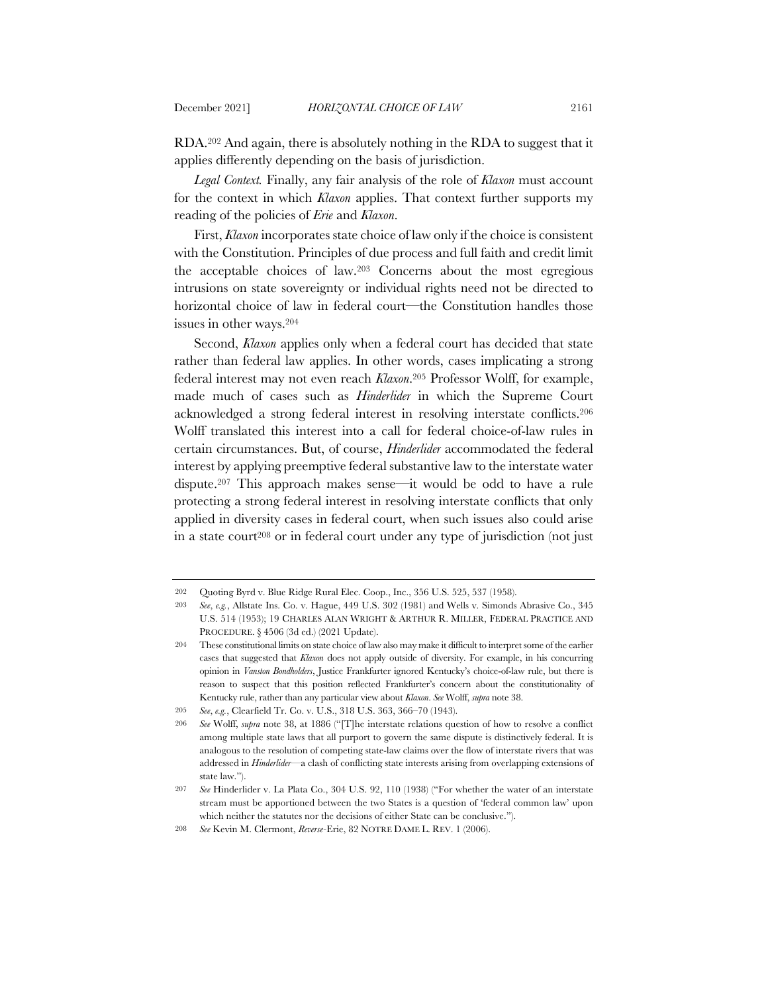RDA.202 And again, there is absolutely nothing in the RDA to suggest that it applies differently depending on the basis of jurisdiction.

*Legal Context.* Finally, any fair analysis of the role of *Klaxon* must account for the context in which *Klaxon* applies. That context further supports my reading of the policies of *Erie* and *Klaxon*.

First, *Klaxon* incorporates state choice of law only if the choice is consistent with the Constitution. Principles of due process and full faith and credit limit the acceptable choices of law.203 Concerns about the most egregious intrusions on state sovereignty or individual rights need not be directed to horizontal choice of law in federal court—the Constitution handles those issues in other ways.204

Second, *Klaxon* applies only when a federal court has decided that state rather than federal law applies. In other words, cases implicating a strong federal interest may not even reach *Klaxon*.205 Professor Wolff, for example, made much of cases such as *Hinderlider* in which the Supreme Court acknowledged a strong federal interest in resolving interstate conflicts.206 Wolff translated this interest into a call for federal choice-of-law rules in certain circumstances. But, of course, *Hinderlider* accommodated the federal interest by applying preemptive federal substantive law to the interstate water dispute.207 This approach makes sense—it would be odd to have a rule protecting a strong federal interest in resolving interstate conflicts that only applied in diversity cases in federal court, when such issues also could arise in a state court208 or in federal court under any type of jurisdiction (not just

<sup>202</sup> Quoting Byrd v. Blue Ridge Rural Elec. Coop., Inc., 356 U.S. 525, 537 (1958).

<sup>203</sup> *See*, *e.g.*, Allstate Ins. Co. v. Hague, 449 U.S. 302 (1981) and Wells v. Simonds Abrasive Co., 345 U.S. 514 (1953); 19 CHARLES ALAN WRIGHT & ARTHUR R. MILLER, FEDERAL PRACTICE AND PROCEDURE. § 4506 (3d ed.) (2021 Update).

<sup>204</sup> These constitutional limits on state choice of law also may make it difficult to interpret some of the earlier cases that suggested that *Klaxon* does not apply outside of diversity. For example, in his concurring opinion in *Vanston Bondholders*, Justice Frankfurter ignored Kentucky's choice-of-law rule, but there is reason to suspect that this position reflected Frankfurter's concern about the constitutionality of Kentucky rule, rather than any particular view about *Klaxon*. *See* Wolff, *supra* note 38.

<sup>205</sup> *See*, *e.g.*, Clearfield Tr. Co. v. U.S., 318 U.S. 363, 366–70 (1943).

<sup>206</sup> *See* Wolff, *supra* note 38, at 1886 ("[T]he interstate relations question of how to resolve a conflict among multiple state laws that all purport to govern the same dispute is distinctively federal. It is analogous to the resolution of competing state-law claims over the flow of interstate rivers that was addressed in *Hinderlider*—a clash of conflicting state interests arising from overlapping extensions of state law.").

<sup>207</sup> *See* Hinderlider v. La Plata Co., 304 U.S. 92, 110 (1938) ("For whether the water of an interstate stream must be apportioned between the two States is a question of 'federal common law' upon which neither the statutes nor the decisions of either State can be conclusive.").

<sup>208</sup> *See* Kevin M. Clermont, *Reverse-*Erie, 82 NOTRE DAME L. REV. 1 (2006).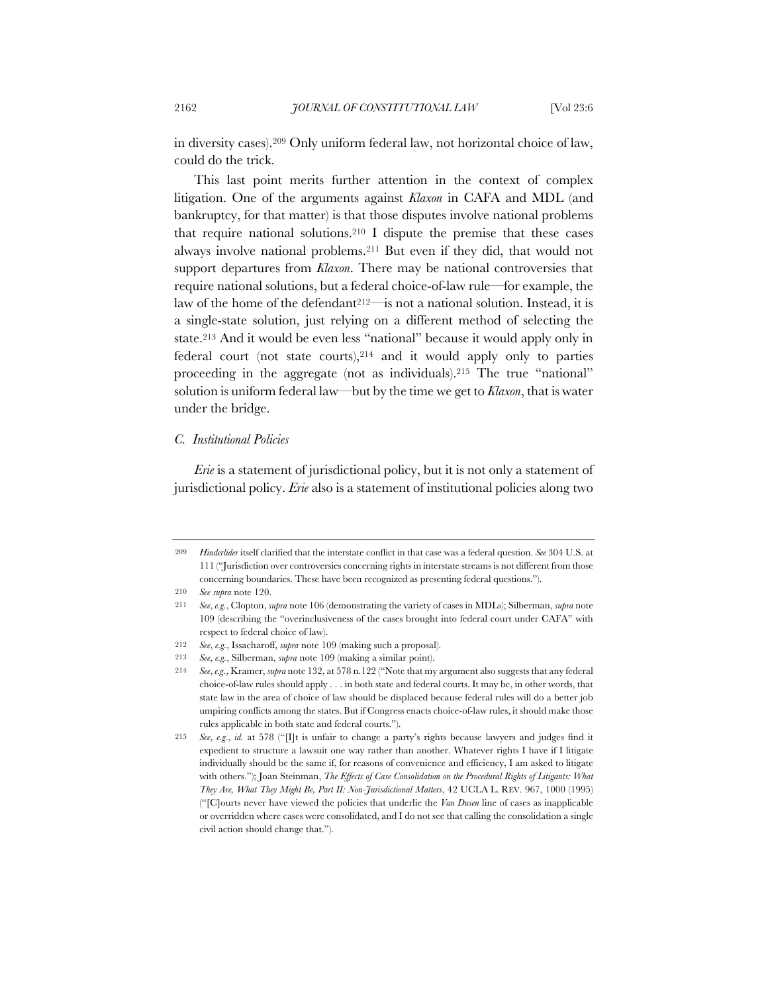in diversity cases).209 Only uniform federal law, not horizontal choice of law, could do the trick.

This last point merits further attention in the context of complex litigation. One of the arguments against *Klaxon* in CAFA and MDL (and bankruptcy, for that matter) is that those disputes involve national problems that require national solutions.210 I dispute the premise that these cases always involve national problems.211 But even if they did, that would not support departures from *Klaxon*. There may be national controversies that require national solutions, but a federal choice-of-law rule—for example, the law of the home of the defendant<sup>212—is</sup> not a national solution. Instead, it is a single-state solution, just relying on a different method of selecting the state.213 And it would be even less "national" because it would apply only in federal court (not state courts),214 and it would apply only to parties proceeding in the aggregate (not as individuals).215 The true "national" solution is uniform federal law—but by the time we get to *Klaxon*, that is water under the bridge.

## *C. Institutional Policies*

*Erie* is a statement of jurisdictional policy, but it is not only a statement of jurisdictional policy. *Erie* also is a statement of institutional policies along two

209 *Hinderlider* itself clarified that the interstate conflict in that case was a federal question. *See* 304 U.S. at 111 ("Jurisdiction over controversies concerning rights in interstate streams is not different from those concerning boundaries. These have been recognized as presenting federal questions.").

<sup>210</sup> *See supra* note 120.

<sup>211</sup> *See*, *e.g.*, Clopton, *supra* note 106 (demonstrating the variety of cases in MDLs); Silberman, *supra* note 109 (describing the "overinclusiveness of the cases brought into federal court under CAFA" with respect to federal choice of law).

<sup>212</sup> *See*, *e.g.*, Issacharoff, *supra* note 109 (making such a proposal).

<sup>213</sup> *See*, *e.g.*, Silberman, *supra* note 109 (making a similar point).

<sup>214</sup> *See*, *e.g.*, Kramer, *supra* note 132, at 578 n.122 ("Note that my argument also suggests that any federal choice-of-law rules should apply . . . in both state and federal courts. It may be, in other words, that state law in the area of choice of law should be displaced because federal rules will do a better job umpiring conflicts among the states. But if Congress enacts choice-of-law rules, it should make those rules applicable in both state and federal courts.").

<sup>215</sup> *See*, *e.g.*, *id.* at 578 ("[I]t is unfair to change a party's rights because lawyers and judges find it expedient to structure a lawsuit one way rather than another. Whatever rights I have if I litigate individually should be the same if, for reasons of convenience and efficiency, I am asked to litigate with others."); Joan Steinman, *The Effects of Case Consolidation on the Procedural Rights of Litigants: What They Are, What They Might Be, Part II: Non-Jurisdictional Matters*, 42 UCLA L. REV. 967, 1000 (1995) ("[C]ourts never have viewed the policies that underlie the *Van Dusen* line of cases as inapplicable or overridden where cases were consolidated, and I do not see that calling the consolidation a single civil action should change that.").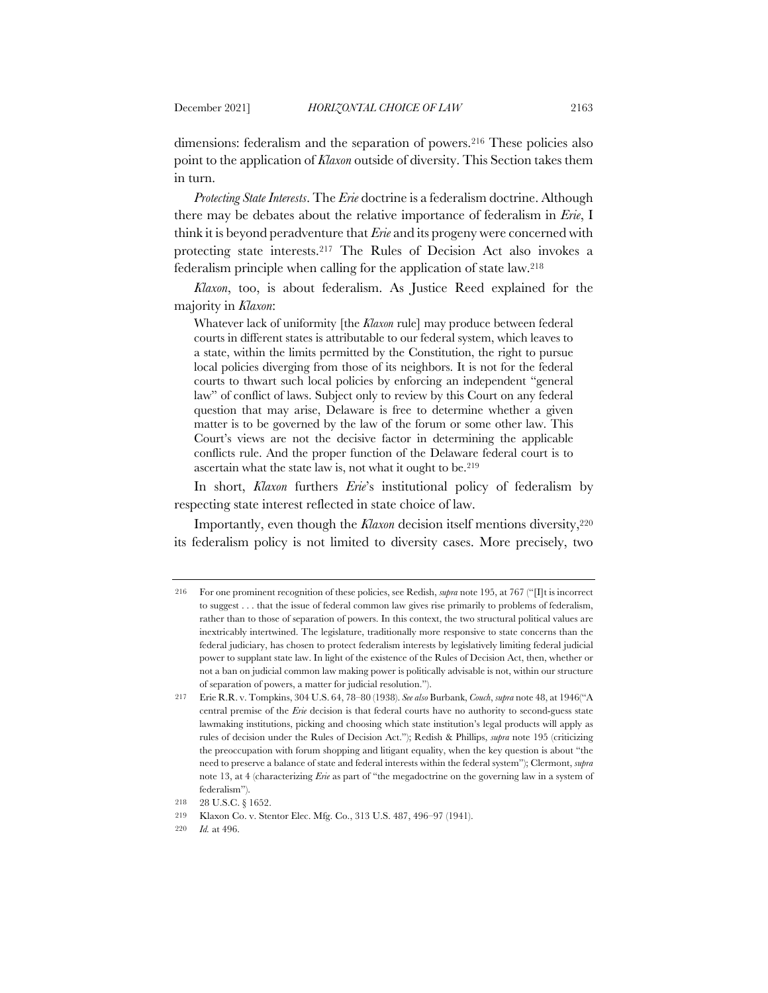dimensions: federalism and the separation of powers.216 These policies also point to the application of *Klaxon* outside of diversity. This Section takes them in turn.

*Protecting State Interests*. The *Erie* doctrine is a federalism doctrine. Although there may be debates about the relative importance of federalism in *Erie*, I think it is beyond peradventure that *Erie* and its progeny were concerned with protecting state interests.217 The Rules of Decision Act also invokes a federalism principle when calling for the application of state law.218

*Klaxon*, too, is about federalism. As Justice Reed explained for the majority in *Klaxon*:

Whatever lack of uniformity [the *Klaxon* rule] may produce between federal courts in different states is attributable to our federal system, which leaves to a state, within the limits permitted by the Constitution, the right to pursue local policies diverging from those of its neighbors. It is not for the federal courts to thwart such local policies by enforcing an independent "general law" of conflict of laws. Subject only to review by this Court on any federal question that may arise, Delaware is free to determine whether a given matter is to be governed by the law of the forum or some other law. This Court's views are not the decisive factor in determining the applicable conflicts rule. And the proper function of the Delaware federal court is to ascertain what the state law is, not what it ought to be.<sup>219</sup>

In short, *Klaxon* furthers *Erie*'s institutional policy of federalism by respecting state interest reflected in state choice of law.

Importantly, even though the *Klaxon* decision itself mentions diversity,<sup>220</sup> its federalism policy is not limited to diversity cases. More precisely, two

<sup>216</sup> For one prominent recognition of these policies, see Redish, *supra* note 195, at 767 ("[I]t is incorrect to suggest . . . that the issue of federal common law gives rise primarily to problems of federalism, rather than to those of separation of powers. In this context, the two structural political values are inextricably intertwined. The legislature, traditionally more responsive to state concerns than the federal judiciary, has chosen to protect federalism interests by legislatively limiting federal judicial power to supplant state law. In light of the existence of the Rules of Decision Act, then, whether or not a ban on judicial common law making power is politically advisable is not, within our structure of separation of powers, a matter for judicial resolution.").

<sup>217</sup> Erie R.R. v. Tompkins, 304 U.S. 64, 78–80 (1938). *See also* Burbank, *Couch*, *supra* note 48, at 1946("A central premise of the *Erie* decision is that federal courts have no authority to second-guess state lawmaking institutions, picking and choosing which state institution's legal products will apply as rules of decision under the Rules of Decision Act."); Redish & Phillips, *supra* note 195 (criticizing the preoccupation with forum shopping and litigant equality, when the key question is about "the need to preserve a balance of state and federal interests within the federal system"); Clermont, *supra* note 13, at 4 (characterizing *Erie* as part of "the megadoctrine on the governing law in a system of federalism").

<sup>218</sup> 28 U.S.C. § 1652.

<sup>219</sup> Klaxon Co. v. Stentor Elec. Mfg. Co., 313 U.S. 487, 496–97 (1941).

<sup>220</sup> *Id.* at 496.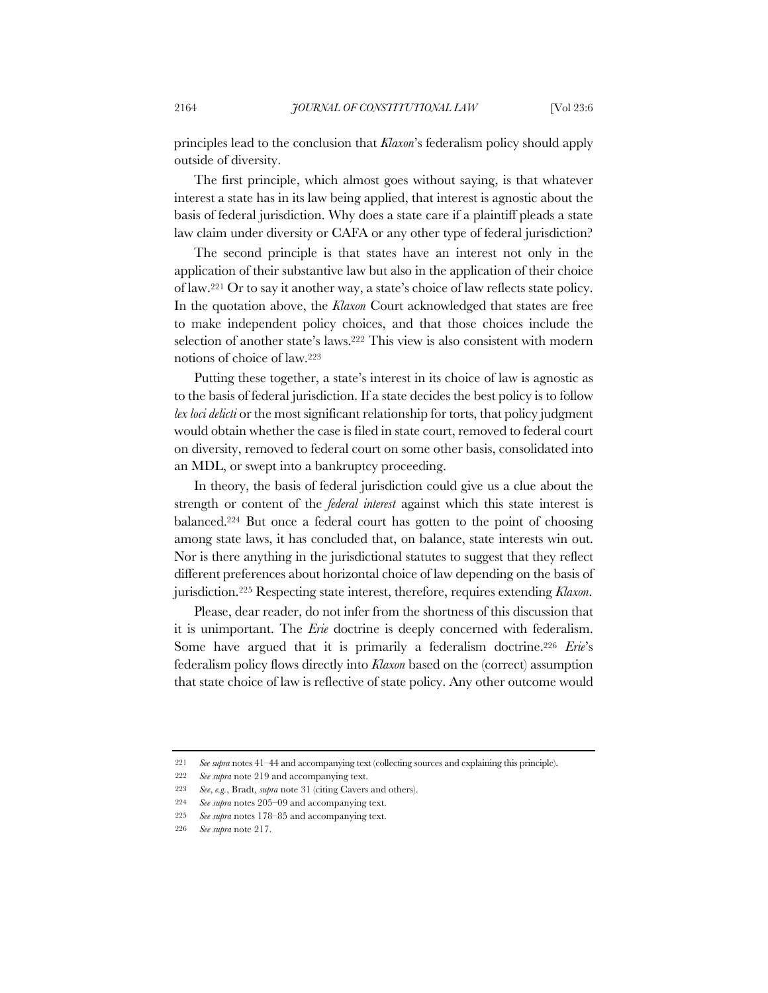principles lead to the conclusion that *Klaxon*'s federalism policy should apply outside of diversity.

The first principle, which almost goes without saying, is that whatever interest a state has in its law being applied, that interest is agnostic about the basis of federal jurisdiction. Why does a state care if a plaintiff pleads a state law claim under diversity or CAFA or any other type of federal jurisdiction?

The second principle is that states have an interest not only in the application of their substantive law but also in the application of their choice of law.221 Or to say it another way, a state's choice of law reflects state policy. In the quotation above, the *Klaxon* Court acknowledged that states are free to make independent policy choices, and that those choices include the selection of another state's laws.222 This view is also consistent with modern notions of choice of law.223

Putting these together, a state's interest in its choice of law is agnostic as to the basis of federal jurisdiction. If a state decides the best policy is to follow *lex loci delicti* or the most significant relationship for torts, that policy judgment would obtain whether the case is filed in state court, removed to federal court on diversity, removed to federal court on some other basis, consolidated into an MDL, or swept into a bankruptcy proceeding.

In theory, the basis of federal jurisdiction could give us a clue about the strength or content of the *federal interest* against which this state interest is balanced.224 But once a federal court has gotten to the point of choosing among state laws, it has concluded that, on balance, state interests win out. Nor is there anything in the jurisdictional statutes to suggest that they reflect different preferences about horizontal choice of law depending on the basis of jurisdiction.225 Respecting state interest, therefore, requires extending *Klaxon*.

Please, dear reader, do not infer from the shortness of this discussion that it is unimportant. The *Erie* doctrine is deeply concerned with federalism. Some have argued that it is primarily a federalism doctrine.226 *Erie*'s federalism policy flows directly into *Klaxon* based on the (correct) assumption that state choice of law is reflective of state policy. Any other outcome would

<sup>221</sup> *See supra* notes 41–44 and accompanying text (collecting sources and explaining this principle).

<sup>222</sup> *See supra* note 219 and accompanying text.

<sup>223</sup> *See*, *e.g.*, Bradt, *supra* note 31 (citing Cavers and others).

<sup>224</sup> *See supra* notes 205–09 and accompanying text.

<sup>225</sup> *See supra* notes 178–85 and accompanying text.

<sup>226</sup> *See supra* note 217.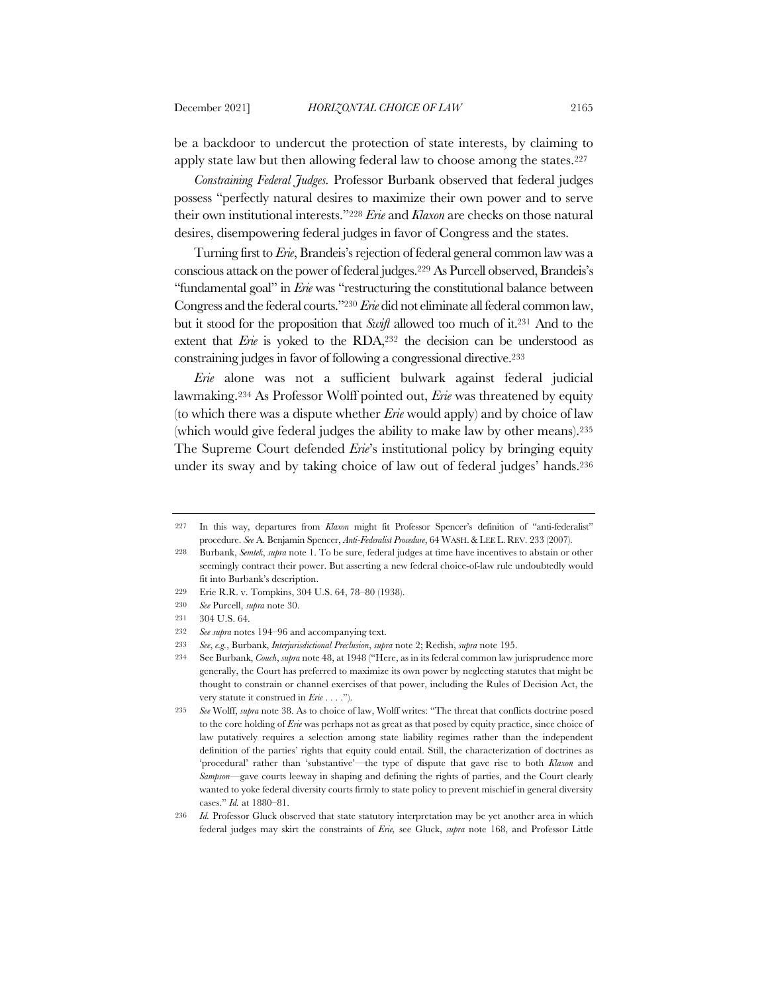be a backdoor to undercut the protection of state interests, by claiming to apply state law but then allowing federal law to choose among the states.227

*Constraining Federal Judges.* Professor Burbank observed that federal judges possess "perfectly natural desires to maximize their own power and to serve their own institutional interests."228 *Erie* and *Klaxon* are checks on those natural desires, disempowering federal judges in favor of Congress and the states.

Turning first to *Erie*, Brandeis's rejection of federal general common law was a conscious attack on the power of federal judges.229 As Purcell observed, Brandeis's "fundamental goal" in *Erie* was "restructuring the constitutional balance between Congress and the federal courts."230 *Erie* did not eliminate all federal common law, but it stood for the proposition that *Swift* allowed too much of it.231 And to the extent that *Erie* is yoked to the RDA,<sup>232</sup> the decision can be understood as constraining judges in favor of following a congressional directive.233

*Erie* alone was not a sufficient bulwark against federal judicial lawmaking.234 As Professor Wolff pointed out, *Erie* was threatened by equity (to which there was a dispute whether *Erie* would apply) and by choice of law (which would give federal judges the ability to make law by other means).235 The Supreme Court defended *Erie*'s institutional policy by bringing equity under its sway and by taking choice of law out of federal judges' hands.236

<sup>227</sup> In this way, departures from *Klaxon* might fit Professor Spencer's definition of "anti-federalist" procedure. *See* A. Benjamin Spencer, *Anti-Federalist Procedure*, 64 WASH.&LEE L. REV. 233 (2007).

<sup>228</sup> Burbank, *Semtek*, *supra* note 1. To be sure, federal judges at time have incentives to abstain or other seemingly contract their power. But asserting a new federal choice-of-law rule undoubtedly would fit into Burbank's description.

<sup>229</sup> Erie R.R. v. Tompkins, 304 U.S. 64, 78–80 (1938).

<sup>230</sup> *See* Purcell, *supra* note 30.

<sup>231</sup> 304 U.S. 64.

<sup>232</sup> *See supra* notes 194–96 and accompanying text.

<sup>233</sup> *See*, *e.g.*, Burbank, *Interjurisdictional Preclusion*, *supra* note 2; Redish, *supra* note 195.

<sup>234</sup> See Burbank, *Couch*, *supra* note 48, at 1948 ("Here, as in its federal common law jurisprudence more generally, the Court has preferred to maximize its own power by neglecting statutes that might be thought to constrain or channel exercises of that power, including the Rules of Decision Act, the very statute it construed in *Erie* . . . .").

<sup>235</sup> *See* Wolff, *supra* note 38. As to choice of law, Wolff writes: "The threat that conflicts doctrine posed to the core holding of *Erie* was perhaps not as great as that posed by equity practice, since choice of law putatively requires a selection among state liability regimes rather than the independent definition of the parties' rights that equity could entail. Still, the characterization of doctrines as 'procedural' rather than 'substantive'—the type of dispute that gave rise to both *Klaxon* and *Sampson*—gave courts leeway in shaping and defining the rights of parties, and the Court clearly wanted to yoke federal diversity courts firmly to state policy to prevent mischief in general diversity cases." *Id.* at 1880–81.

<sup>236</sup> *Id.* Professor Gluck observed that state statutory interpretation may be yet another area in which federal judges may skirt the constraints of *Erie,* see Gluck, *supra* note 168, and Professor Little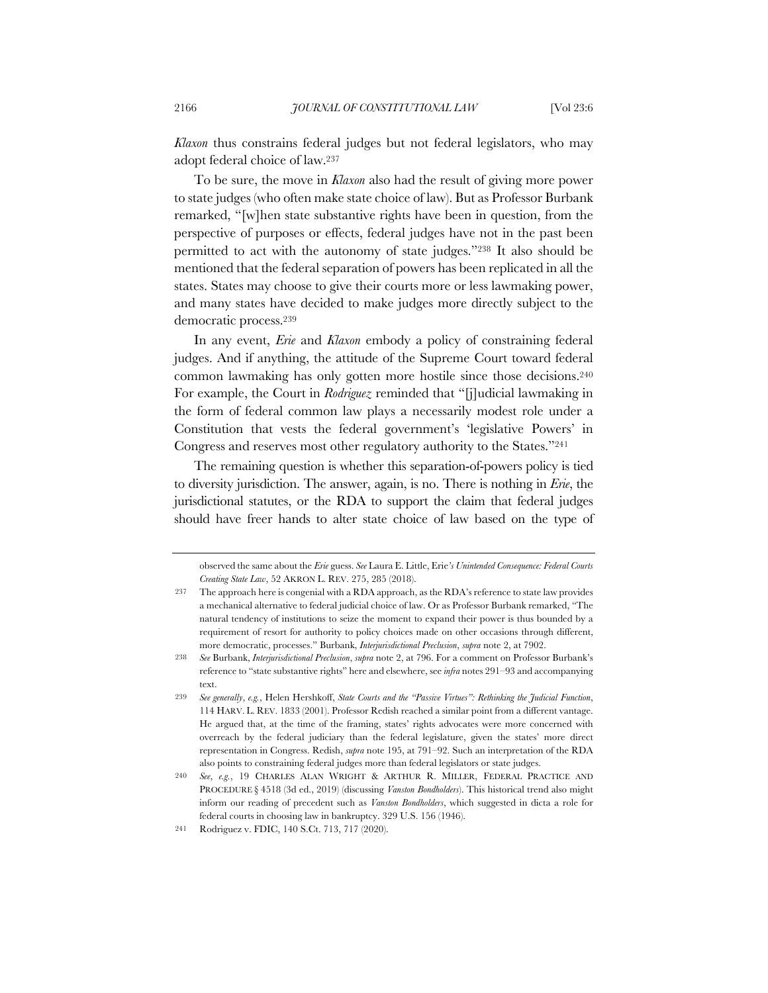*Klaxon* thus constrains federal judges but not federal legislators, who may adopt federal choice of law.237

To be sure, the move in *Klaxon* also had the result of giving more power to state judges (who often make state choice of law). But as Professor Burbank remarked, "[w]hen state substantive rights have been in question, from the perspective of purposes or effects, federal judges have not in the past been permitted to act with the autonomy of state judges."238 It also should be mentioned that the federal separation of powers has been replicated in all the states. States may choose to give their courts more or less lawmaking power, and many states have decided to make judges more directly subject to the democratic process.239

In any event, *Erie* and *Klaxon* embody a policy of constraining federal judges. And if anything, the attitude of the Supreme Court toward federal common lawmaking has only gotten more hostile since those decisions.240 For example, the Court in *Rodriguez* reminded that "[j]udicial lawmaking in the form of federal common law plays a necessarily modest role under a Constitution that vests the federal government's 'legislative Powers' in Congress and reserves most other regulatory authority to the States."241

The remaining question is whether this separation-of-powers policy is tied to diversity jurisdiction. The answer, again, is no. There is nothing in *Erie*, the jurisdictional statutes, or the RDA to support the claim that federal judges should have freer hands to alter state choice of law based on the type of

observed the same about the *Erie* guess. *See* Laura E. Little, Erie*'s Unintended Consequence: Federal Courts Creating State Law*, 52 AKRON L. REV. 275, 285 (2018).

<sup>237</sup> The approach here is congenial with a RDA approach, as the RDA's reference to state law provides a mechanical alternative to federal judicial choice of law. Or as Professor Burbank remarked, "The natural tendency of institutions to seize the moment to expand their power is thus bounded by a requirement of resort for authority to policy choices made on other occasions through different, more democratic, processes." Burbank, *Interjurisdictional Preclusion*, *supra* note 2, at 7902.

<sup>238</sup> *See* Burbank, *Interjurisdictional Preclusion*, *supra* note 2, at 796. For a comment on Professor Burbank's reference to "state substantive rights" here and elsewhere, see *infra* notes 291–93 and accompanying text.

<sup>239</sup> *See generally*, *e.g.*, Helen Hershkoff, *State Courts and the "Passive Virtues": Rethinking the Judicial Function*, 114 HARV. L. REV. 1833 (2001). Professor Redish reached a similar point from a different vantage. He argued that, at the time of the framing, states' rights advocates were more concerned with overreach by the federal judiciary than the federal legislature, given the states' more direct representation in Congress. Redish, *supra* note 195, at 791–92. Such an interpretation of the RDA also points to constraining federal judges more than federal legislators or state judges.

<sup>240</sup> *See*, *e.g.*, 19 CHARLES ALAN WRIGHT & ARTHUR R. MILLER, FEDERAL PRACTICE AND PROCEDURE § 4518 (3d ed., 2019) (discussing *Vanston Bondholders*). This historical trend also might inform our reading of precedent such as *Vanston Bondholders*, which suggested in dicta a role for federal courts in choosing law in bankruptcy. 329 U.S. 156 (1946).

<sup>241</sup> Rodriguez v. FDIC, 140 S.Ct. 713, 717 (2020).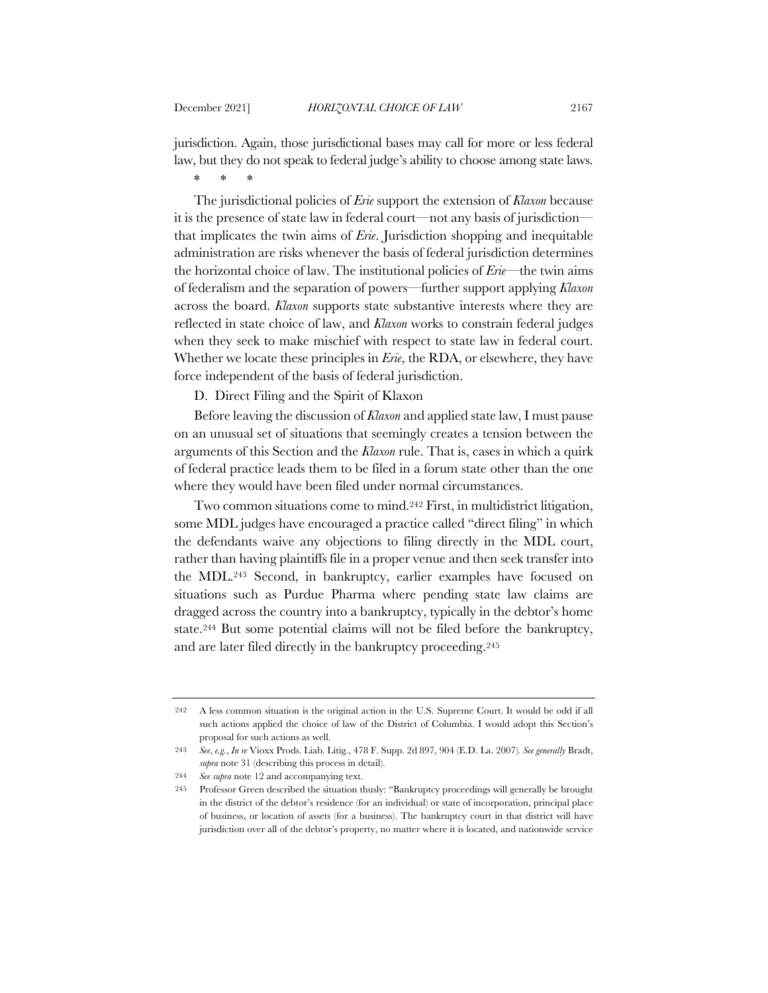jurisdiction. Again, those jurisdictional bases may call for more or less federal law, but they do not speak to federal judge's ability to choose among state laws. \* \* \*

The jurisdictional policies of *Erie* support the extension of *Klaxon* because it is the presence of state law in federal court—not any basis of jurisdiction that implicates the twin aims of *Erie*. Jurisdiction shopping and inequitable administration are risks whenever the basis of federal jurisdiction determines the horizontal choice of law. The institutional policies of *Erie*—the twin aims of federalism and the separation of powers—further support applying *Klaxon* across the board. *Klaxon* supports state substantive interests where they are reflected in state choice of law, and *Klaxon* works to constrain federal judges when they seek to make mischief with respect to state law in federal court. Whether we locate these principles in *Erie*, the RDA, or elsewhere, they have force independent of the basis of federal jurisdiction.

D. Direct Filing and the Spirit of Klaxon

Before leaving the discussion of *Klaxon* and applied state law, I must pause on an unusual set of situations that seemingly creates a tension between the arguments of this Section and the *Klaxon* rule. That is, cases in which a quirk of federal practice leads them to be filed in a forum state other than the one where they would have been filed under normal circumstances.

Two common situations come to mind.242 First, in multidistrict litigation, some MDL judges have encouraged a practice called "direct filing" in which the defendants waive any objections to filing directly in the MDL court, rather than having plaintiffs file in a proper venue and then seek transfer into the MDL.243 Second, in bankruptcy, earlier examples have focused on situations such as Purdue Pharma where pending state law claims are dragged across the country into a bankruptcy, typically in the debtor's home state.244 But some potential claims will not be filed before the bankruptcy, and are later filed directly in the bankruptcy proceeding.245

<sup>242</sup> A less common situation is the original action in the U.S. Supreme Court. It would be odd if all such actions applied the choice of law of the District of Columbia. I would adopt this Section's proposal for such actions as well.

<sup>243</sup> *See*, *e.g.*, *In re* Vioxx Prods. Liab. Litig., 478 F. Supp. 2d 897, 904 (E.D. La. 2007)*. See generally* Bradt, *supra* note 31 (describing this process in detail).

<sup>244</sup> *See supra* note 12 and accompanying text.

<sup>245</sup> Professor Green described the situation thusly: "Bankruptcy proceedings will generally be brought in the district of the debtor's residence (for an individual) or state of incorporation, principal place of business, or location of assets (for a business). The bankruptcy court in that district will have jurisdiction over all of the debtor's property, no matter where it is located, and nationwide service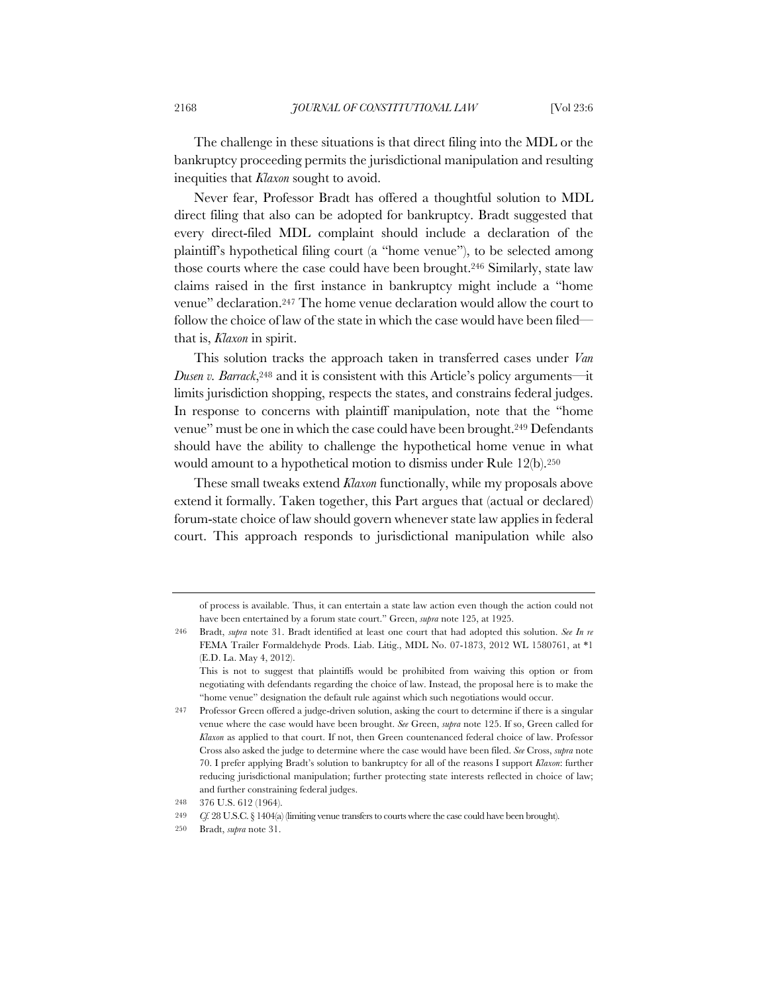The challenge in these situations is that direct filing into the MDL or the bankruptcy proceeding permits the jurisdictional manipulation and resulting inequities that *Klaxon* sought to avoid.

Never fear, Professor Bradt has offered a thoughtful solution to MDL direct filing that also can be adopted for bankruptcy. Bradt suggested that every direct-filed MDL complaint should include a declaration of the plaintiff's hypothetical filing court (a "home venue"), to be selected among those courts where the case could have been brought.246 Similarly, state law claims raised in the first instance in bankruptcy might include a "home venue" declaration.247 The home venue declaration would allow the court to follow the choice of law of the state in which the case would have been filed that is, *Klaxon* in spirit.

This solution tracks the approach taken in transferred cases under *Van Dusen v. Barrack*,248 and it is consistent with this Article's policy arguments—it limits jurisdiction shopping, respects the states, and constrains federal judges. In response to concerns with plaintiff manipulation, note that the "home venue" must be one in which the case could have been brought.249 Defendants should have the ability to challenge the hypothetical home venue in what would amount to a hypothetical motion to dismiss under Rule 12(b).250

These small tweaks extend *Klaxon* functionally, while my proposals above extend it formally. Taken together, this Part argues that (actual or declared) forum-state choice of law should govern whenever state law applies in federal court. This approach responds to jurisdictional manipulation while also

of process is available. Thus, it can entertain a state law action even though the action could not have been entertained by a forum state court." Green, *supra* note 125, at 1925.

<sup>246</sup> Bradt, *supra* note 31. Bradt identified at least one court that had adopted this solution. *See In re* FEMA Trailer Formaldehyde Prods. Liab. Litig., MDL No. 07-1873, 2012 WL 1580761, at \*1 (E.D. La. May 4, 2012).

This is not to suggest that plaintiffs would be prohibited from waiving this option or from negotiating with defendants regarding the choice of law. Instead, the proposal here is to make the "home venue" designation the default rule against which such negotiations would occur.

<sup>247</sup> Professor Green offered a judge-driven solution, asking the court to determine if there is a singular venue where the case would have been brought. *See* Green, *supra* note 125. If so, Green called for *Klaxon* as applied to that court. If not, then Green countenanced federal choice of law. Professor Cross also asked the judge to determine where the case would have been filed. *See* Cross, *supra* note 70. I prefer applying Bradt's solution to bankruptcy for all of the reasons I support *Klaxon*: further reducing jurisdictional manipulation; further protecting state interests reflected in choice of law; and further constraining federal judges.

<sup>248</sup> 376 U.S. 612 (1964).

<sup>249</sup> *Cf.* 28 U.S.C. § 1404(a) (limiting venue transfers to courts where the case could have been brought).

<sup>250</sup> Bradt, *supra* note 31.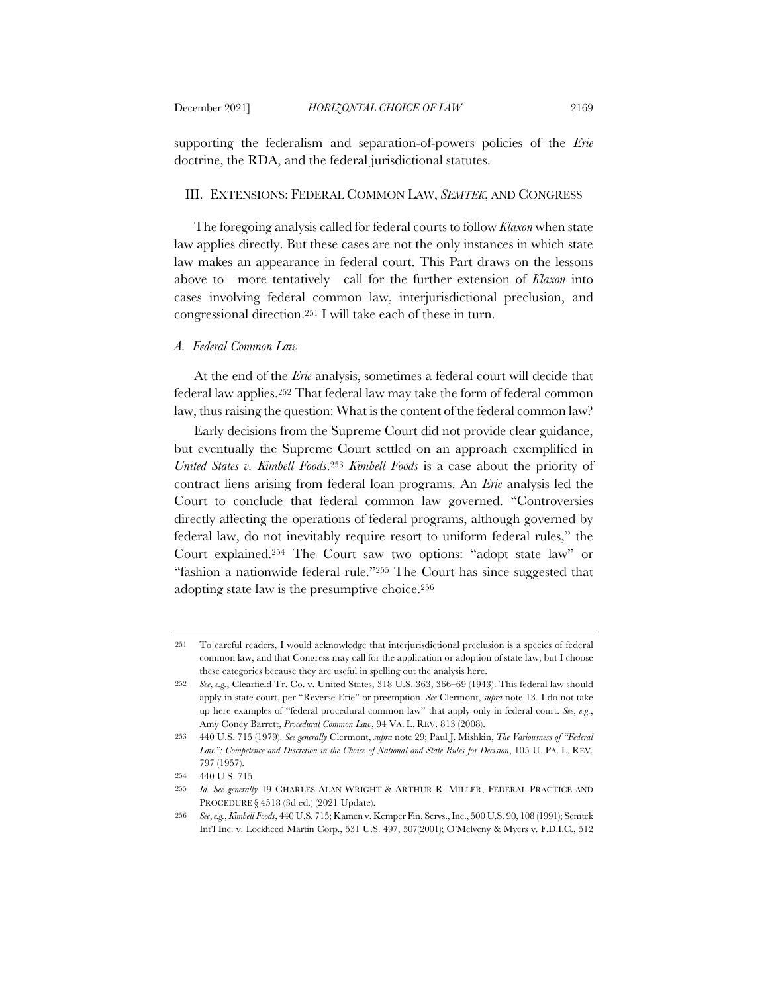supporting the federalism and separation-of-powers policies of the *Erie* doctrine, the RDA, and the federal jurisdictional statutes.

### III. EXTENSIONS: FEDERAL COMMON LAW, *SEMTEK*, AND CONGRESS

The foregoing analysis called for federal courts to follow *Klaxon* when state law applies directly. But these cases are not the only instances in which state law makes an appearance in federal court. This Part draws on the lessons above to—more tentatively—call for the further extension of *Klaxon* into cases involving federal common law, interjurisdictional preclusion, and congressional direction.251 I will take each of these in turn.

# *A. Federal Common Law*

At the end of the *Erie* analysis, sometimes a federal court will decide that federal law applies.252 That federal law may take the form of federal common law, thus raising the question: What is the content of the federal common law?

Early decisions from the Supreme Court did not provide clear guidance, but eventually the Supreme Court settled on an approach exemplified in *United States v. Kimbell Foods*.253 *Kimbell Foods* is a case about the priority of contract liens arising from federal loan programs. An *Erie* analysis led the Court to conclude that federal common law governed. "Controversies directly affecting the operations of federal programs, although governed by federal law, do not inevitably require resort to uniform federal rules," the Court explained.254 The Court saw two options: "adopt state law" or "fashion a nationwide federal rule."255 The Court has since suggested that adopting state law is the presumptive choice.256

<sup>251</sup> To careful readers, I would acknowledge that interjurisdictional preclusion is a species of federal common law, and that Congress may call for the application or adoption of state law, but I choose these categories because they are useful in spelling out the analysis here.

<sup>252</sup> *See*, *e.g.*, Clearfield Tr. Co. v. United States, 318 U.S. 363, 366–69 (1943). This federal law should apply in state court, per "Reverse Erie" or preemption. *See* Clermont, *supra* note 13. I do not take up here examples of "federal procedural common law" that apply only in federal court. *See*, *e.g.*, Amy Coney Barrett, *Procedural Common Law*, 94 VA. L. REV. 813 (2008).

<sup>253</sup> 440 U.S. 715 (1979). *See generally* Clermont, *supra* note 29; Paul J. Mishkin, *The Variousness of "Federal Law": Competence and Discretion in the Choice of National and State Rules for Decision*, 105 U. PA. L. REV. 797 (1957).

<sup>254</sup> 440 U.S. 715.

<sup>255</sup> *Id. See generally* 19 CHARLES ALAN WRIGHT & ARTHUR R. MILLER, FEDERAL PRACTICE AND PROCEDURE § 4518 (3d ed.) (2021 Update).

<sup>256</sup> *See*, *e.g.*, *Kimbell Foods*, 440 U.S. 715; Kamen v. Kemper Fin. Servs., Inc., 500 U.S. 90, 108 (1991); Semtek Int'l Inc. v. Lockheed Martin Corp., 531 U.S. 497, 507(2001); O'Melveny & Myers v. F.D.I.C., 512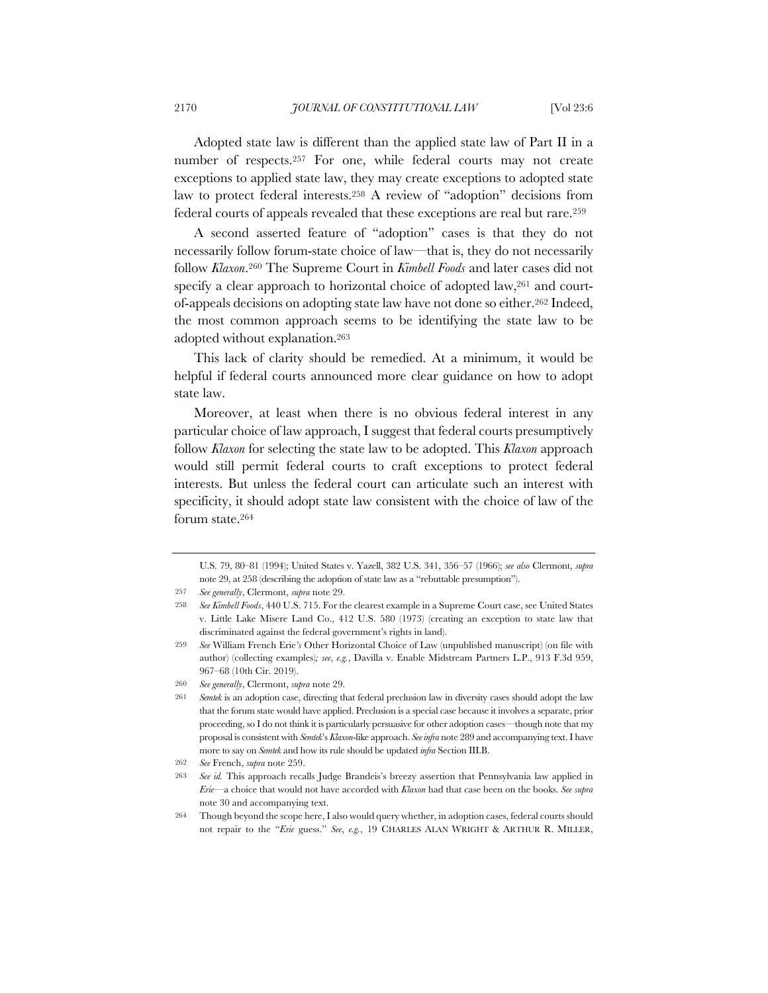Adopted state law is different than the applied state law of Part II in a number of respects.257 For one, while federal courts may not create exceptions to applied state law, they may create exceptions to adopted state law to protect federal interests.258 A review of "adoption" decisions from federal courts of appeals revealed that these exceptions are real but rare.259

A second asserted feature of "adoption" cases is that they do not necessarily follow forum-state choice of law—that is, they do not necessarily follow *Klaxon*.260 The Supreme Court in *Kimbell Foods* and later cases did not specify a clear approach to horizontal choice of adopted law,<sup>261</sup> and courtof-appeals decisions on adopting state law have not done so either.262 Indeed, the most common approach seems to be identifying the state law to be adopted without explanation.263

This lack of clarity should be remedied. At a minimum, it would be helpful if federal courts announced more clear guidance on how to adopt state law.

Moreover, at least when there is no obvious federal interest in any particular choice of law approach, I suggest that federal courts presumptively follow *Klaxon* for selecting the state law to be adopted. This *Klaxon* approach would still permit federal courts to craft exceptions to protect federal interests. But unless the federal court can articulate such an interest with specificity, it should adopt state law consistent with the choice of law of the forum state.264

U.S. 79, 80–81 (1994); United States v. Yazell, 382 U.S. 341, 356–57 (1966); *see also* Clermont, *supra* note 29, at 258 (describing the adoption of state law as a "rebuttable presumption").

<sup>257</sup> *See generally*, Clermont, *supra* note 29.

<sup>258</sup> *See Kimbell Foods*, 440 U.S. 715. For the clearest example in a Supreme Court case, see United States v. Little Lake Misere Land Co., 412 U.S. 580 (1973) (creating an exception to state law that discriminated against the federal government's rights in land).

<sup>259</sup> *See* William French Erie*'s* Other Horizontal Choice of Law (unpublished manuscript) (on file with author) (collecting examples)*; see*, *e.g.*, Davilla v. Enable Midstream Partners L.P., 913 F.3d 959, 967–68 (10th Cir. 2019).

<sup>260</sup> *See generally*, Clermont, *supra* note 29.

<sup>261</sup> *Semtek* is an adoption case, directing that federal preclusion law in diversity cases should adopt the law that the forum state would have applied. Preclusion is a special case because it involves a separate, prior proceeding, so I do not think it is particularly persuasive for other adoption cases—though note that my proposal is consistent with *Semtek*'s *Klaxon*-like approach. *See infra* note 289 and accompanying text. I have more to say on *Semtek* and how its rule should be updated *infra* Section III.B.

<sup>262</sup> *See* French, *supra* note 259.

<sup>263</sup> *See id.* This approach recalls Judge Brandeis's breezy assertion that Pennsylvania law applied in *Erie*—a choice that would not have accorded with *Klaxon* had that case been on the books. *See supra*  note 30 and accompanying text.

<sup>264</sup> Though beyond the scope here, I also would query whether, in adoption cases, federal courts should not repair to the "*Erie* guess." *See*, *e.g.*, 19 CHARLES ALAN WRIGHT & ARTHUR R. MILLER,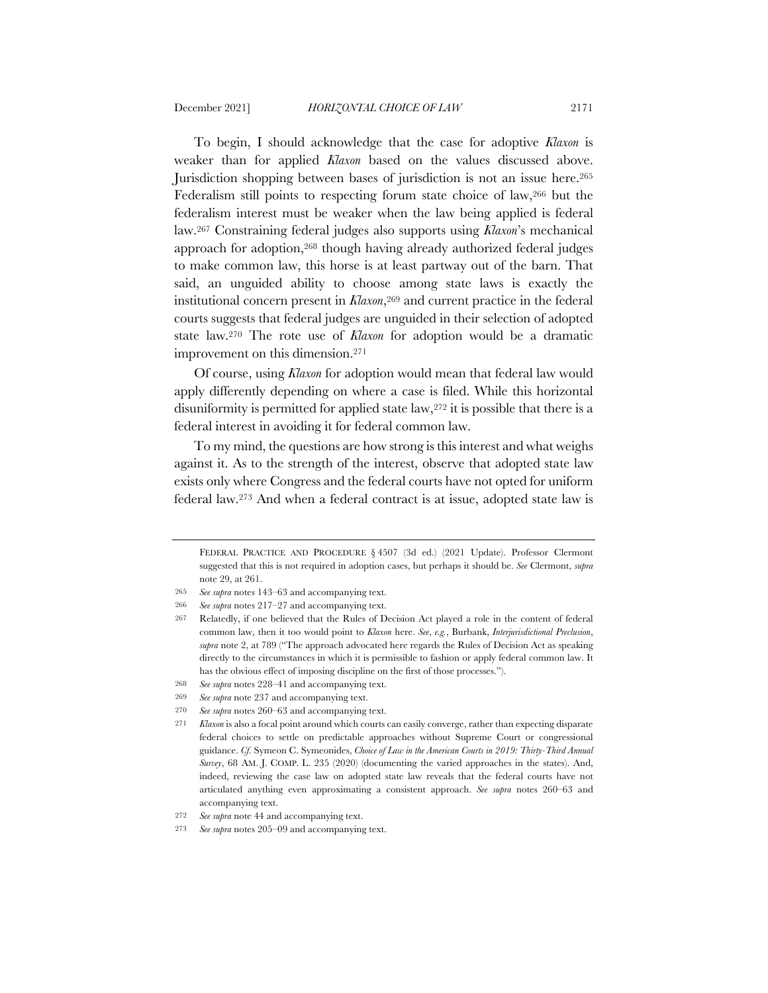To begin, I should acknowledge that the case for adoptive *Klaxon* is weaker than for applied *Klaxon* based on the values discussed above. Jurisdiction shopping between bases of jurisdiction is not an issue here.265 Federalism still points to respecting forum state choice of law,266 but the federalism interest must be weaker when the law being applied is federal law.267 Constraining federal judges also supports using *Klaxon*'s mechanical approach for adoption,268 though having already authorized federal judges to make common law, this horse is at least partway out of the barn. That said, an unguided ability to choose among state laws is exactly the institutional concern present in *Klaxon*,269 and current practice in the federal courts suggests that federal judges are unguided in their selection of adopted state law.270 The rote use of *Klaxon* for adoption would be a dramatic improvement on this dimension.271

Of course, using *Klaxon* for adoption would mean that federal law would apply differently depending on where a case is filed. While this horizontal disuniformity is permitted for applied state law,272 it is possible that there is a federal interest in avoiding it for federal common law.

To my mind, the questions are how strong is this interest and what weighs against it. As to the strength of the interest, observe that adopted state law exists only where Congress and the federal courts have not opted for uniform federal law.273 And when a federal contract is at issue, adopted state law is

FEDERAL PRACTICE AND PROCEDURE § 4507 (3d ed.) (2021 Update). Professor Clermont suggested that this is not required in adoption cases, but perhaps it should be. *See* Clermont, *supra* note 29, at 261.

<sup>265</sup> *See supra* notes 143–63 and accompanying text.

<sup>266</sup> *See supra* notes 217–27 and accompanying text.

<sup>267</sup> Relatedly, if one believed that the Rules of Decision Act played a role in the content of federal common law, then it too would point to *Klaxon* here. *See*, *e.g.*, Burbank, *Interjurisdictional Preclusion*, *supra* note 2, at 789 ("The approach advocated here regards the Rules of Decision Act as speaking directly to the circumstances in which it is permissible to fashion or apply federal common law. It has the obvious effect of imposing discipline on the first of those processes.").

<sup>268</sup> *See supra* notes 228–41 and accompanying text.

<sup>269</sup> *See supra* note 237 and accompanying text.

<sup>270</sup> *See supra* notes 260–63 and accompanying text.

<sup>271</sup> *Klaxon* is also a focal point around which courts can easily converge, rather than expecting disparate federal choices to settle on predictable approaches without Supreme Court or congressional guidance. *Cf.* Symeon C. Symeonides, *Choice of Law in the American Courts in 2019: Thirty-Third Annual Survey*, 68 AM. J. COMP. L. 235 (2020) (documenting the varied approaches in the states). And, indeed, reviewing the case law on adopted state law reveals that the federal courts have not articulated anything even approximating a consistent approach. *See supra* notes 260–63 and accompanying text.

<sup>272</sup> *See supra* note 44 and accompanying text.

<sup>273</sup> *See supra* notes 205–09 and accompanying text.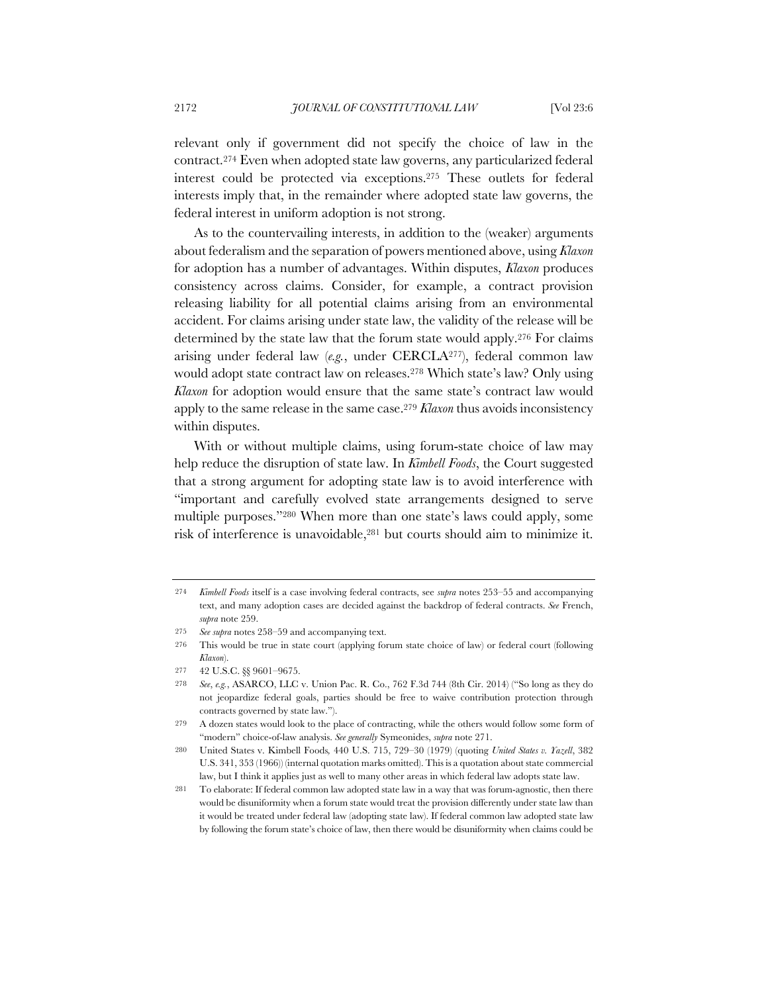relevant only if government did not specify the choice of law in the contract.274 Even when adopted state law governs, any particularized federal interest could be protected via exceptions.275 These outlets for federal interests imply that, in the remainder where adopted state law governs, the federal interest in uniform adoption is not strong.

As to the countervailing interests, in addition to the (weaker) arguments about federalism and the separation of powers mentioned above, using *Klaxon* for adoption has a number of advantages. Within disputes, *Klaxon* produces consistency across claims. Consider, for example, a contract provision releasing liability for all potential claims arising from an environmental accident. For claims arising under state law, the validity of the release will be determined by the state law that the forum state would apply.276 For claims arising under federal law (*e.g.*, under CERCLA277), federal common law would adopt state contract law on releases.278 Which state's law? Only using *Klaxon* for adoption would ensure that the same state's contract law would apply to the same release in the same case.279 *Klaxon* thus avoids inconsistency within disputes.

With or without multiple claims, using forum-state choice of law may help reduce the disruption of state law. In *Kimbell Foods*, the Court suggested that a strong argument for adopting state law is to avoid interference with "important and carefully evolved state arrangements designed to serve multiple purposes."280 When more than one state's laws could apply, some risk of interference is unavoidable,281 but courts should aim to minimize it.

<sup>274</sup> *Kimbell Foods* itself is a case involving federal contracts, see *supra* notes 253–55 and accompanying text, and many adoption cases are decided against the backdrop of federal contracts. *See* French, *supra* note 259.

<sup>275</sup> *See supra* notes 258–59 and accompanying text.

<sup>276</sup> This would be true in state court (applying forum state choice of law) or federal court (following *Klaxon*).

<sup>277</sup> 42 U.S.C. §§ 9601–9675.

<sup>278</sup> *See*, *e.g.*, ASARCO, LLC v. Union Pac. R. Co., 762 F.3d 744 (8th Cir. 2014) ("So long as they do not jeopardize federal goals, parties should be free to waive contribution protection through contracts governed by state law.").

<sup>279</sup> A dozen states would look to the place of contracting, while the others would follow some form of "modern" choice-of-law analysis. *See generally* Symeonides, *supra* note 271.

<sup>280</sup> United States v. Kimbell Foods*,* 440 U.S. 715, 729–30 (1979) (quoting *United States v. Yazell*, 382 U.S. 341, 353 (1966)) (internal quotation marks omitted). This is a quotation about state commercial law, but I think it applies just as well to many other areas in which federal law adopts state law.

<sup>281</sup> To elaborate: If federal common law adopted state law in a way that was forum-agnostic, then there would be disuniformity when a forum state would treat the provision differently under state law than it would be treated under federal law (adopting state law). If federal common law adopted state law by following the forum state's choice of law, then there would be disuniformity when claims could be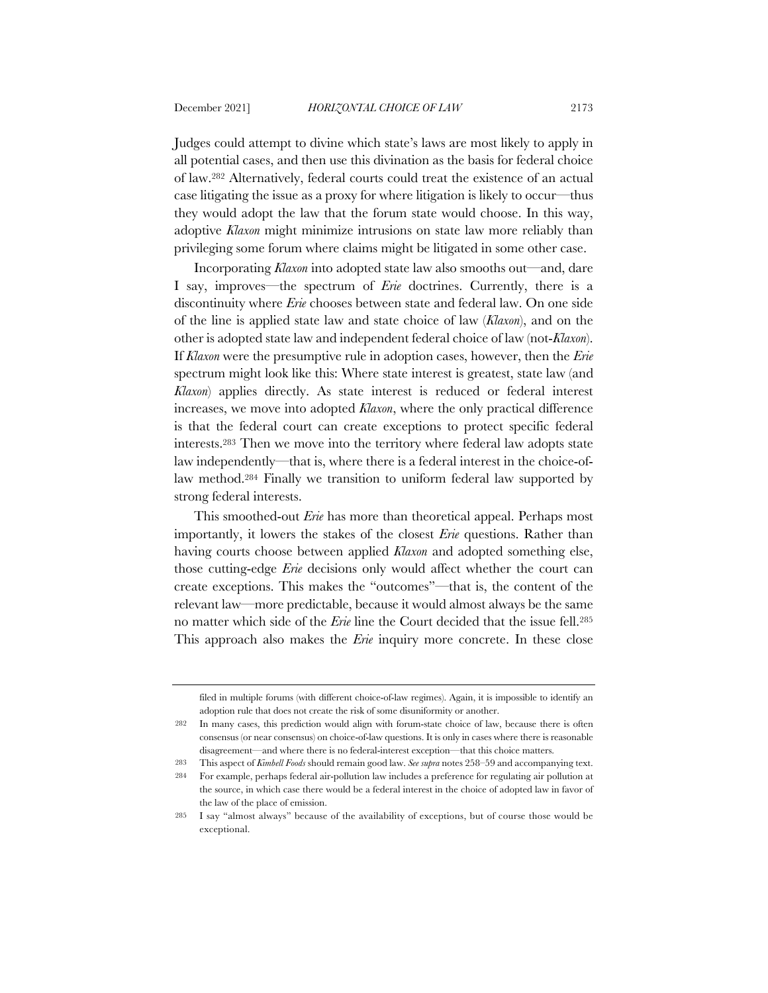Judges could attempt to divine which state's laws are most likely to apply in all potential cases, and then use this divination as the basis for federal choice of law.282 Alternatively, federal courts could treat the existence of an actual case litigating the issue as a proxy for where litigation is likely to occur—thus they would adopt the law that the forum state would choose. In this way, adoptive *Klaxon* might minimize intrusions on state law more reliably than privileging some forum where claims might be litigated in some other case.

Incorporating *Klaxon* into adopted state law also smooths out—and, dare I say, improves—the spectrum of *Erie* doctrines. Currently, there is a discontinuity where *Erie* chooses between state and federal law. On one side of the line is applied state law and state choice of law (*Klaxon*), and on the other is adopted state law and independent federal choice of law (not-*Klaxon*). If *Klaxon* were the presumptive rule in adoption cases, however, then the *Erie* spectrum might look like this: Where state interest is greatest, state law (and *Klaxon*) applies directly. As state interest is reduced or federal interest increases, we move into adopted *Klaxon*, where the only practical difference is that the federal court can create exceptions to protect specific federal interests.283 Then we move into the territory where federal law adopts state law independently—that is, where there is a federal interest in the choice-oflaw method.284 Finally we transition to uniform federal law supported by strong federal interests.

This smoothed-out *Erie* has more than theoretical appeal. Perhaps most importantly, it lowers the stakes of the closest *Erie* questions. Rather than having courts choose between applied *Klaxon* and adopted something else, those cutting-edge *Erie* decisions only would affect whether the court can create exceptions. This makes the "outcomes"—that is, the content of the relevant law—more predictable, because it would almost always be the same no matter which side of the *Erie* line the Court decided that the issue fell.285 This approach also makes the *Erie* inquiry more concrete. In these close

filed in multiple forums (with different choice-of-law regimes). Again, it is impossible to identify an adoption rule that does not create the risk of some disuniformity or another.

<sup>282</sup> In many cases, this prediction would align with forum-state choice of law, because there is often consensus (or near consensus) on choice-of-law questions. It is only in cases where there is reasonable disagreement—and where there is no federal-interest exception—that this choice matters.

<sup>283</sup> This aspect of *Kimbell Foods* should remain good law. *See supra* notes 258–59 and accompanying text.

<sup>284</sup> For example, perhaps federal air-pollution law includes a preference for regulating air pollution at the source, in which case there would be a federal interest in the choice of adopted law in favor of the law of the place of emission.

<sup>285</sup> I say "almost always" because of the availability of exceptions, but of course those would be exceptional.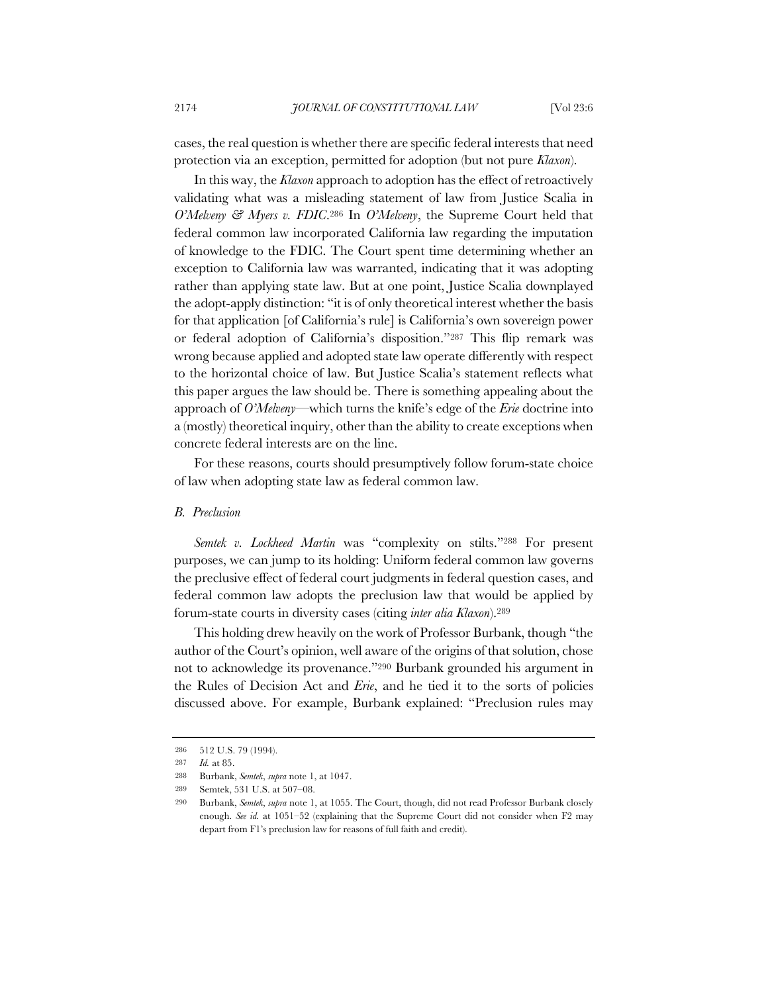cases, the real question is whether there are specific federal interests that need protection via an exception, permitted for adoption (but not pure *Klaxon*).

In this way, the *Klaxon* approach to adoption has the effect of retroactively validating what was a misleading statement of law from Justice Scalia in *O'Melveny & Myers v. FDIC*.286 In *O'Melveny*, the Supreme Court held that federal common law incorporated California law regarding the imputation of knowledge to the FDIC. The Court spent time determining whether an exception to California law was warranted, indicating that it was adopting rather than applying state law. But at one point, Justice Scalia downplayed the adopt-apply distinction: "it is of only theoretical interest whether the basis for that application [of California's rule] is California's own sovereign power or federal adoption of California's disposition."287 This flip remark was wrong because applied and adopted state law operate differently with respect to the horizontal choice of law. But Justice Scalia's statement reflects what this paper argues the law should be. There is something appealing about the approach of *O'Melveny*—which turns the knife's edge of the *Erie* doctrine into a (mostly) theoretical inquiry, other than the ability to create exceptions when concrete federal interests are on the line.

For these reasons, courts should presumptively follow forum-state choice of law when adopting state law as federal common law.

### *B. Preclusion*

*Semtek v. Lockheed Martin* was "complexity on stilts."288 For present purposes, we can jump to its holding: Uniform federal common law governs the preclusive effect of federal court judgments in federal question cases, and federal common law adopts the preclusion law that would be applied by forum-state courts in diversity cases (citing *inter alia Klaxon*).289

This holding drew heavily on the work of Professor Burbank, though "the author of the Court's opinion, well aware of the origins of that solution, chose not to acknowledge its provenance."290 Burbank grounded his argument in the Rules of Decision Act and *Erie*, and he tied it to the sorts of policies discussed above. For example, Burbank explained: "Preclusion rules may

<sup>286</sup> 512 U.S. 79 (1994).

<sup>287</sup> *Id.* at 85.

<sup>288</sup> Burbank, *Semtek*, *supra* note 1, at 1047.

<sup>289</sup> Semtek, 531 U.S. at 507–08.

<sup>290</sup> Burbank, *Semtek*, *supra* note 1, at 1055. The Court, though, did not read Professor Burbank closely enough. *See id.* at 1051–52 (explaining that the Supreme Court did not consider when F2 may depart from F1's preclusion law for reasons of full faith and credit).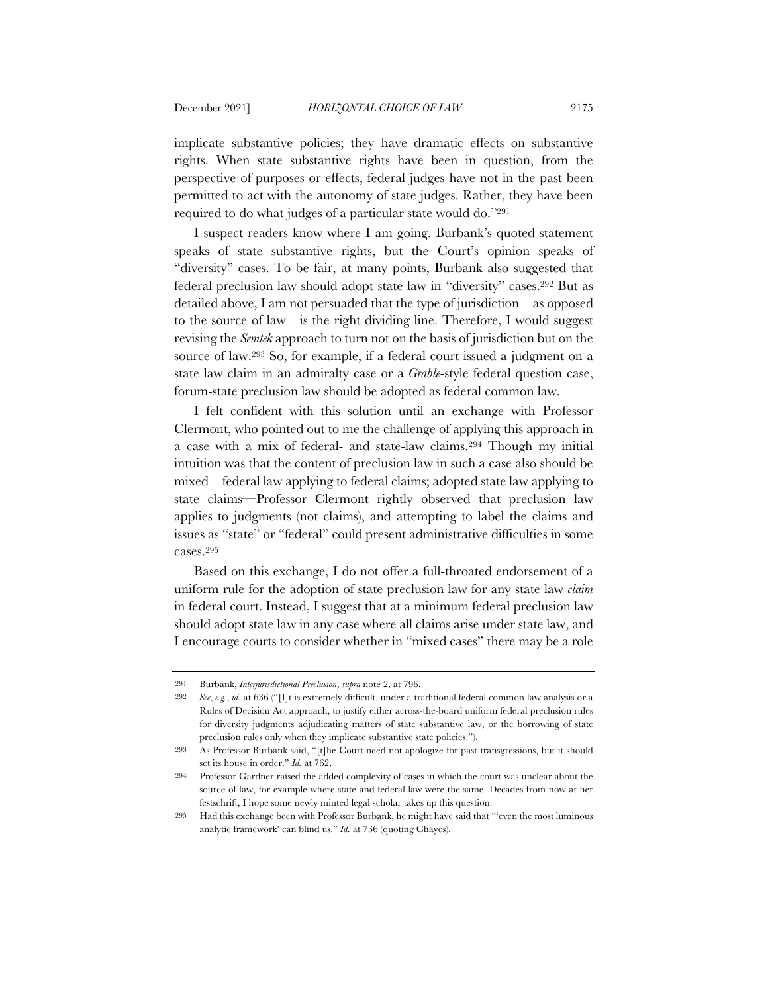implicate substantive policies; they have dramatic effects on substantive rights. When state substantive rights have been in question, from the perspective of purposes or effects, federal judges have not in the past been permitted to act with the autonomy of state judges. Rather, they have been required to do what judges of a particular state would do."291

I suspect readers know where I am going. Burbank's quoted statement speaks of state substantive rights, but the Court's opinion speaks of "diversity" cases. To be fair, at many points, Burbank also suggested that federal preclusion law should adopt state law in "diversity" cases.292 But as detailed above, I am not persuaded that the type of jurisdiction—as opposed to the source of law—is the right dividing line. Therefore, I would suggest revising the *Semtek* approach to turn not on the basis of jurisdiction but on the source of law.293 So, for example, if a federal court issued a judgment on a state law claim in an admiralty case or a *Grable*-style federal question case, forum-state preclusion law should be adopted as federal common law.

I felt confident with this solution until an exchange with Professor Clermont, who pointed out to me the challenge of applying this approach in a case with a mix of federal- and state-law claims.294 Though my initial intuition was that the content of preclusion law in such a case also should be mixed—federal law applying to federal claims; adopted state law applying to state claims—Professor Clermont rightly observed that preclusion law applies to judgments (not claims), and attempting to label the claims and issues as "state" or "federal" could present administrative difficulties in some cases.295

Based on this exchange, I do not offer a full-throated endorsement of a uniform rule for the adoption of state preclusion law for any state law *claim* in federal court. Instead, I suggest that at a minimum federal preclusion law should adopt state law in any case where all claims arise under state law, and I encourage courts to consider whether in "mixed cases" there may be a role

<sup>291</sup> Burbank, *Interjurisdictional Preclusion*, *supra* note 2, at 796.

<sup>292</sup> *See*, *e.g.*, *id.* at 636 ("[I]t is extremely difficult, under a traditional federal common law analysis or a Rules of Decision Act approach, to justify either across-the-board uniform federal preclusion rules for diversity judgments adjudicating matters of state substantive law, or the borrowing of state preclusion rules only when they implicate substantive state policies.").

<sup>293</sup> As Professor Burbank said, "[t]he Court need not apologize for past transgressions, but it should set its house in order." *Id.* at 762.

<sup>294</sup> Professor Gardner raised the added complexity of cases in which the court was unclear about the source of law, for example where state and federal law were the same. Decades from now at her festschrift, I hope some newly minted legal scholar takes up this question.

<sup>295</sup> Had this exchange been with Professor Burbank, he might have said that "'even the most luminous analytic framework' can blind us." *Id.* at 736 (quoting Chayes).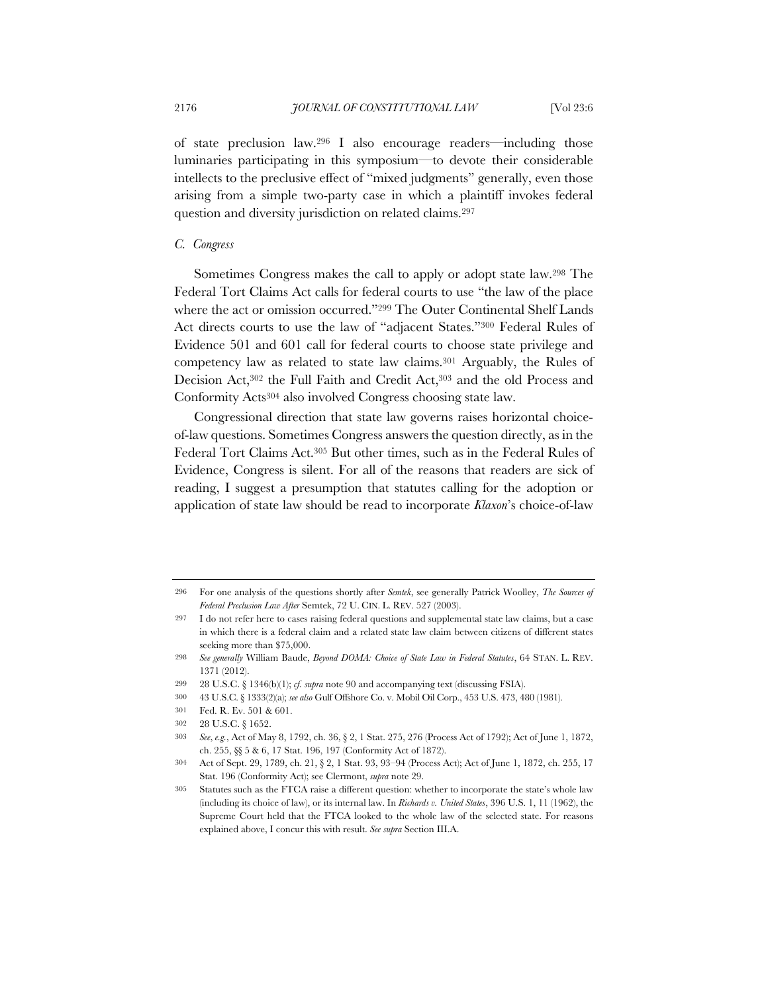of state preclusion law.296 I also encourage readers—including those luminaries participating in this symposium—to devote their considerable intellects to the preclusive effect of "mixed judgments" generally, even those arising from a simple two-party case in which a plaintiff invokes federal question and diversity jurisdiction on related claims.297

## *C. Congress*

Sometimes Congress makes the call to apply or adopt state law.298 The Federal Tort Claims Act calls for federal courts to use "the law of the place where the act or omission occurred."299 The Outer Continental Shelf Lands Act directs courts to use the law of "adjacent States."300 Federal Rules of Evidence 501 and 601 call for federal courts to choose state privilege and competency law as related to state law claims.301 Arguably, the Rules of Decision Act,302 the Full Faith and Credit Act,303 and the old Process and Conformity Acts304 also involved Congress choosing state law.

Congressional direction that state law governs raises horizontal choiceof-law questions. Sometimes Congress answers the question directly, as in the Federal Tort Claims Act.305 But other times, such as in the Federal Rules of Evidence, Congress is silent. For all of the reasons that readers are sick of reading, I suggest a presumption that statutes calling for the adoption or application of state law should be read to incorporate *Klaxon*'s choice-of-law

<sup>296</sup> For one analysis of the questions shortly after *Semtek*, see generally Patrick Woolley, *The Sources of Federal Preclusion Law After* Semtek, 72 U. CIN. L. REV. 527 (2003).

<sup>297</sup> I do not refer here to cases raising federal questions and supplemental state law claims, but a case in which there is a federal claim and a related state law claim between citizens of different states seeking more than \$75,000.

<sup>298</sup> *See generally* William Baude, *Beyond DOMA: Choice of State Law in Federal Statutes*, 64 STAN. L. REV. 1371 (2012).

<sup>299</sup> 28 U.S.C. § 1346(b)(1); *cf. supra* note 90 and accompanying text (discussing FSIA).

<sup>300</sup> 43 U.S.C. § 1333(2)(a); *see also* Gulf Offshore Co. v. Mobil Oil Corp., 453 U.S. 473, 480 (1981).

<sup>301</sup> Fed. R. Ev. 501 & 601.

<sup>302</sup> 28 U.S.C. § 1652.

<sup>303</sup> *See*, *e.g.*, Act of May 8, 1792, ch. 36, § 2, 1 Stat. 275, 276 (Process Act of 1792); Act of June 1, 1872, ch. 255, §§ 5 & 6, 17 Stat. 196, 197 (Conformity Act of 1872).

<sup>304</sup> Act of Sept. 29, 1789, ch. 21, § 2, 1 Stat. 93, 93–94 (Process Act); Act of June 1, 1872, ch. 255, 17 Stat. 196 (Conformity Act); see Clermont, *supra* note 29.

<sup>305</sup> Statutes such as the FTCA raise a different question: whether to incorporate the state's whole law (including its choice of law), or its internal law. In *Richards v. United States*, 396 U.S. 1, 11 (1962), the Supreme Court held that the FTCA looked to the whole law of the selected state. For reasons explained above, I concur this with result. *See supra* Section III.A.